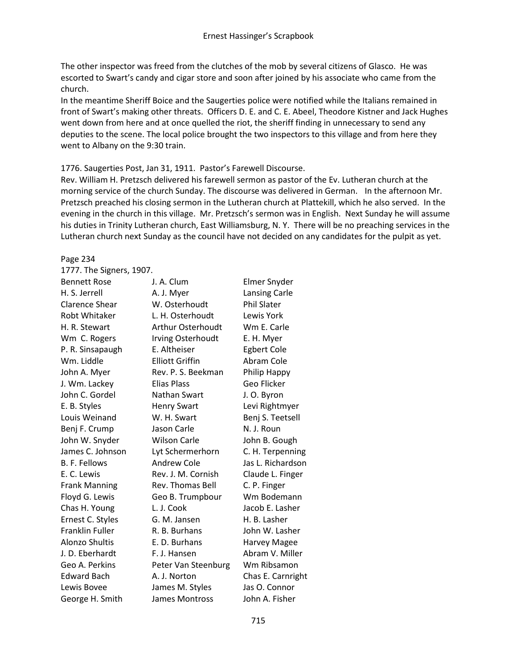The other inspector was freed from the clutches of the mob by several citizens of Glasco. He was escorted to Swart's candy and cigar store and soon after joined by his associate who came from the church.

In the meantime Sheriff Boice and the Saugerties police were notified while the Italians remained in front of Swart's making other threats. Officers D. E. and C. E. Abeel, Theodore Kistner and Jack Hughes went down from here and at once quelled the riot, the sheriff finding in unnecessary to send any deputies to the scene. The local police brought the two inspectors to this village and from here they went to Albany on the 9:30 train.

### 1776. Saugerties Post, Jan 31, 1911. Pastor's Farewell Discourse.

Page 234

Rev. William H. Pretzsch delivered his farewell sermon as pastor of the Ev. Lutheran church at the morning service of the church Sunday. The discourse was delivered in German. In the afternoon Mr. Pretzsch preached his closing sermon in the Lutheran church at Plattekill, which he also served. In the evening in the church in this village. Mr. Pretzsch's sermon was in English. Next Sunday he will assume his duties in Trinity Lutheran church, East Williamsburg, N. Y. There will be no preaching services in the Lutheran church next Sunday as the council have not decided on any candidates for the pulpit as yet.

# 1777. The Signers, 1907. Bennett Rose J. A. Clum Elmer Snyder H. S. Jerrell A. J. Myer Lansing Carle Clarence Shear W. Osterhoudt Phil Slater Robt Whitaker L. H. Osterhoudt Lewis York H. R. Stewart Arthur Osterhoudt Wm E. Carle Wm C. Rogers Irving Osterhoudt E. H. Myer P. R. Sinsapaugh E. Altheiser Egbert Cole Wm. Liddle **Elliott Griffin** Abram Cole John A. Myer Rev. P. S. Beekman Philip Happy J. Wm. Lackey Elias Plass Geo Flicker John C. Gordel Nathan Swart J. O. Byron E. B. Styles **Henry Swart** Levi Rightmyer Louis Weinand W. H. Swart Benj S. Teetsell Benj F. Crump Jason Carle N. J. Roun John W. Snyder Wilson Carle John B. Gough James C. Johnson Lyt Schermerhorn C. H. Terpenning B. F. Fellows **Andrew Cole** Jas L. Richardson E. C. Lewis Rev. J. M. Cornish Claude L. Finger Frank Manning Rev. Thomas Bell C. P. Finger Floyd G. Lewis Geo B. Trumpbour Wm Bodemann Chas H. Young L. J. Cook Jacob E. Lasher Ernest C. Styles G. M. Jansen H. B. Lasher Franklin Fuller R. B. Burhans John W. Lasher Alonzo Shultis **E. D. Burhans** Harvey Magee J. D. Eberhardt F. J. Hansen Abram V. Miller Geo A. Perkins Peter Van Steenburg Wm Ribsamon Edward Bach A. J. Norton Chas E. Carnright Lewis Bovee James M. Styles Jas O. Connor George H. Smith James Montross John A. Fisher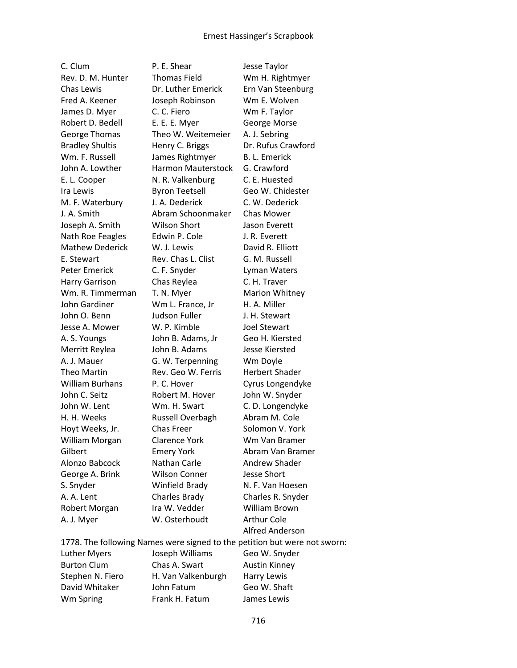C. Clum P. E. Shear Jesse Taylor

Rev. D. M. Hunter Thomas Field Wm H. Rightmyer Chas Lewis Dr. Luther Emerick Ern Van Steenburg Fred A. Keener Joseph Robinson Wm E. Wolven James D. Myer C. C. Fiero Wm F. Taylor Robert D. Bedell E. E. E. Myer George Morse George Thomas Theo W. Weitemeier A. J. Sebring Bradley Shultis Henry C. Briggs Dr. Rufus Crawford Wm. F. Russell James Rightmyer B. L. Emerick John A. Lowther Harmon Mauterstock G. Crawford E. L. Cooper N. R. Valkenburg C. E. Huested Ira Lewis **Byron Teetsell** Geo W. Chidester M. F. Waterbury J. A. Dederick C. W. Dederick J. A. Smith Abram Schoonmaker Chas Mower Joseph A. Smith Wilson Short Jason Everett Nath Roe Feagles Edwin P. Cole J. R. Everett Mathew Dederick W. J. Lewis David R. Elliott E. Stewart **Rev. Chas L. Clist** G. M. Russell Peter Emerick C. F. Snyder Lyman Waters Harry Garrison Chas Reylea C. H. Traver Wm. R. Timmerman T. N. Myer Marion Whitney John Gardiner Wm L. France, Jr H. A. Miller John O. Benn Judson Fuller J. H. Stewart Jesse A. Mower W. P. Kimble Joel Stewart A. S. Youngs John B. Adams, Jr Geo H. Kiersted Merritt Reylea John B. Adams Jesse Kiersted A. J. Mauer G. W. Terpenning Wm Doyle Theo Martin Rev. Geo W. Ferris Herbert Shader William Burhans P. C. Hover Cyrus Longendyke John C. Seitz **Robert M. Hover** John W. Snyder John W. Lent Wm. H. Swart C. D. Longendyke H. H. Weeks Russell Overbagh Abram M. Cole Hoyt Weeks, Jr. Chas Freer Solomon V. York William Morgan Clarence York Wm Van Bramer Gilbert Emery York Abram Van Bramer Alonzo Babcock Nathan Carle Andrew Shader George A. Brink Wilson Conner Jesse Short S. Snyder Winfield Brady N. F. Van Hoesen A. A. Lent Charles Brady Charles R. Snyder Robert Morgan Ira W. Vedder William Brown A. J. Myer W. Osterhoudt Arthur Cole

Alfred Anderson

1778. The following Names were signed to the petition but were not sworn: Luther Myers Joseph Williams Geo W. Snyder Burton Clum Chas A. Swart Austin Kinney Stephen N. Fiero H. Van Valkenburgh Harry Lewis David Whitaker John Fatum Geo W. Shaft Wm Spring Frank H. Fatum James Lewis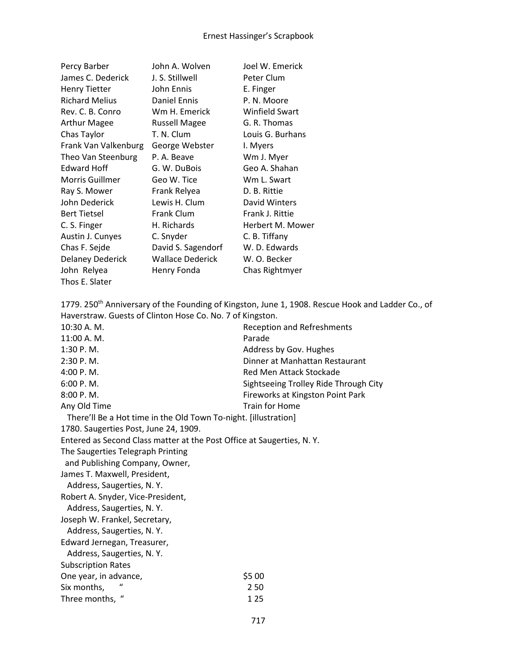| Percy Barber            | John A. Wolven          | Joel W. Emerick       |
|-------------------------|-------------------------|-----------------------|
| James C. Dederick       | J. S. Stillwell         | Peter Clum            |
| <b>Henry Tietter</b>    | John Ennis              | E. Finger             |
| <b>Richard Melius</b>   | Daniel Ennis            | P. N. Moore           |
| Rev. C. B. Conro        | Wm H. Emerick           | <b>Winfield Swart</b> |
| <b>Arthur Magee</b>     | <b>Russell Magee</b>    | G. R. Thomas          |
| Chas Taylor             | T. N. Clum              | Louis G. Burhans      |
| Frank Van Valkenburg    | George Webster          | I. Myers              |
| Theo Van Steenburg      | P. A. Beave             | Wm J. Myer            |
| Edward Hoff             | G. W. DuBois            | Geo A. Shahan         |
| <b>Morris Guillmer</b>  | Geo W. Tice             | Wm L. Swart           |
| Ray S. Mower            | Frank Relyea            | D. B. Rittie          |
| John Dederick           | Lewis H. Clum           | David Winters         |
| <b>Bert Tietsel</b>     | Frank Clum              | Frank J. Rittie       |
| C. S. Finger            | H. Richards             | Herbert M. Mower      |
| Austin J. Cunyes        | C. Snyder               | C. B. Tiffany         |
| Chas F. Sejde           | David S. Sagendorf      | W. D. Edwards         |
| <b>Delaney Dederick</b> | <b>Wallace Dederick</b> | W. O. Becker          |
| John Relyea             | Henry Fonda             | Chas Rightmyer        |
| Thos E. Slater          |                         |                       |

1779. 250<sup>th</sup> Anniversary of the Founding of Kingston, June 1, 1908. Rescue Hook and Ladder Co., of Haverstraw. Guests of Clinton Hose Co. No. 7 of Kingston. 10:30 A. M. Reception and Refreshments 11:00 A. M. Parade 1:30 P. M. Address by Gov. Hughes 2:30 P. M. Dinner at Manhattan Restaurant 4:00 P. M. Red Men Attack Stockade 6:00 P. M. Sightseeing Trolley Ride Through City 8:00 P.M. Same Controller Material Studies at Kingston Point Park Any Old Time Train for Home There'll Be a Hot time in the Old Town To-night. [illustration] 1780. Saugerties Post, June 24, 1909. Entered as Second Class matter at the Post Office at Saugerties, N. Y. The Saugerties Telegraph Printing and Publishing Company, Owner, James T. Maxwell, President, Address, Saugerties, N. Y. Robert A. Snyder, Vice-President, Address, Saugerties, N. Y. Joseph W. Frankel, Secretary, Address, Saugerties, N. Y. Edward Jernegan, Treasurer, Address, Saugerties, N. Y. Subscription Rates One year, in advance,  $\frac{1}{55}$  00 Six months, " 2 50 Three months, " 125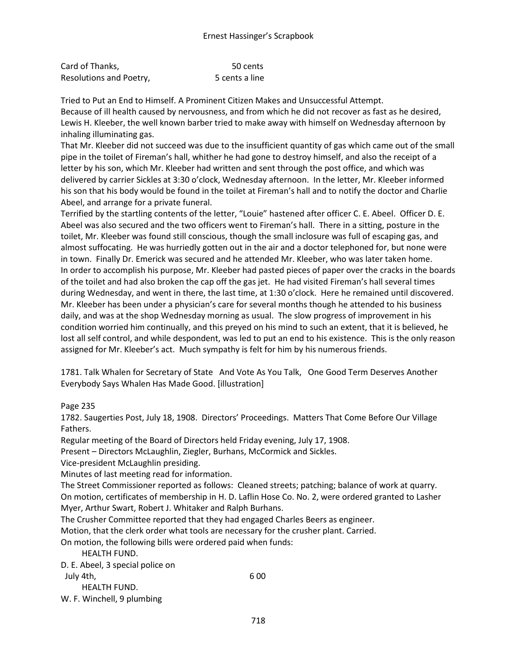| Card of Thanks,         | 50 cents       |
|-------------------------|----------------|
| Resolutions and Poetry, | 5 cents a line |

Tried to Put an End to Himself. A Prominent Citizen Makes and Unsuccessful Attempt. Because of ill health caused by nervousness, and from which he did not recover as fast as he desired, Lewis H. Kleeber, the well known barber tried to make away with himself on Wednesday afternoon by inhaling illuminating gas.

That Mr. Kleeber did not succeed was due to the insufficient quantity of gas which came out of the small pipe in the toilet of Fireman's hall, whither he had gone to destroy himself, and also the receipt of a letter by his son, which Mr. Kleeber had written and sent through the post office, and which was delivered by carrier Sickles at 3:30 o'clock, Wednesday afternoon. In the letter, Mr. Kleeber informed his son that his body would be found in the toilet at Fireman's hall and to notify the doctor and Charlie Abeel, and arrange for a private funeral.

Terrified by the startling contents of the letter, "Louie" hastened after officer C. E. Abeel. Officer D. E. Abeel was also secured and the two officers went to Fireman's hall. There in a sitting, posture in the toilet, Mr. Kleeber was found still conscious, though the small inclosure was full of escaping gas, and almost suffocating. He was hurriedly gotten out in the air and a doctor telephoned for, but none were in town. Finally Dr. Emerick was secured and he attended Mr. Kleeber, who was later taken home. In order to accomplish his purpose, Mr. Kleeber had pasted pieces of paper over the cracks in the boards of the toilet and had also broken the cap off the gas jet. He had visited Fireman's hall several times during Wednesday, and went in there, the last time, at 1:30 o'clock. Here he remained until discovered. Mr. Kleeber has been under a physician's care for several months though he attended to his business daily, and was at the shop Wednesday morning as usual. The slow progress of improvement in his condition worried him continually, and this preyed on his mind to such an extent, that it is believed, he lost all self control, and while despondent, was led to put an end to his existence. This is the only reason assigned for Mr. Kleeber's act. Much sympathy is felt for him by his numerous friends.

1781. Talk Whalen for Secretary of State And Vote As You Talk, One Good Term Deserves Another Everybody Says Whalen Has Made Good. [illustration]

Page 235

1782. Saugerties Post, July 18, 1908. Directors' Proceedings. Matters That Come Before Our Village Fathers.

Regular meeting of the Board of Directors held Friday evening, July 17, 1908.

Present – Directors McLaughlin, Ziegler, Burhans, McCormick and Sickles.

Vice-president McLaughlin presiding.

Minutes of last meeting read for information.

The Street Commissioner reported as follows: Cleaned streets; patching; balance of work at quarry. On motion, certificates of membership in H. D. Laflin Hose Co. No. 2, were ordered granted to Lasher Myer, Arthur Swart, Robert J. Whitaker and Ralph Burhans.

The Crusher Committee reported that they had engaged Charles Beers as engineer.

Motion, that the clerk order what tools are necessary for the crusher plant. Carried.

On motion, the following bills were ordered paid when funds:

HEALTH FUND.

D. E. Abeel, 3 special police on July 4th, 6 00 HEALTH FUND. W. F. Winchell, 9 plumbing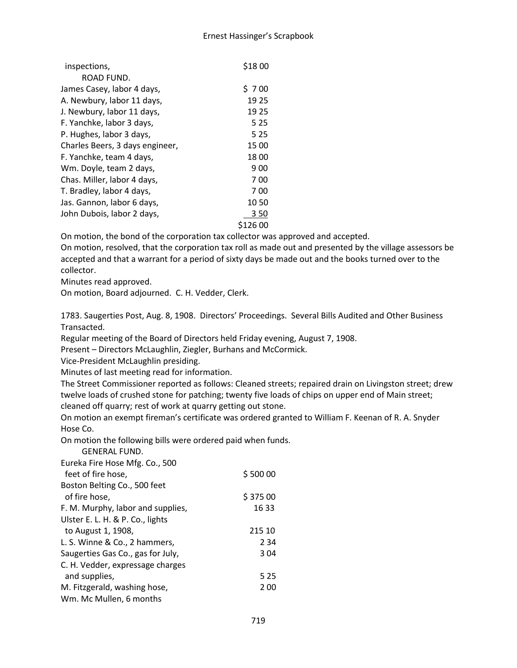| inspections,                    | \$1800 |
|---------------------------------|--------|
| ROAD FUND.                      |        |
| James Casey, labor 4 days,      | \$700  |
| A. Newbury, labor 11 days,      | 19 25  |
| J. Newbury, labor 11 days,      | 19 25  |
| F. Yanchke, labor 3 days,       | 5 2 5  |
| P. Hughes, labor 3 days,        | 5 2 5  |
| Charles Beers, 3 days engineer, | 15 00  |
| F. Yanchke, team 4 days,        | 1800   |
| Wm. Doyle, team 2 days,         | 9 0 0  |
| Chas. Miller, labor 4 days,     | 700    |
| T. Bradley, labor 4 days,       | 700    |
| Jas. Gannon, labor 6 days,      | 10 50  |
| John Dubois, labor 2 days,      | 350    |
|                                 | 126 00 |

On motion, the bond of the corporation tax collector was approved and accepted.

On motion, resolved, that the corporation tax roll as made out and presented by the village assessors be accepted and that a warrant for a period of sixty days be made out and the books turned over to the collector.

Minutes read approved.

On motion, Board adjourned. C. H. Vedder, Clerk.

1783. Saugerties Post, Aug. 8, 1908. Directors' Proceedings. Several Bills Audited and Other Business Transacted.

Regular meeting of the Board of Directors held Friday evening, August 7, 1908.

Present – Directors McLaughlin, Ziegler, Burhans and McCormick.

Vice-President McLaughlin presiding.

Minutes of last meeting read for information.

The Street Commissioner reported as follows: Cleaned streets; repaired drain on Livingston street; drew twelve loads of crushed stone for patching; twenty five loads of chips on upper end of Main street; cleaned off quarry; rest of work at quarry getting out stone.

On motion an exempt fireman's certificate was ordered granted to William F. Keenan of R. A. Snyder Hose Co.

On motion the following bills were ordered paid when funds.

| <b>GENERAL FUND.</b>              |         |
|-----------------------------------|---------|
| Eureka Fire Hose Mfg. Co., 500    |         |
| feet of fire hose.                | \$50000 |
| Boston Belting Co., 500 feet      |         |
| of fire hose.                     | \$37500 |
| F. M. Murphy, labor and supplies, | 16 33   |
| Ulster E. L. H. & P. Co., lights  |         |
| to August 1, 1908,                | 215 10  |
| L. S. Winne & Co., 2 hammers,     | 2 3 4   |
| Saugerties Gas Co., gas for July, | 304     |
| C. H. Vedder, expressage charges  |         |
| and supplies,                     | 5 2 5   |
| M. Fitzgerald, washing hose,      | 200     |
| Wm. Mc Mullen, 6 months           |         |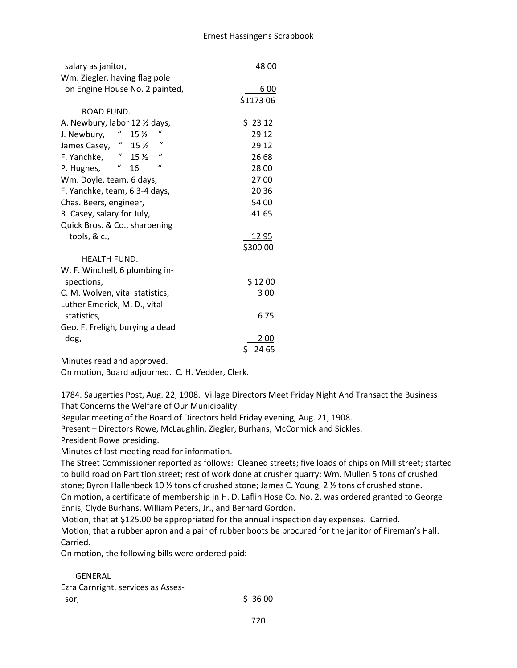| salary as janitor,                                                      | 48 00          |
|-------------------------------------------------------------------------|----------------|
| Wm. Ziegler, having flag pole                                           |                |
| on Engine House No. 2 painted,                                          | 6 00           |
|                                                                         | \$1173 06      |
| ROAD FUND.                                                              |                |
| A. Newbury, labor 12 1/2 days,                                          | \$2312         |
| $\mathbf{u}$<br>$\boldsymbol{a}$<br>15 <sub>2</sub><br>J. Newbury,      | 29 12          |
| $\mathbf{u}$<br>$\mathbf{u}_{\perp}$<br>James Casey,<br>15 <sub>2</sub> | 29 12          |
| $\mathcal{U}$<br>$\boldsymbol{u}$<br>15 <sub>2</sub><br>F. Yanchke,     | 26 68          |
| $\mathbf{u}$<br>$\boldsymbol{u}$<br>P. Hughes,<br>16                    | 28 00          |
| Wm. Doyle, team, 6 days,                                                | 2700           |
| F. Yanchke, team, 6 3-4 days,                                           | 20 36          |
| Chas. Beers, engineer,                                                  | 54 00          |
| R. Casey, salary for July,                                              | 41 65          |
| Quick Bros. & Co., sharpening                                           |                |
| tools, $&c.,$                                                           | <u> 12 95 </u> |
|                                                                         | \$300 00       |
| <b>HEALTH FUND.</b>                                                     |                |
| W. F. Winchell, 6 plumbing in-                                          |                |
| spections,                                                              | \$1200         |
| C. M. Wolven, vital statistics,                                         | 300            |
| Luther Emerick, M. D., vital                                            |                |
| statistics,                                                             | 6 75           |
| Geo. F. Freligh, burying a dead                                         |                |
| dog,                                                                    | 2 00           |
|                                                                         | \$<br>24 65    |

Minutes read and approved.

On motion, Board adjourned. C. H. Vedder, Clerk.

1784. Saugerties Post, Aug. 22, 1908. Village Directors Meet Friday Night And Transact the Business That Concerns the Welfare of Our Municipality.

Regular meeting of the Board of Directors held Friday evening, Aug. 21, 1908.

Present – Directors Rowe, McLaughlin, Ziegler, Burhans, McCormick and Sickles.

President Rowe presiding.

Minutes of last meeting read for information.

The Street Commissioner reported as follows: Cleaned streets; five loads of chips on Mill street; started to build road on Partition street; rest of work done at crusher quarry; Wm. Mullen 5 tons of crushed stone; Byron Hallenbeck 10 ½ tons of crushed stone; James C. Young, 2 ½ tons of crushed stone. On motion, a certificate of membership in H. D. Laflin Hose Co. No. 2, was ordered granted to George Ennis, Clyde Burhans, William Peters, Jr., and Bernard Gordon.

Motion, that at \$125.00 be appropriated for the annual inspection day expenses. Carried.

Motion, that a rubber apron and a pair of rubber boots be procured for the janitor of Fireman's Hall. Carried.

On motion, the following bills were ordered paid:

### GENERAL Ezra Carnright, services as Asses  $s$  sor,  $\frac{1}{2}$  sor,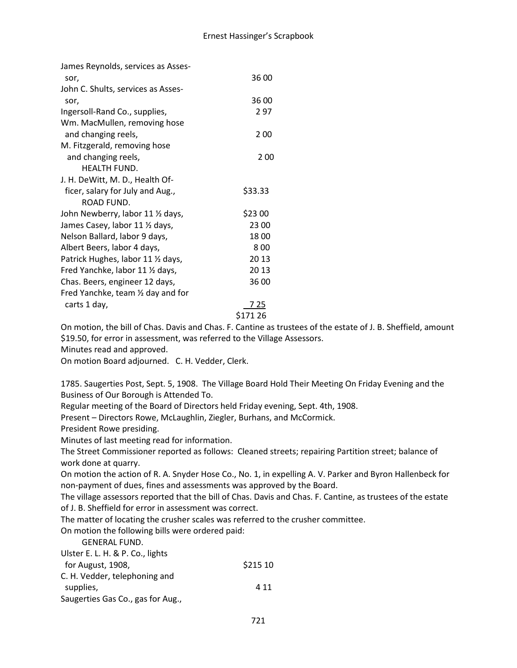| James Reynolds, services as Asses- |          |
|------------------------------------|----------|
| sor,                               | 36 00    |
| John C. Shults, services as Asses- |          |
| sor,                               | 36 00    |
| Ingersoll-Rand Co., supplies,      | 297      |
| Wm. MacMullen, removing hose       |          |
| and changing reels,                | 2 0 0    |
| M. Fitzgerald, removing hose       |          |
| and changing reels,                | 2 00     |
| <b>HEALTH FUND.</b>                |          |
| J. H. DeWitt, M. D., Health Of-    |          |
| ficer, salary for July and Aug.,   | \$33.33  |
| ROAD FUND.                         |          |
| John Newberry, labor 11 1/2 days,  | \$23 00  |
| James Casey, labor 11 1/2 days,    | 23 00    |
| Nelson Ballard, labor 9 days,      | 1800     |
| Albert Beers, labor 4 days,        | 800      |
| Patrick Hughes, labor 11 1/2 days, | 20 13    |
| Fred Yanchke, labor 11 1/2 days,   | 20 13    |
| Chas. Beers, engineer 12 days,     | 36 00    |
| Fred Yanchke, team 1/2 day and for |          |
| carts 1 day,                       | 7 25     |
|                                    | \$171 26 |

On motion, the bill of Chas. Davis and Chas. F. Cantine as trustees of the estate of J. B. Sheffield, amount \$19.50, for error in assessment, was referred to the Village Assessors.

Minutes read and approved.

On motion Board adjourned. C. H. Vedder, Clerk.

1785. Saugerties Post, Sept. 5, 1908. The Village Board Hold Their Meeting On Friday Evening and the Business of Our Borough is Attended To.

Regular meeting of the Board of Directors held Friday evening, Sept. 4th, 1908.

Present – Directors Rowe, McLaughlin, Ziegler, Burhans, and McCormick.

President Rowe presiding.

Minutes of last meeting read for information.

The Street Commissioner reported as follows: Cleaned streets; repairing Partition street; balance of work done at quarry.

On motion the action of R. A. Snyder Hose Co., No. 1, in expelling A. V. Parker and Byron Hallenbeck for non-payment of dues, fines and assessments was approved by the Board.

The village assessors reported that the bill of Chas. Davis and Chas. F. Cantine, as trustees of the estate of J. B. Sheffield for error in assessment was correct.

The matter of locating the crusher scales was referred to the crusher committee.

On motion the following bills were ordered paid:

GENERAL FUND.

| Ulster E. L. H. & P. Co., lights  |          |
|-----------------------------------|----------|
| for August, 1908,                 | \$215 10 |
| C. H. Vedder, telephoning and     |          |
| supplies,                         | 4 1 1    |
| Saugerties Gas Co., gas for Aug., |          |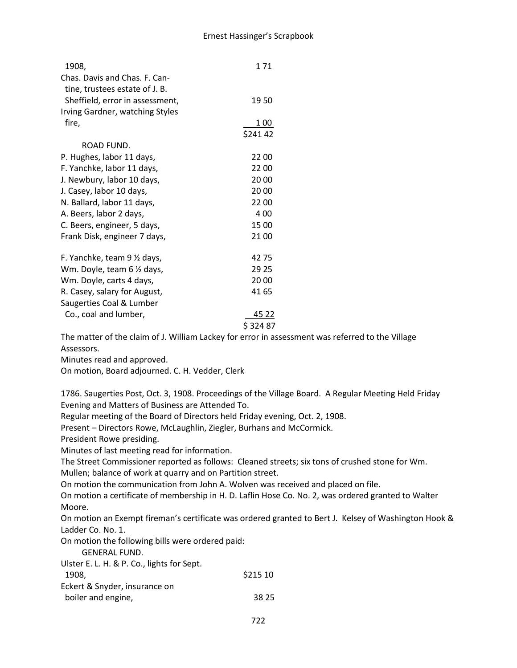| 1908,                           | 171     |
|---------------------------------|---------|
| Chas. Davis and Chas. F. Can-   |         |
| tine, trustees estate of J. B.  |         |
| Sheffield, error in assessment, | 1950    |
| Irving Gardner, watching Styles |         |
| fire,                           | 1 00    |
|                                 | \$24142 |
| ROAD FUND.                      |         |
| P. Hughes, labor 11 days,       | 22 00   |
| F. Yanchke, labor 11 days,      | 2200    |
| J. Newbury, labor 10 days,      | 20 00   |
| J. Casey, labor 10 days,        | 20 00   |
| N. Ballard, labor 11 days,      | 22 00   |
| A. Beers, labor 2 days,         | 4 0 0   |
| C. Beers, engineer, 5 days,     | 15 00   |
| Frank Disk, engineer 7 days,    | 21 00   |
| F. Yanchke, team 9 1/2 days,    | 4275    |
| Wm. Doyle, team 6 1/2 days,     | 29 25   |
| Wm. Doyle, carts 4 days,        | 20 00   |
| R. Casey, salary for August,    | 41 65   |
| Saugerties Coal & Lumber        |         |
| Co., coal and lumber,           | 45 22   |
|                                 | \$32487 |

The matter of the claim of J. William Lackey for error in assessment was referred to the Village Assessors.

Minutes read and approved.

On motion, Board adjourned. C. H. Vedder, Clerk

1786. Saugerties Post, Oct. 3, 1908. Proceedings of the Village Board. A Regular Meeting Held Friday Evening and Matters of Business are Attended To.

Regular meeting of the Board of Directors held Friday evening, Oct. 2, 1908.

Present – Directors Rowe, McLaughlin, Ziegler, Burhans and McCormick.

President Rowe presiding.

Minutes of last meeting read for information.

The Street Commissioner reported as follows: Cleaned streets; six tons of crushed stone for Wm. Mullen; balance of work at quarry and on Partition street.

On motion the communication from John A. Wolven was received and placed on file.

On motion a certificate of membership in H. D. Laflin Hose Co. No. 2, was ordered granted to Walter Moore.

On motion an Exempt fireman's certificate was ordered granted to Bert J. Kelsey of Washington Hook & Ladder Co. No. 1.

On motion the following bills were ordered paid:

GENERAL FUND.

| Ulster E. L. H. & P. Co., lights for Sept. |          |
|--------------------------------------------|----------|
| 1908.                                      | \$215 10 |
| Eckert & Snyder, insurance on              |          |
| boiler and engine,                         | 38.25    |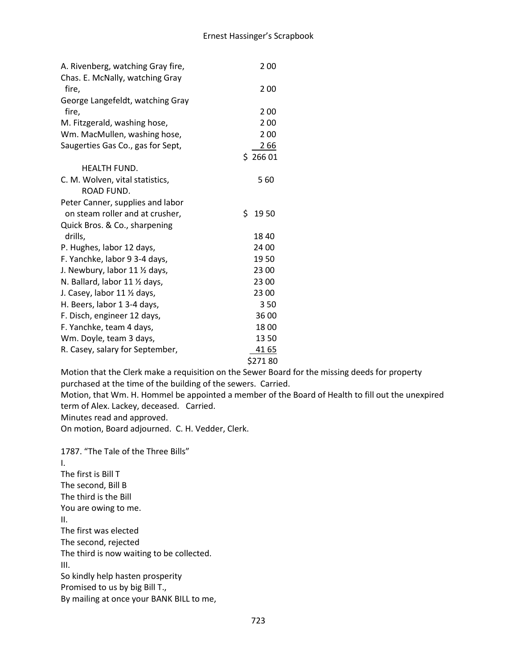| A. Rivenberg, watching Gray fire, | 200        |
|-----------------------------------|------------|
| Chas. E. McNally, watching Gray   |            |
| fire,                             | 200        |
| George Langefeldt, watching Gray  |            |
| fire,                             | 200        |
| M. Fitzgerald, washing hose,      | 200        |
| Wm. MacMullen, washing hose,      | 200        |
| Saugerties Gas Co., gas for Sept, | 266        |
|                                   | \$26601    |
| <b>HEALTH FUND.</b>               |            |
| C. M. Wolven, vital statistics,   | 560        |
| ROAD FUND.                        |            |
| Peter Canner, supplies and labor  |            |
| on steam roller and at crusher,   | \$<br>1950 |
| Quick Bros. & Co., sharpening     |            |
| drills,                           | 1840       |
| P. Hughes, labor 12 days,         | 24 00      |
| F. Yanchke, labor 9 3-4 days,     | 1950       |
| J. Newbury, labor 11 1/2 days,    | 23 00      |
| N. Ballard, labor 11 1/2 days,    | 23 00      |
| J. Casey, labor 11 1/2 days,      | 23 00      |
| H. Beers, labor 1 3-4 days,       | 350        |
| F. Disch, engineer 12 days,       | 36 00      |
| F. Yanchke, team 4 days,          | 1800       |
| Wm. Doyle, team 3 days,           | 1350       |
| R. Casey, salary for September,   | 41 65      |
|                                   | \$27180    |

Motion that the Clerk make a requisition on the Sewer Board for the missing deeds for property purchased at the time of the building of the sewers. Carried.

Motion, that Wm. H. Hommel be appointed a member of the Board of Health to fill out the unexpired term of Alex. Lackey, deceased. Carried.

Minutes read and approved.

On motion, Board adjourned. C. H. Vedder, Clerk.

1787. "The Tale of the Three Bills" I. The first is Bill T The second, Bill B The third is the Bill You are owing to me. II. The first was elected The second, rejected The third is now waiting to be collected. III. So kindly help hasten prosperity Promised to us by big Bill T., By mailing at once your BANK BILL to me,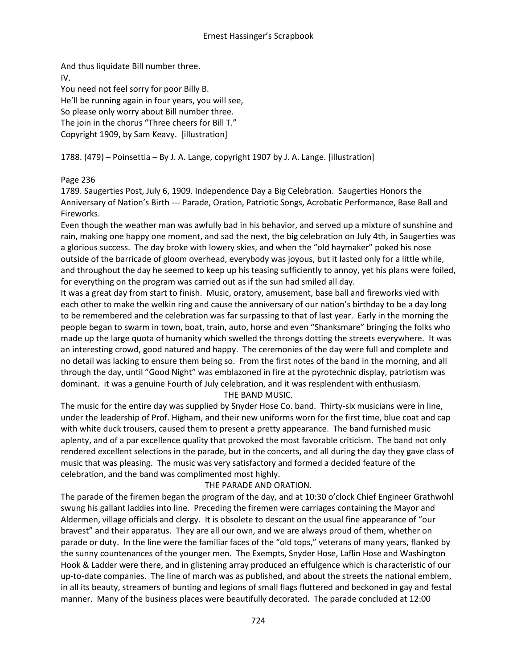And thus liquidate Bill number three. IV. You need not feel sorry for poor Billy B. He'll be running again in four years, you will see, So please only worry about Bill number three. The join in the chorus "Three cheers for Bill T." Copyright 1909, by Sam Keavy. [illustration]

# 1788. (479) – Poinsettia – By J. A. Lange, copyright 1907 by J. A. Lange. [illustration]

# Page 236

1789. Saugerties Post, July 6, 1909. Independence Day a Big Celebration. Saugerties Honors the Anniversary of Nation's Birth --- Parade, Oration, Patriotic Songs, Acrobatic Performance, Base Ball and Fireworks.

Even though the weather man was awfully bad in his behavior, and served up a mixture of sunshine and rain, making one happy one moment, and sad the next, the big celebration on July 4th, in Saugerties was a glorious success. The day broke with lowery skies, and when the "old haymaker" poked his nose outside of the barricade of gloom overhead, everybody was joyous, but it lasted only for a little while, and throughout the day he seemed to keep up his teasing sufficiently to annoy, yet his plans were foiled, for everything on the program was carried out as if the sun had smiled all day.

It was a great day from start to finish. Music, oratory, amusement, base ball and fireworks vied with each other to make the welkin ring and cause the anniversary of our nation's birthday to be a day long to be remembered and the celebration was far surpassing to that of last year. Early in the morning the people began to swarm in town, boat, train, auto, horse and even "Shanksmare" bringing the folks who made up the large quota of humanity which swelled the throngs dotting the streets everywhere. It was an interesting crowd, good natured and happy. The ceremonies of the day were full and complete and no detail was lacking to ensure them being so. From the first notes of the band in the morning, and all through the day, until "Good Night" was emblazoned in fire at the pyrotechnic display, patriotism was dominant. it was a genuine Fourth of July celebration, and it was resplendent with enthusiasm.

# THE BAND MUSIC.

The music for the entire day was supplied by Snyder Hose Co. band. Thirty-six musicians were in line, under the leadership of Prof. Higham, and their new uniforms worn for the first time, blue coat and cap with white duck trousers, caused them to present a pretty appearance. The band furnished music aplenty, and of a par excellence quality that provoked the most favorable criticism. The band not only rendered excellent selections in the parade, but in the concerts, and all during the day they gave class of music that was pleasing. The music was very satisfactory and formed a decided feature of the celebration, and the band was complimented most highly.

# THE PARADE AND ORATION.

The parade of the firemen began the program of the day, and at 10:30 o'clock Chief Engineer Grathwohl swung his gallant laddies into line. Preceding the firemen were carriages containing the Mayor and Aldermen, village officials and clergy. It is obsolete to descant on the usual fine appearance of "our bravest" and their apparatus. They are all our own, and we are always proud of them, whether on parade or duty. In the line were the familiar faces of the "old tops," veterans of many years, flanked by the sunny countenances of the younger men. The Exempts, Snyder Hose, Laflin Hose and Washington Hook & Ladder were there, and in glistening array produced an effulgence which is characteristic of our up-to-date companies. The line of march was as published, and about the streets the national emblem, in all its beauty, streamers of bunting and legions of small flags fluttered and beckoned in gay and festal manner. Many of the business places were beautifully decorated. The parade concluded at 12:00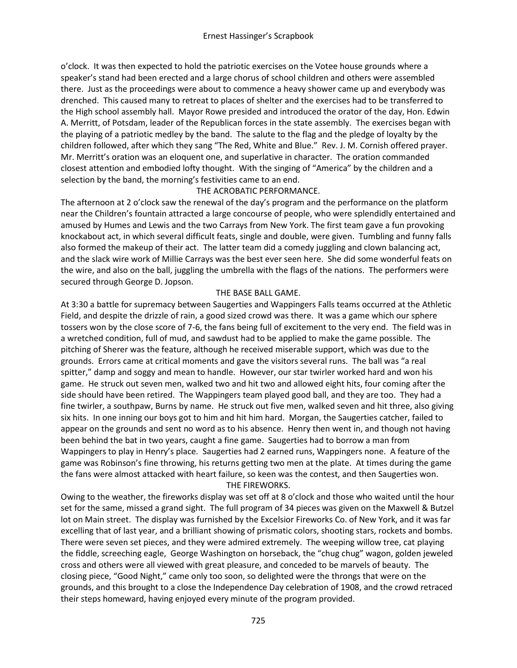o'clock. It was then expected to hold the patriotic exercises on the Votee house grounds where a speaker's stand had been erected and a large chorus of school children and others were assembled there. Just as the proceedings were about to commence a heavy shower came up and everybody was drenched. This caused many to retreat to places of shelter and the exercises had to be transferred to the High school assembly hall. Mayor Rowe presided and introduced the orator of the day, Hon. Edwin A. Merritt, of Potsdam, leader of the Republican forces in the state assembly. The exercises began with the playing of a patriotic medley by the band. The salute to the flag and the pledge of loyalty by the children followed, after which they sang "The Red, White and Blue." Rev. J. M. Cornish offered prayer. Mr. Merritt's oration was an eloquent one, and superlative in character. The oration commanded closest attention and embodied lofty thought. With the singing of "America" by the children and a selection by the band, the morning's festivities came to an end.

### THE ACROBATIC PERFORMANCE.

The afternoon at 2 o'clock saw the renewal of the day's program and the performance on the platform near the Children's fountain attracted a large concourse of people, who were splendidly entertained and amused by Humes and Lewis and the two Carrays from New York. The first team gave a fun provoking knockabout act, in which several difficult feats, single and double, were given. Tumbling and funny falls also formed the makeup of their act. The latter team did a comedy juggling and clown balancing act, and the slack wire work of Millie Carrays was the best ever seen here. She did some wonderful feats on the wire, and also on the ball, juggling the umbrella with the flags of the nations. The performers were secured through George D. Jopson.

### THE BASE BALL GAME.

At 3:30 a battle for supremacy between Saugerties and Wappingers Falls teams occurred at the Athletic Field, and despite the drizzle of rain, a good sized crowd was there. It was a game which our sphere tossers won by the close score of 7-6, the fans being full of excitement to the very end. The field was in a wretched condition, full of mud, and sawdust had to be applied to make the game possible. The pitching of Sherer was the feature, although he received miserable support, which was due to the grounds. Errors came at critical moments and gave the visitors several runs. The ball was "a real spitter," damp and soggy and mean to handle. However, our star twirler worked hard and won his game. He struck out seven men, walked two and hit two and allowed eight hits, four coming after the side should have been retired. The Wappingers team played good ball, and they are too. They had a fine twirler, a southpaw, Burns by name. He struck out five men, walked seven and hit three, also giving six hits. In one inning our boys got to him and hit him hard. Morgan, the Saugerties catcher, failed to appear on the grounds and sent no word as to his absence. Henry then went in, and though not having been behind the bat in two years, caught a fine game. Saugerties had to borrow a man from Wappingers to play in Henry's place. Saugerties had 2 earned runs, Wappingers none. A feature of the game was Robinson's fine throwing, his returns getting two men at the plate. At times during the game the fans were almost attacked with heart failure, so keen was the contest, and then Saugerties won.

### THE FIREWORKS.

Owing to the weather, the fireworks display was set off at 8 o'clock and those who waited until the hour set for the same, missed a grand sight. The full program of 34 pieces was given on the Maxwell & Butzel lot on Main street. The display was furnished by the Excelsior Fireworks Co. of New York, and it was far excelling that of last year, and a brilliant showing of prismatic colors, shooting stars, rockets and bombs. There were seven set pieces, and they were admired extremely. The weeping willow tree, cat playing the fiddle, screeching eagle, George Washington on horseback, the "chug chug" wagon, golden jeweled cross and others were all viewed with great pleasure, and conceded to be marvels of beauty. The closing piece, "Good Night," came only too soon, so delighted were the throngs that were on the grounds, and this brought to a close the Independence Day celebration of 1908, and the crowd retraced their steps homeward, having enjoyed every minute of the program provided.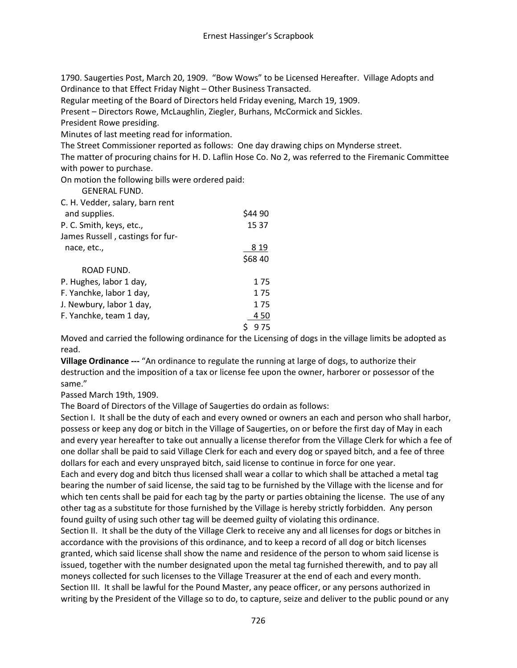1790. Saugerties Post, March 20, 1909. "Bow Wows" to be Licensed Hereafter. Village Adopts and Ordinance to that Effect Friday Night – Other Business Transacted.

Regular meeting of the Board of Directors held Friday evening, March 19, 1909.

Present – Directors Rowe, McLaughlin, Ziegler, Burhans, McCormick and Sickles.

President Rowe presiding.

Minutes of last meeting read for information.

The Street Commissioner reported as follows: One day drawing chips on Mynderse street.

The matter of procuring chains for H. D. Laflin Hose Co. No 2, was referred to the Firemanic Committee with power to purchase.

On motion the following bills were ordered paid:

GENERAL FUND.

C. H. Vedder, salary, barn rent

| and supplies.                    | \$44 90 |
|----------------------------------|---------|
| P. C. Smith, keys, etc.,         | 15 37   |
| James Russell, castings for fur- |         |
| nace, etc.,                      | 8 19    |
|                                  | \$68 40 |
| ROAD FUND.                       |         |
| P. Hughes, labor 1 day,          | 175     |
| F. Yanchke, labor 1 day,         | 175     |
| J. Newbury, labor 1 day,         | 175     |
| F. Yanchke, team 1 day,          | 450     |
|                                  | 975     |

Moved and carried the following ordinance for the Licensing of dogs in the village limits be adopted as read.

**Village Ordinance ---** "An ordinance to regulate the running at large of dogs, to authorize their destruction and the imposition of a tax or license fee upon the owner, harborer or possessor of the same."

Passed March 19th, 1909.

The Board of Directors of the Village of Saugerties do ordain as follows:

Section I. It shall be the duty of each and every owned or owners an each and person who shall harbor, possess or keep any dog or bitch in the Village of Saugerties, on or before the first day of May in each and every year hereafter to take out annually a license therefor from the Village Clerk for which a fee of one dollar shall be paid to said Village Clerk for each and every dog or spayed bitch, and a fee of three dollars for each and every unsprayed bitch, said license to continue in force for one year.

Each and every dog and bitch thus licensed shall wear a collar to which shall be attached a metal tag bearing the number of said license, the said tag to be furnished by the Village with the license and for which ten cents shall be paid for each tag by the party or parties obtaining the license. The use of any other tag as a substitute for those furnished by the Village is hereby strictly forbidden. Any person found guilty of using such other tag will be deemed guilty of violating this ordinance.

Section II. It shall be the duty of the Village Clerk to receive any and all licenses for dogs or bitches in accordance with the provisions of this ordinance, and to keep a record of all dog or bitch licenses granted, which said license shall show the name and residence of the person to whom said license is issued, together with the number designated upon the metal tag furnished therewith, and to pay all moneys collected for such licenses to the Village Treasurer at the end of each and every month. Section III. It shall be lawful for the Pound Master, any peace officer, or any persons authorized in writing by the President of the Village so to do, to capture, seize and deliver to the public pound or any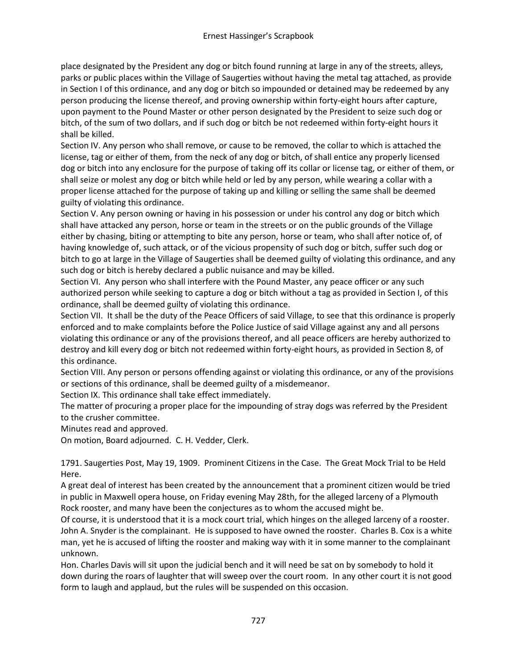place designated by the President any dog or bitch found running at large in any of the streets, alleys, parks or public places within the Village of Saugerties without having the metal tag attached, as provide in Section I of this ordinance, and any dog or bitch so impounded or detained may be redeemed by any person producing the license thereof, and proving ownership within forty-eight hours after capture, upon payment to the Pound Master or other person designated by the President to seize such dog or bitch, of the sum of two dollars, and if such dog or bitch be not redeemed within forty-eight hours it shall be killed.

Section IV. Any person who shall remove, or cause to be removed, the collar to which is attached the license, tag or either of them, from the neck of any dog or bitch, of shall entice any properly licensed dog or bitch into any enclosure for the purpose of taking off its collar or license tag, or either of them, or shall seize or molest any dog or bitch while held or led by any person, while wearing a collar with a proper license attached for the purpose of taking up and killing or selling the same shall be deemed guilty of violating this ordinance.

Section V. Any person owning or having in his possession or under his control any dog or bitch which shall have attacked any person, horse or team in the streets or on the public grounds of the Village either by chasing, biting or attempting to bite any person, horse or team, who shall after notice of, of having knowledge of, such attack, or of the vicious propensity of such dog or bitch, suffer such dog or bitch to go at large in the Village of Saugerties shall be deemed guilty of violating this ordinance, and any such dog or bitch is hereby declared a public nuisance and may be killed.

Section VI. Any person who shall interfere with the Pound Master, any peace officer or any such authorized person while seeking to capture a dog or bitch without a tag as provided in Section I, of this ordinance, shall be deemed guilty of violating this ordinance.

Section VII. It shall be the duty of the Peace Officers of said Village, to see that this ordinance is properly enforced and to make complaints before the Police Justice of said Village against any and all persons violating this ordinance or any of the provisions thereof, and all peace officers are hereby authorized to destroy and kill every dog or bitch not redeemed within forty-eight hours, as provided in Section 8, of this ordinance.

Section VIII. Any person or persons offending against or violating this ordinance, or any of the provisions or sections of this ordinance, shall be deemed guilty of a misdemeanor.

Section IX. This ordinance shall take effect immediately.

The matter of procuring a proper place for the impounding of stray dogs was referred by the President to the crusher committee.

Minutes read and approved.

On motion, Board adjourned. C. H. Vedder, Clerk.

1791. Saugerties Post, May 19, 1909. Prominent Citizens in the Case. The Great Mock Trial to be Held Here.

A great deal of interest has been created by the announcement that a prominent citizen would be tried in public in Maxwell opera house, on Friday evening May 28th, for the alleged larceny of a Plymouth Rock rooster, and many have been the conjectures as to whom the accused might be.

Of course, it is understood that it is a mock court trial, which hinges on the alleged larceny of a rooster. John A. Snyder is the complainant. He is supposed to have owned the rooster. Charles B. Cox is a white man, yet he is accused of lifting the rooster and making way with it in some manner to the complainant unknown.

Hon. Charles Davis will sit upon the judicial bench and it will need be sat on by somebody to hold it down during the roars of laughter that will sweep over the court room. In any other court it is not good form to laugh and applaud, but the rules will be suspended on this occasion.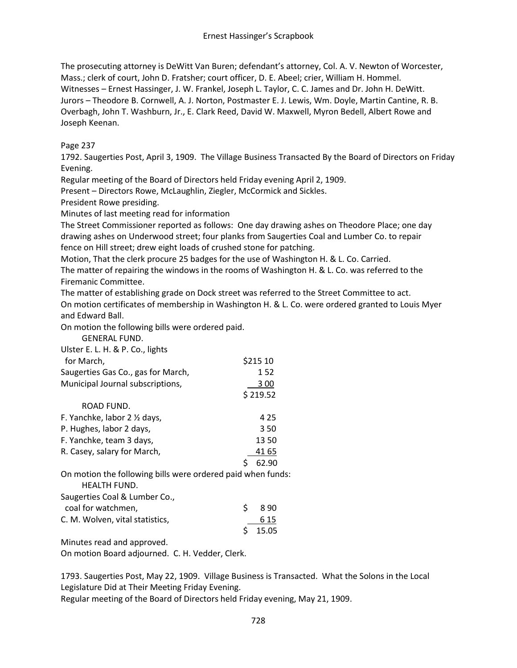The prosecuting attorney is DeWitt Van Buren; defendant's attorney, Col. A. V. Newton of Worcester, Mass.; clerk of court, John D. Fratsher; court officer, D. E. Abeel; crier, William H. Hommel. Witnesses – Ernest Hassinger, J. W. Frankel, Joseph L. Taylor, C. C. James and Dr. John H. DeWitt. Jurors – Theodore B. Cornwell, A. J. Norton, Postmaster E. J. Lewis, Wm. Doyle, Martin Cantine, R. B. Overbagh, John T. Washburn, Jr., E. Clark Reed, David W. Maxwell, Myron Bedell, Albert Rowe and Joseph Keenan.

### Page 237

1792. Saugerties Post, April 3, 1909. The Village Business Transacted By the Board of Directors on Friday Evening.

Regular meeting of the Board of Directors held Friday evening April 2, 1909.

Present – Directors Rowe, McLaughlin, Ziegler, McCormick and Sickles.

President Rowe presiding.

Minutes of last meeting read for information

The Street Commissioner reported as follows: One day drawing ashes on Theodore Place; one day drawing ashes on Underwood street; four planks from Saugerties Coal and Lumber Co. to repair fence on Hill street; drew eight loads of crushed stone for patching.

Motion, That the clerk procure 25 badges for the use of Washington H. & L. Co. Carried. The matter of repairing the windows in the rooms of Washington H. & L. Co. was referred to the Firemanic Committee.

The matter of establishing grade on Dock street was referred to the Street Committee to act. On motion certificates of membership in Washington H. & L. Co. were ordered granted to Louis Myer and Edward Ball.

On motion the following bills were ordered paid.

GENERAL FUND.

| Ulster E. L. H. & P. Co., lights                                                   |           |  |
|------------------------------------------------------------------------------------|-----------|--|
| for March,                                                                         | \$215 10  |  |
| Saugerties Gas Co., gas for March,                                                 | 152       |  |
| Municipal Journal subscriptions,                                                   | 3 00      |  |
|                                                                                    | \$219.52  |  |
| ROAD FUND.                                                                         |           |  |
| F. Yanchke, labor 2 1/2 days,                                                      | 4 2 5     |  |
| P. Hughes, labor 2 days,                                                           | 350       |  |
| F. Yanchke, team 3 days,                                                           | 1350      |  |
| R. Casey, salary for March,                                                        | 41 65     |  |
|                                                                                    | 62.90     |  |
| On motion the following bills were ordered paid when funds:<br><b>HEALTH FUND.</b> |           |  |
| Saugerties Coal & Lumber Co.,                                                      |           |  |
| coal for watchmen,                                                                 | \$<br>890 |  |
| C. M. Wolven, vital statistics,                                                    | 6 15      |  |
|                                                                                    | 15.05     |  |
| <b>NATION CONTRACT AND A SECOND PROPERTY</b>                                       |           |  |

Minutes read and approved.

On motion Board adjourned. C. H. Vedder, Clerk.

1793. Saugerties Post, May 22, 1909. Village Business is Transacted. What the Solons in the Local Legislature Did at Their Meeting Friday Evening. Regular meeting of the Board of Directors held Friday evening, May 21, 1909.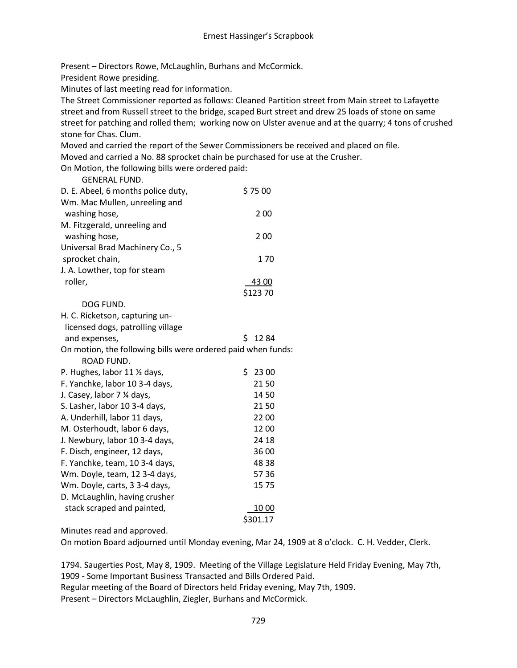Present – Directors Rowe, McLaughlin, Burhans and McCormick.

President Rowe presiding.

Minutes of last meeting read for information.

The Street Commissioner reported as follows: Cleaned Partition street from Main street to Lafayette street and from Russell street to the bridge, scaped Burt street and drew 25 loads of stone on same street for patching and rolled them; working now on Ulster avenue and at the quarry; 4 tons of crushed stone for Chas. Clum.

Moved and carried the report of the Sewer Commissioners be received and placed on file. Moved and carried a No. 88 sprocket chain be purchased for use at the Crusher.

On Motion, the following bills were ordered paid: GENERAL FUND.

| <b>ULIVENAL FUIVU.</b>                                       |             |
|--------------------------------------------------------------|-------------|
| D. E. Abeel, 6 months police duty,                           | \$7500      |
| Wm. Mac Mullen, unreeling and                                |             |
| washing hose,                                                | 200         |
| M. Fitzgerald, unreeling and                                 |             |
| washing hose,                                                | 200         |
| Universal Brad Machinery Co., 5                              |             |
| sprocket chain,                                              | 170         |
| J. A. Lowther, top for steam                                 |             |
| roller,                                                      | 43 00       |
|                                                              | \$123 70    |
| DOG FUND.                                                    |             |
| H. C. Ricketson, capturing un-                               |             |
| licensed dogs, patrolling village                            |             |
| and expenses,                                                | Ś.<br>1284  |
| On motion, the following bills were ordered paid when funds: |             |
| ROAD FUND.                                                   |             |
| P. Hughes, labor 11 1/2 days,                                | \$<br>23 00 |
| F. Yanchke, labor 10 3-4 days,                               | 2150        |
| J. Casey, labor 7 % days,                                    | 1450        |
| S. Lasher, labor 10 3-4 days,                                | 2150        |
| A. Underhill, labor 11 days,                                 | 22 00       |
| M. Osterhoudt, labor 6 days,                                 | 1200        |
| J. Newbury, labor 10 3-4 days,                               | 24 18       |
| F. Disch, engineer, 12 days,                                 | 36 00       |
| F. Yanchke, team, 10 3-4 days,                               | 48 38       |
| Wm. Doyle, team, 12 3-4 days,                                | 57 36       |
| Wm. Doyle, carts, 3 3-4 days,                                | 1575        |
| D. McLaughlin, having crusher                                |             |
| stack scraped and painted,                                   | <u>1000</u> |
|                                                              | \$301.17    |

Minutes read and approved.

On motion Board adjourned until Monday evening, Mar 24, 1909 at 8 o'clock. C. H. Vedder, Clerk.

1794. Saugerties Post, May 8, 1909. Meeting of the Village Legislature Held Friday Evening, May 7th, 1909 - Some Important Business Transacted and Bills Ordered Paid. Regular meeting of the Board of Directors held Friday evening, May 7th, 1909. Present – Directors McLaughlin, Ziegler, Burhans and McCormick.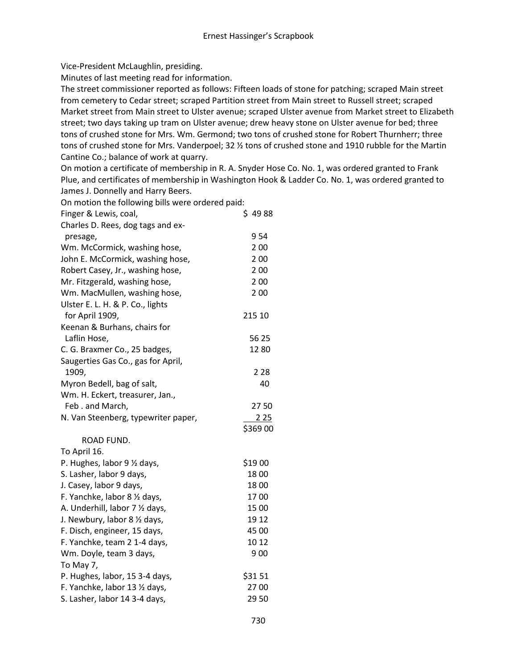Vice-President McLaughlin, presiding.

Minutes of last meeting read for information.

The street commissioner reported as follows: Fifteen loads of stone for patching; scraped Main street from cemetery to Cedar street; scraped Partition street from Main street to Russell street; scraped Market street from Main street to Ulster avenue; scraped Ulster avenue from Market street to Elizabeth street; two days taking up tram on Ulster avenue; drew heavy stone on Ulster avenue for bed; three tons of crushed stone for Mrs. Wm. Germond; two tons of crushed stone for Robert Thurnherr; three tons of crushed stone for Mrs. Vanderpoel; 32 ½ tons of crushed stone and 1910 rubble for the Martin Cantine Co.; balance of work at quarry.

On motion a certificate of membership in R. A. Snyder Hose Co. No. 1, was ordered granted to Frank Plue, and certificates of membership in Washington Hook & Ladder Co. No. 1, was ordered granted to James J. Donnelly and Harry Beers.

| On motion the following bills were ordered paid: |          |  |
|--------------------------------------------------|----------|--|
| Finger & Lewis, coal,                            | \$4988   |  |
| Charles D. Rees, dog tags and ex-                |          |  |
| presage,                                         | 954      |  |
| Wm. McCormick, washing hose,                     | 2 0 0    |  |
| John E. McCormick, washing hose,                 | 2 0 0    |  |
| Robert Casey, Jr., washing hose,                 | 200      |  |
| Mr. Fitzgerald, washing hose,                    | 2 0 0    |  |
| Wm. MacMullen, washing hose,                     | 200      |  |
| Ulster E. L. H. & P. Co., lights                 |          |  |
| for April 1909,                                  | 215 10   |  |
| Keenan & Burhans, chairs for                     |          |  |
| Laflin Hose,                                     | 56 25    |  |
| C. G. Braxmer Co., 25 badges,                    | 1280     |  |
| Saugerties Gas Co., gas for April,               |          |  |
| 1909,                                            | 2 2 8    |  |
| Myron Bedell, bag of salt,                       | 40       |  |
| Wm. H. Eckert, treasurer, Jan.,                  |          |  |
| Feb. and March,                                  | 2750     |  |
| N. Van Steenberg, typewriter paper,              | 225      |  |
|                                                  | \$369 00 |  |
| ROAD FUND.                                       |          |  |
| To April 16.                                     |          |  |
| P. Hughes, labor 9 1/2 days,                     | \$19 00  |  |
| S. Lasher, labor 9 days,                         | 1800     |  |
| J. Casey, labor 9 days,                          | 1800     |  |
| F. Yanchke, labor 8 1/2 days,                    | 1700     |  |
| A. Underhill, labor 7 1/2 days,                  | 15 00    |  |
| J. Newbury, labor 8 1/2 days,                    | 19 12    |  |
| F. Disch, engineer, 15 days,                     | 45 00    |  |
| F. Yanchke, team 2 1-4 days,                     | 10 12    |  |
| Wm. Doyle, team 3 days,                          | 900      |  |
| To May 7,                                        |          |  |
| P. Hughes, labor, 15 3-4 days,                   | \$3151   |  |
| F. Yanchke, labor 13 1/2 days,                   | 27 00    |  |
| S. Lasher, labor 14 3-4 days,                    | 29 50    |  |
|                                                  |          |  |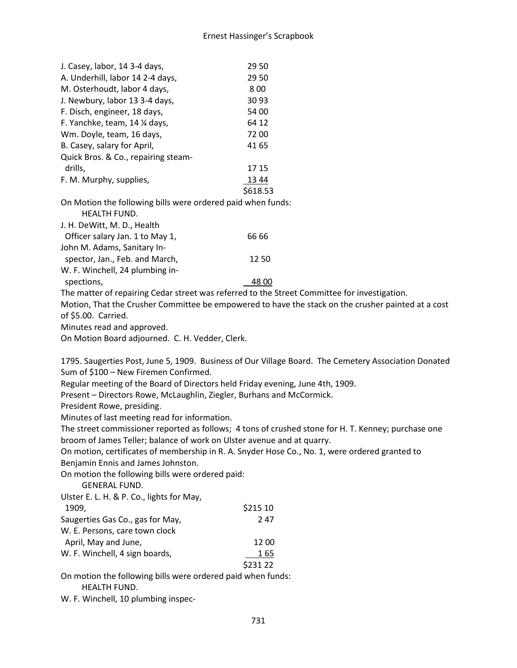| J. Casey, labor, 14 3-4 days,                                                                      | 29 50                                                                                        |  |
|----------------------------------------------------------------------------------------------------|----------------------------------------------------------------------------------------------|--|
| A. Underhill, labor 14 2-4 days,                                                                   | 29 50                                                                                        |  |
| M. Osterhoudt, labor 4 days,                                                                       | 800                                                                                          |  |
| J. Newbury, labor 13 3-4 days,                                                                     | 30 93                                                                                        |  |
| F. Disch, engineer, 18 days,                                                                       | 54 00                                                                                        |  |
| F. Yanchke, team, 14 1/4 days,                                                                     | 64 12                                                                                        |  |
| Wm. Doyle, team, 16 days,                                                                          | 72 00                                                                                        |  |
| B. Casey, salary for April,                                                                        | 41 65                                                                                        |  |
| Quick Bros. & Co., repairing steam-                                                                |                                                                                              |  |
| drills,                                                                                            | 17 15                                                                                        |  |
| F. M. Murphy, supplies,                                                                            | 13 44                                                                                        |  |
|                                                                                                    | \$618.53                                                                                     |  |
| On Motion the following bills were ordered paid when funds:                                        |                                                                                              |  |
| HEALTH FUND.                                                                                       |                                                                                              |  |
| J. H. DeWitt, M. D., Health                                                                        |                                                                                              |  |
| Officer salary Jan. 1 to May 1,                                                                    | 66 66                                                                                        |  |
| John M. Adams, Sanitary In-                                                                        |                                                                                              |  |
| spector, Jan., Feb. and March,                                                                     | 1250                                                                                         |  |
| W. F. Winchell, 24 plumbing in-                                                                    |                                                                                              |  |
| spections,                                                                                         | 48 00                                                                                        |  |
|                                                                                                    | The matter of repairing Cedar street was referred to the Street Committee for investigation. |  |
| Motion, That the Crusher Committee be empowered to have the stack on the crusher painted at a cost |                                                                                              |  |
| of \$5.00. Carried.                                                                                |                                                                                              |  |
| Minutes read and approved.                                                                         |                                                                                              |  |
| On Motion Board adjourned. C. H. Vedder, Clerk.                                                    |                                                                                              |  |

1795. Saugerties Post, June 5, 1909. Business of Our Village Board. The Cemetery Association Donated Sum of \$100 – New Firemen Confirmed.

Regular meeting of the Board of Directors held Friday evening, June 4th, 1909.

Present – Directors Rowe, McLaughlin, Ziegler, Burhans and McCormick.

President Rowe, presiding.

Minutes of last meeting read for information.

The street commissioner reported as follows; 4 tons of crushed stone for H. T. Kenney; purchase one broom of James Teller; balance of work on Ulster avenue and at quarry.

On motion, certificates of membership in R. A. Snyder Hose Co., No. 1, were ordered granted to Benjamin Ennis and James Johnston.

On motion the following bills were ordered paid:

GENERAL FUND.

Ulster E. L. H. & P. Co., lights for May,

| 1909,                            | \$215 10 |
|----------------------------------|----------|
| Saugerties Gas Co., gas for May, | 247      |
| W. E. Persons, care town clock   |          |
| April, May and June,             | 12 00    |
| W. F. Winchell, 4 sign boards,   | 165      |
|                                  | \$231 22 |

On motion the following bills were ordered paid when funds: HEALTH FUND.

W. F. Winchell, 10 plumbing inspec-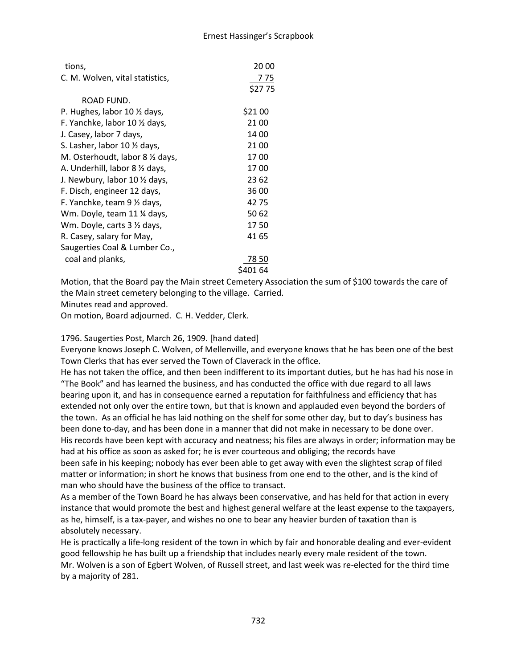| tions,                                   | 20 00   |
|------------------------------------------|---------|
| C. M. Wolven, vital statistics,          | 7 75    |
|                                          | \$2775  |
| ROAD FUND.                               |         |
| P. Hughes, labor 10 1/2 days,            | \$21 00 |
| F. Yanchke, labor 10 $\frac{1}{2}$ days, | 21 00   |
| J. Casey, labor 7 days,                  | 14 00   |
| S. Lasher, labor 10 1/2 days,            | 21 00   |
| M. Osterhoudt, labor 8 1/2 days,         | 1700    |
| A. Underhill, labor 8 1/2 days,          | 1700    |
| J. Newbury, labor 10 1/2 days,           | 23 62   |
| F. Disch, engineer 12 days,              | 36 00   |
| F. Yanchke, team 9 1/2 days,             | 4275    |
| Wm. Doyle, team 11 ¼ days,               | 50 62   |
| Wm. Doyle, carts 3 1/2 days,             | 1750    |
| R. Casey, salary for May,                | 41 65   |
| Saugerties Coal & Lumber Co.,            |         |
| coal and planks,                         | 78 50   |
|                                          | 401 64  |

Motion, that the Board pay the Main street Cemetery Association the sum of \$100 towards the care of the Main street cemetery belonging to the village. Carried.

Minutes read and approved.

On motion, Board adjourned. C. H. Vedder, Clerk.

1796. Saugerties Post, March 26, 1909. [hand dated]

Everyone knows Joseph C. Wolven, of Mellenville, and everyone knows that he has been one of the best Town Clerks that has ever served the Town of Claverack in the office.

He has not taken the office, and then been indifferent to its important duties, but he has had his nose in "The Book" and has learned the business, and has conducted the office with due regard to all laws bearing upon it, and has in consequence earned a reputation for faithfulness and efficiency that has extended not only over the entire town, but that is known and applauded even beyond the borders of the town. As an official he has laid nothing on the shelf for some other day, but to day's business has been done to-day, and has been done in a manner that did not make in necessary to be done over. His records have been kept with accuracy and neatness; his files are always in order; information may be had at his office as soon as asked for; he is ever courteous and obliging; the records have been safe in his keeping; nobody has ever been able to get away with even the slightest scrap of filed matter or information; in short he knows that business from one end to the other, and is the kind of man who should have the business of the office to transact.

As a member of the Town Board he has always been conservative, and has held for that action in every instance that would promote the best and highest general welfare at the least expense to the taxpayers, as he, himself, is a tax-payer, and wishes no one to bear any heavier burden of taxation than is absolutely necessary.

He is practically a life-long resident of the town in which by fair and honorable dealing and ever-evident good fellowship he has built up a friendship that includes nearly every male resident of the town. Mr. Wolven is a son of Egbert Wolven, of Russell street, and last week was re-elected for the third time by a majority of 281.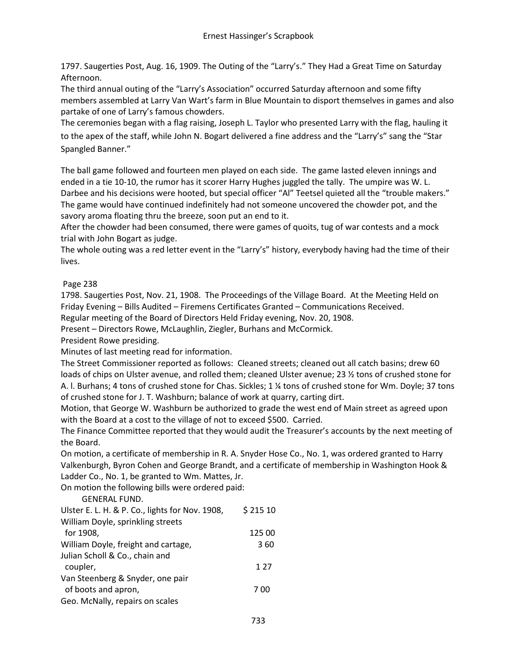1797. Saugerties Post, Aug. 16, 1909. The Outing of the "Larry's." They Had a Great Time on Saturday Afternoon.

The third annual outing of the "Larry's Association" occurred Saturday afternoon and some fifty members assembled at Larry Van Wart's farm in Blue Mountain to disport themselves in games and also partake of one of Larry's famous chowders.

The ceremonies began with a flag raising, Joseph L. Taylor who presented Larry with the flag, hauling it to the apex of the staff, while John N. Bogart delivered a fine address and the "Larry's" sang the "Star Spangled Banner."

The ball game followed and fourteen men played on each side. The game lasted eleven innings and ended in a tie 10-10, the rumor has it scorer Harry Hughes juggled the tally. The umpire was W. L. Darbee and his decisions were hooted, but special officer "Al" Teetsel quieted all the "trouble makers." The game would have continued indefinitely had not someone uncovered the chowder pot, and the savory aroma floating thru the breeze, soon put an end to it.

After the chowder had been consumed, there were games of quoits, tug of war contests and a mock trial with John Bogart as judge.

The whole outing was a red letter event in the "Larry's" history, everybody having had the time of their lives.

### Page 238

1798. Saugerties Post, Nov. 21, 1908. The Proceedings of the Village Board. At the Meeting Held on Friday Evening – Bills Audited – Firemens Certificates Granted – Communications Received.

Regular meeting of the Board of Directors Held Friday evening, Nov. 20, 1908.

Present – Directors Rowe, McLaughlin, Ziegler, Burhans and McCormick.

President Rowe presiding.

Minutes of last meeting read for information.

The Street Commissioner reported as follows: Cleaned streets; cleaned out all catch basins; drew 60 loads of chips on Ulster avenue, and rolled them; cleaned Ulster avenue; 23 ½ tons of crushed stone for A. l. Burhans; 4 tons of crushed stone for Chas. Sickles; 1 ¼ tons of crushed stone for Wm. Doyle; 37 tons of crushed stone for J. T. Washburn; balance of work at quarry, carting dirt.

Motion, that George W. Washburn be authorized to grade the west end of Main street as agreed upon with the Board at a cost to the village of not to exceed \$500. Carried.

The Finance Committee reported that they would audit the Treasurer's accounts by the next meeting of the Board.

On motion, a certificate of membership in R. A. Snyder Hose Co., No. 1, was ordered granted to Harry Valkenburgh, Byron Cohen and George Brandt, and a certificate of membership in Washington Hook & Ladder Co., No. 1, be granted to Wm. Mattes, Jr.

On motion the following bills were ordered paid:

GENERAL FUND.

| Ulster E. L. H. & P. Co., lights for Nov. 1908, | \$21510 |
|-------------------------------------------------|---------|
| William Doyle, sprinkling streets               |         |
| for 1908,                                       | 125 00  |
| William Doyle, freight and cartage,             | 360     |
| Julian Scholl & Co., chain and                  |         |
| coupler,                                        | 1 2 7   |
| Van Steenberg & Snyder, one pair                |         |
| of boots and apron,                             | 7 00    |
| Geo. McNally, repairs on scales                 |         |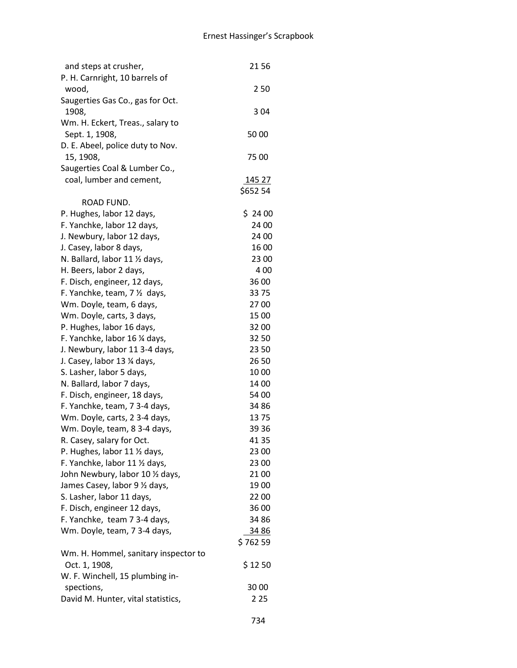| and steps at crusher,                                         | 2156           |
|---------------------------------------------------------------|----------------|
| P. H. Carnright, 10 barrels of                                |                |
| wood,                                                         | 250            |
| Saugerties Gas Co., gas for Oct.                              |                |
| 1908,                                                         | 304            |
| Wm. H. Eckert, Treas., salary to<br>Sept. 1, 1908,            | 50 00          |
| D. E. Abeel, police duty to Nov.                              |                |
| 15, 1908,                                                     | 75 00          |
| Saugerties Coal & Lumber Co.,                                 |                |
| coal, lumber and cement,                                      | <u>145 27</u>  |
|                                                               | \$652 54       |
| ROAD FUND.                                                    |                |
| P. Hughes, labor 12 days,                                     | \$2400         |
| F. Yanchke, labor 12 days,                                    | 24 00          |
| J. Newbury, labor 12 days,                                    | 24 00          |
| J. Casey, labor 8 days,                                       | 16 00          |
| N. Ballard, labor 11 1/2 days,                                | 23 00          |
| H. Beers, labor 2 days,                                       | 400            |
| F. Disch, engineer, 12 days,                                  | 36 00          |
| F. Yanchke, team, 7 1/2 days,                                 | 3375           |
| Wm. Doyle, team, 6 days,                                      | 2700           |
| Wm. Doyle, carts, 3 days,                                     | 15 00          |
| P. Hughes, labor 16 days,                                     | 3200           |
| F. Yanchke, labor 16 1⁄4 days,                                | 32 50          |
| J. Newbury, labor 11 3-4 days,                                | 23 50          |
| J. Casey, labor 13 % days,                                    | 26 50          |
| S. Lasher, labor 5 days,                                      | 1000           |
| N. Ballard, labor 7 days,                                     | 14 00<br>54 00 |
| F. Disch, engineer, 18 days,<br>F. Yanchke, team, 7 3-4 days, | 34 86          |
| Wm. Doyle, carts, 2 3-4 days,                                 | 1375           |
| Wm. Doyle, team, 8 3-4 days,                                  | 39 36          |
| R. Casey, salary for Oct.                                     | 41 35          |
| P. Hughes, labor 11 1/2 days,                                 | 23 00          |
| F. Yanchke, labor 11 1/2 days,                                | 23 00          |
| John Newbury, labor 10 1/2 days,                              | 21 00          |
| James Casey, labor 9 1/2 days,                                | 1900           |
| S. Lasher, labor 11 days,                                     | 2200           |
| F. Disch, engineer 12 days,                                   | 36 00          |
| F. Yanchke, team 7 3-4 days,                                  | 34 86          |
| Wm. Doyle, team, 7 3-4 days,                                  | 34 86          |
|                                                               | \$76259        |
| Wm. H. Hommel, sanitary inspector to                          |                |
| Oct. 1, 1908,                                                 | \$1250         |
| W. F. Winchell, 15 plumbing in-                               |                |
| spections,                                                    | 30 00          |
| David M. Hunter, vital statistics,                            | 2 2 5          |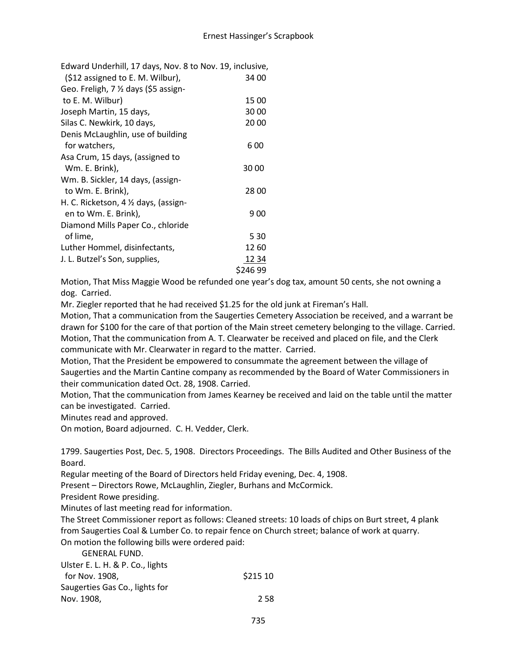| Edward Underhill, 17 days, Nov. 8 to Nov. 19, inclusive, |          |
|----------------------------------------------------------|----------|
| (\$12 assigned to E. M. Wilbur),                         | 34 00    |
| Geo. Freligh, 7 % days (\$5 assign-                      |          |
| to E. M. Wilbur)                                         | 15 00    |
| Joseph Martin, 15 days,                                  | 3000     |
| Silas C. Newkirk, 10 days,                               | 20 00    |
| Denis McLaughlin, use of building                        |          |
| for watchers,                                            | 6 00     |
| Asa Crum, 15 days, (assigned to                          |          |
| Wm. E. Brink),                                           | 3000     |
| Wm. B. Sickler, 14 days, (assign-                        |          |
| to Wm. E. Brink),                                        | 2800     |
| H. C. Ricketson, $4 \frac{1}{2}$ days, (assign-          |          |
| en to Wm. E. Brink),                                     | 900      |
| Diamond Mills Paper Co., chloride                        |          |
| of lime,                                                 | 5 30     |
| Luther Hommel, disinfectants,                            | 1260     |
| J. L. Butzel's Son, supplies,                            | 1234     |
|                                                          | \$246 99 |

Motion, That Miss Maggie Wood be refunded one year's dog tax, amount 50 cents, she not owning a dog. Carried.

Mr. Ziegler reported that he had received \$1.25 for the old junk at Fireman's Hall.

Motion, That a communication from the Saugerties Cemetery Association be received, and a warrant be drawn for \$100 for the care of that portion of the Main street cemetery belonging to the village. Carried. Motion, That the communication from A. T. Clearwater be received and placed on file, and the Clerk communicate with Mr. Clearwater in regard to the matter. Carried.

Motion, That the President be empowered to consummate the agreement between the village of Saugerties and the Martin Cantine company as recommended by the Board of Water Commissioners in their communication dated Oct. 28, 1908. Carried.

Motion, That the communication from James Kearney be received and laid on the table until the matter can be investigated. Carried.

Minutes read and approved.

On motion, Board adjourned. C. H. Vedder, Clerk.

1799. Saugerties Post, Dec. 5, 1908. Directors Proceedings. The Bills Audited and Other Business of the Board.

Regular meeting of the Board of Directors held Friday evening, Dec. 4, 1908.

Present – Directors Rowe, McLaughlin, Ziegler, Burhans and McCormick.

President Rowe presiding.

Minutes of last meeting read for information.

The Street Commissioner report as follows: Cleaned streets: 10 loads of chips on Burt street, 4 plank from Saugerties Coal & Lumber Co. to repair fence on Church street; balance of work at quarry. On motion the following bills were ordered paid:

GENERAL FUND.

| Ulster E. L. H. & P. Co., lights |          |
|----------------------------------|----------|
| for Nov. 1908.                   | \$215 10 |
| Saugerties Gas Co., lights for   |          |
| Nov. 1908,                       | 2.58     |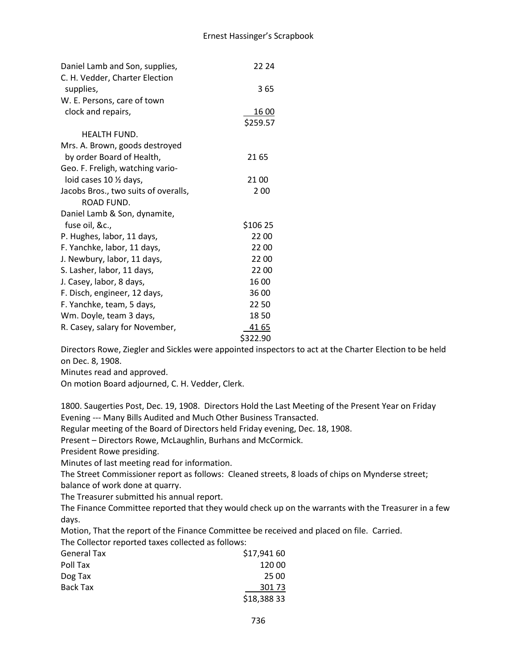| Daniel Lamb and Son, supplies,       | 22 24    |
|--------------------------------------|----------|
| C. H. Vedder, Charter Election       |          |
| supplies,                            | 365      |
| W. E. Persons, care of town          |          |
| clock and repairs,                   | 16 00    |
|                                      | \$259.57 |
| <b>HEALTH FUND.</b>                  |          |
| Mrs. A. Brown, goods destroyed       |          |
| by order Board of Health,            | 21 65    |
| Geo. F. Freligh, watching vario-     |          |
| loid cases $10 \frac{1}{2}$ days,    | 21 00    |
| Jacobs Bros., two suits of overalls, | 200      |
| ROAD FUND.                           |          |
| Daniel Lamb & Son, dynamite,         |          |
| fuse oil, &c.,                       | \$106 25 |
| P. Hughes, labor, 11 days,           | 22 00    |
| F. Yanchke, labor, 11 days,          | 2200     |
| J. Newbury, labor, 11 days,          | 2200     |
| S. Lasher, labor, 11 days,           | 2200     |
| J. Casey, labor, 8 days,             | 1600     |
| F. Disch, engineer, 12 days,         | 36 00    |
| F. Yanchke, team, 5 days,            | 2250     |
| Wm. Doyle, team 3 days,              | 1850     |
| R. Casey, salary for November,       | 41 65    |
|                                      | \$322.90 |

Directors Rowe, Ziegler and Sickles were appointed inspectors to act at the Charter Election to be held on Dec. 8, 1908.

Minutes read and approved.

On motion Board adjourned, C. H. Vedder, Clerk.

1800. Saugerties Post, Dec. 19, 1908. Directors Hold the Last Meeting of the Present Year on Friday Evening --- Many Bills Audited and Much Other Business Transacted.

Regular meeting of the Board of Directors held Friday evening, Dec. 18, 1908.

Present – Directors Rowe, McLaughlin, Burhans and McCormick.

President Rowe presiding.

Minutes of last meeting read for information.

The Street Commissioner report as follows: Cleaned streets, 8 loads of chips on Mynderse street; balance of work done at quarry.

The Treasurer submitted his annual report.

The Finance Committee reported that they would check up on the warrants with the Treasurer in a few days.

Motion, That the report of the Finance Committee be received and placed on file. Carried.

The Collector reported taxes collected as follows:

| <b>General Tax</b> | \$17,941 60 |
|--------------------|-------------|
| Poll Tax           | 120 00      |
| Dog Tax            | 25 00       |
| Back Tax           | 301 73      |
|                    | \$18,38833  |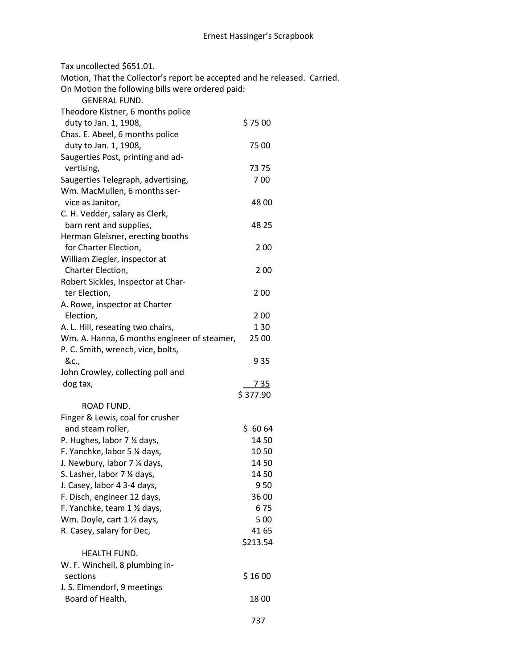Tax uncollected \$651.01.

Motion, That the Collector's report be accepted and he released. Carried.

On Motion the following bills were ordered paid:

| <b>GENERAL FUND.</b>                        |             |
|---------------------------------------------|-------------|
| Theodore Kistner, 6 months police           |             |
| duty to Jan. 1, 1908,                       | \$7500      |
| Chas. E. Abeel, 6 months police             |             |
| duty to Jan. 1, 1908,                       | 7500        |
| Saugerties Post, printing and ad-           |             |
| vertising,                                  | 73 75       |
| Saugerties Telegraph, advertising,          | 700         |
| Wm. MacMullen, 6 months ser-                |             |
| vice as Janitor,                            | 48 00       |
| C. H. Vedder, salary as Clerk,              |             |
| barn rent and supplies,                     | 48 25       |
| Herman Gleisner, erecting booths            |             |
| for Charter Election,                       | 2 0 0       |
| William Ziegler, inspector at               |             |
| Charter Election,                           | 200         |
| Robert Sickles, Inspector at Char-          |             |
| ter Election,                               | 200         |
| A. Rowe, inspector at Charter               |             |
| Election,                                   | 200         |
| A. L. Hill, reseating two chairs,           | 130         |
| Wm. A. Hanna, 6 months engineer of steamer, | 25 00       |
| P. C. Smith, wrench, vice, bolts,           |             |
| &c.,                                        | 935         |
| John Crowley, collecting poll and           |             |
| dog tax,                                    | <u>735</u>  |
|                                             | \$377.90    |
| ROAD FUND.                                  |             |
| Finger & Lewis, coal for crusher            |             |
| and steam roller,                           | \$6064      |
| P. Hughes, labor 7 % days,                  | 14 50       |
| F. Yanchke, labor 5 1⁄4 days,               | 1050        |
| J. Newbury, labor 7 % days,                 | 14 50       |
| S. Lasher, labor 7 % days,                  | 1450        |
| J. Casey, labor 4 3-4 days,                 | 9 50        |
| F. Disch, engineer 12 days,                 | 36 00       |
| F. Yanchke, team 1 1/2 days,                | 675         |
| Wm. Doyle, cart 1 1/2 days,                 | 5 0 0       |
| R. Casey, salary for Dec,                   | <u>4165</u> |
|                                             | \$213.54    |
| HEALTH FUND.                                |             |
| W. F. Winchell, 8 plumbing in-              |             |
| sections                                    | \$1600      |
| J. S. Elmendorf, 9 meetings                 |             |
| Board of Health,                            | 1800        |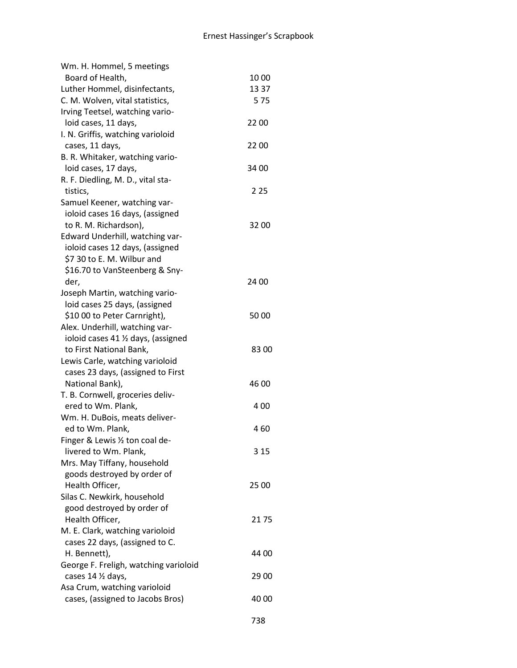| Wm. H. Hommel, 5 meetings             |       |
|---------------------------------------|-------|
| Board of Health,                      | 1000  |
| Luther Hommel, disinfectants,         | 13 37 |
| C. M. Wolven, vital statistics,       | 575   |
| Irving Teetsel, watching vario-       |       |
| loid cases, 11 days,                  | 22 00 |
| I. N. Griffis, watching varioloid     |       |
| cases, 11 days,                       | 22 00 |
| B. R. Whitaker, watching vario-       |       |
| loid cases, 17 days,                  | 34 00 |
| R. F. Diedling, M. D., vital sta-     |       |
| tistics,                              | 2 2 5 |
| Samuel Keener, watching var-          |       |
| ioloid cases 16 days, (assigned       |       |
| to R. M. Richardson),                 | 3200  |
| Edward Underhill, watching var-       |       |
| ioloid cases 12 days, (assigned       |       |
| \$7 30 to E. M. Wilbur and            |       |
| \$16.70 to VanSteenberg & Sny-        |       |
| der,                                  | 24 00 |
| Joseph Martin, watching vario-        |       |
| loid cases 25 days, (assigned         |       |
| \$10 00 to Peter Carnright),          | 5000  |
| Alex. Underhill, watching var-        |       |
| ioloid cases 41 % days, (assigned     |       |
| to First National Bank,               | 8300  |
| Lewis Carle, watching varioloid       |       |
| cases 23 days, (assigned to First     |       |
| National Bank),                       | 46 00 |
| T. B. Cornwell, groceries deliv-      |       |
| ered to Wm. Plank,                    | 400   |
| Wm. H. DuBois, meats deliver-         |       |
| ed to Wm. Plank,                      | 460   |
| Finger & Lewis 1/2 ton coal de-       |       |
| livered to Wm. Plank,                 | 3 15  |
| Mrs. May Tiffany, household           |       |
| goods destroyed by order of           |       |
| Health Officer,                       | 25 00 |
| Silas C. Newkirk, household           |       |
| good destroyed by order of            |       |
| Health Officer,                       | 2175  |
| M. E. Clark, watching varioloid       |       |
| cases 22 days, (assigned to C.        |       |
| H. Bennett),                          | 44 00 |
| George F. Freligh, watching varioloid |       |
| cases 14 1/2 days,                    | 29 00 |
| Asa Crum, watching varioloid          |       |
| cases, (assigned to Jacobs Bros)      | 40 00 |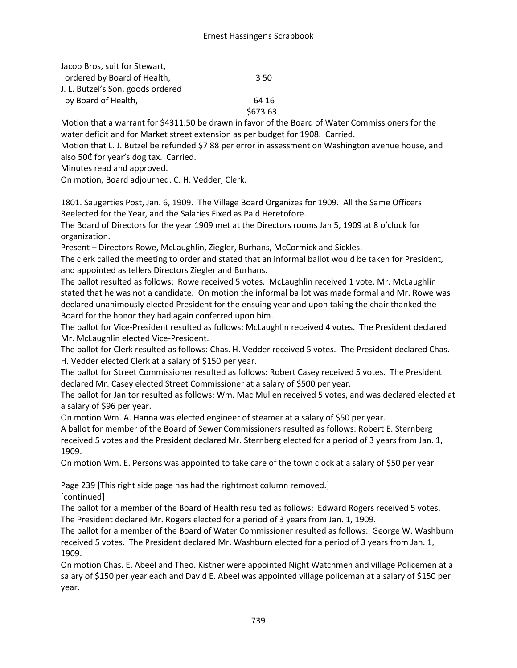| Jacob Bros, suit for Stewart,     |          |
|-----------------------------------|----------|
| ordered by Board of Health,       | 350      |
| J. L. Butzel's Son, goods ordered |          |
| by Board of Health,               | 64 16    |
|                                   | \$673 63 |

Motion that a warrant for \$4311.50 be drawn in favor of the Board of Water Commissioners for the water deficit and for Market street extension as per budget for 1908. Carried.

Motion that L. J. Butzel be refunded \$7 88 per error in assessment on Washington avenue house, and also 50₵ for year's dog tax. Carried.

Minutes read and approved.

On motion, Board adjourned. C. H. Vedder, Clerk.

1801. Saugerties Post, Jan. 6, 1909. The Village Board Organizes for 1909. All the Same Officers Reelected for the Year, and the Salaries Fixed as Paid Heretofore.

The Board of Directors for the year 1909 met at the Directors rooms Jan 5, 1909 at 8 o'clock for organization.

Present – Directors Rowe, McLaughlin, Ziegler, Burhans, McCormick and Sickles.

The clerk called the meeting to order and stated that an informal ballot would be taken for President, and appointed as tellers Directors Ziegler and Burhans.

The ballot resulted as follows: Rowe received 5 votes. McLaughlin received 1 vote, Mr. McLaughlin stated that he was not a candidate. On motion the informal ballot was made formal and Mr. Rowe was declared unanimously elected President for the ensuing year and upon taking the chair thanked the Board for the honor they had again conferred upon him.

The ballot for Vice-President resulted as follows: McLaughlin received 4 votes. The President declared Mr. McLaughlin elected Vice-President.

The ballot for Clerk resulted as follows: Chas. H. Vedder received 5 votes. The President declared Chas. H. Vedder elected Clerk at a salary of \$150 per year.

The ballot for Street Commissioner resulted as follows: Robert Casey received 5 votes. The President declared Mr. Casey elected Street Commissioner at a salary of \$500 per year.

The ballot for Janitor resulted as follows: Wm. Mac Mullen received 5 votes, and was declared elected at a salary of \$96 per year.

On motion Wm. A. Hanna was elected engineer of steamer at a salary of \$50 per year.

A ballot for member of the Board of Sewer Commissioners resulted as follows: Robert E. Sternberg received 5 votes and the President declared Mr. Sternberg elected for a period of 3 years from Jan. 1, 1909.

On motion Wm. E. Persons was appointed to take care of the town clock at a salary of \$50 per year.

Page 239 [This right side page has had the rightmost column removed.] [continued]

The ballot for a member of the Board of Health resulted as follows: Edward Rogers received 5 votes. The President declared Mr. Rogers elected for a period of 3 years from Jan. 1, 1909.

The ballot for a member of the Board of Water Commissioner resulted as follows: George W. Washburn received 5 votes. The President declared Mr. Washburn elected for a period of 3 years from Jan. 1, 1909.

On motion Chas. E. Abeel and Theo. Kistner were appointed Night Watchmen and village Policemen at a salary of \$150 per year each and David E. Abeel was appointed village policeman at a salary of \$150 per year.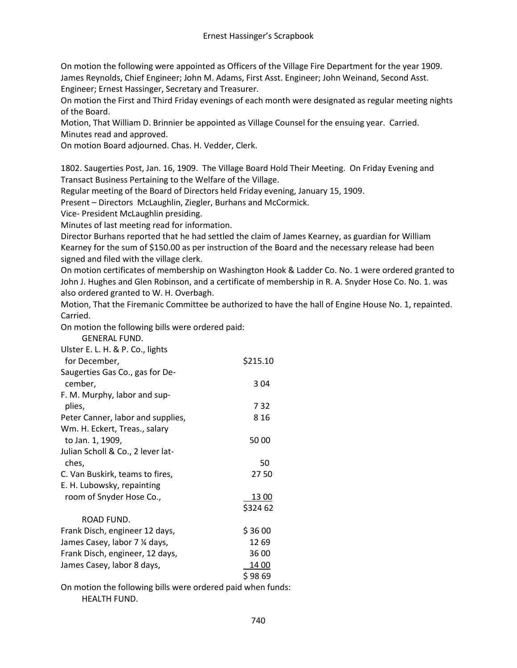On motion the following were appointed as Officers of the Village Fire Department for the year 1909. James Reynolds, Chief Engineer; John M. Adams, First Asst. Engineer; John Weinand, Second Asst. Engineer; Ernest Hassinger, Secretary and Treasurer.

On motion the First and Third Friday evenings of each month were designated as regular meeting nights of the Board.

Motion, That William D. Brinnier be appointed as Village Counsel for the ensuing year. Carried. Minutes read and approved.

On motion Board adjourned. Chas. H. Vedder, Clerk.

1802. Saugerties Post, Jan. 16, 1909. The Village Board Hold Their Meeting. On Friday Evening and Transact Business Pertaining to the Welfare of the Village.

Regular meeting of the Board of Directors held Friday evening, January 15, 1909.

Present – Directors McLaughlin, Ziegler, Burhans and McCormick.

Vice- President McLaughlin presiding.

Minutes of last meeting read for information.

Director Burhans reported that he had settled the claim of James Kearney, as guardian for William Kearney for the sum of \$150.00 as per instruction of the Board and the necessary release had been signed and filed with the village clerk.

On motion certificates of membership on Washington Hook & Ladder Co. No. 1 were ordered granted to John J. Hughes and Glen Robinson, and a certificate of membership in R. A. Snyder Hose Co. No. 1. was also ordered granted to W. H. Overbagh.

Motion, That the Firemanic Committee be authorized to have the hall of Engine House No. 1, repainted. Carried.

On motion the following bills were ordered paid:

| <b>GENERAL FUND.</b>                                      |          |
|-----------------------------------------------------------|----------|
| Ulster E. L. H. & P. Co., lights                          |          |
| for December,                                             | \$215.10 |
| Saugerties Gas Co., gas for De-                           |          |
| cember,                                                   | 304      |
| F. M. Murphy, labor and sup-                              |          |
| plies,                                                    | 732      |
| Peter Canner, labor and supplies,                         | 8 1 6    |
| Wm. H. Eckert, Treas., salary                             |          |
| to Jan. 1, 1909,                                          | 5000     |
| Julian Scholl & Co., 2 lever lat-                         |          |
| ches,                                                     | 50       |
| C. Van Buskirk, teams to fires,                           | 2750     |
| E. H. Lubowsky, repainting                                |          |
| room of Snyder Hose Co.,                                  | 13 00    |
|                                                           | \$324 62 |
| ROAD FUND.                                                |          |
| Frank Disch, engineer 12 days,                            | \$3600   |
| James Casey, labor 7 % days,                              | 12 69    |
| Frank Disch, engineer, 12 days,                           | 36 00    |
| James Casey, labor 8 days,                                | 14 00    |
|                                                           | \$9869   |
| On motion the following hills were ardered noid when fun. |          |

On motion the following bills were ordered paid when funds: HEALTH FUND.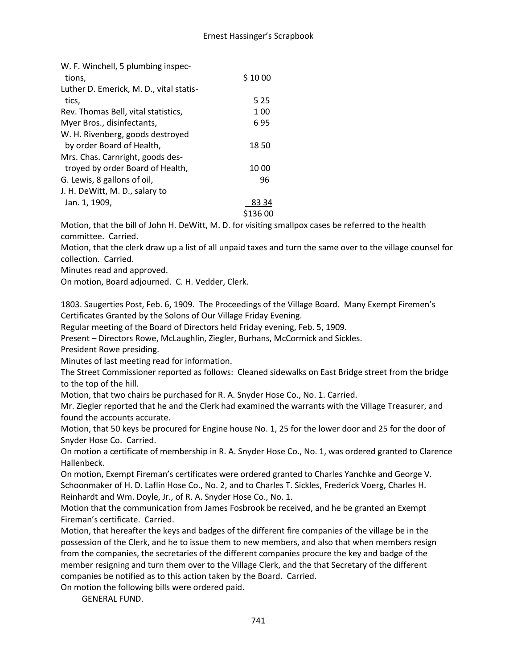| W. F. Winchell, 5 plumbing inspec-      |          |
|-----------------------------------------|----------|
| tions.                                  | \$1000   |
| Luther D. Emerick, M. D., vital statis- |          |
| tics,                                   | 5 2 5    |
| Rev. Thomas Bell, vital statistics,     | 1 0 0    |
| Myer Bros., disinfectants,              | 695      |
| W. H. Rivenberg, goods destroved        |          |
| by order Board of Health,               | 1850     |
| Mrs. Chas. Carnright, goods des-        |          |
| troyed by order Board of Health,        | 1000     |
| G. Lewis, 8 gallons of oil,             | 96       |
| J. H. DeWitt, M. D., salary to          |          |
| Jan. 1, 1909,                           | 83 34    |
|                                         | \$136 00 |

Motion, that the bill of John H. DeWitt, M. D. for visiting smallpox cases be referred to the health committee. Carried.

Motion, that the clerk draw up a list of all unpaid taxes and turn the same over to the village counsel for collection. Carried.

Minutes read and approved.

On motion, Board adjourned. C. H. Vedder, Clerk.

1803. Saugerties Post, Feb. 6, 1909. The Proceedings of the Village Board. Many Exempt Firemen's Certificates Granted by the Solons of Our Village Friday Evening.

Regular meeting of the Board of Directors held Friday evening, Feb. 5, 1909.

Present – Directors Rowe, McLaughlin, Ziegler, Burhans, McCormick and Sickles.

President Rowe presiding.

Minutes of last meeting read for information.

The Street Commissioner reported as follows: Cleaned sidewalks on East Bridge street from the bridge to the top of the hill.

Motion, that two chairs be purchased for R. A. Snyder Hose Co., No. 1. Carried.

Mr. Ziegler reported that he and the Clerk had examined the warrants with the Village Treasurer, and found the accounts accurate.

Motion, that 50 keys be procured for Engine house No. 1, 25 for the lower door and 25 for the door of Snyder Hose Co. Carried.

On motion a certificate of membership in R. A. Snyder Hose Co., No. 1, was ordered granted to Clarence Hallenbeck.

On motion, Exempt Fireman's certificates were ordered granted to Charles Yanchke and George V. Schoonmaker of H. D. Laflin Hose Co., No. 2, and to Charles T. Sickles, Frederick Voerg, Charles H. Reinhardt and Wm. Doyle, Jr., of R. A. Snyder Hose Co., No. 1.

Motion that the communication from James Fosbrook be received, and he be granted an Exempt Fireman's certificate. Carried.

Motion, that hereafter the keys and badges of the different fire companies of the village be in the possession of the Clerk, and he to issue them to new members, and also that when members resign from the companies, the secretaries of the different companies procure the key and badge of the member resigning and turn them over to the Village Clerk, and the that Secretary of the different companies be notified as to this action taken by the Board. Carried.

On motion the following bills were ordered paid.

GENERAL FUND.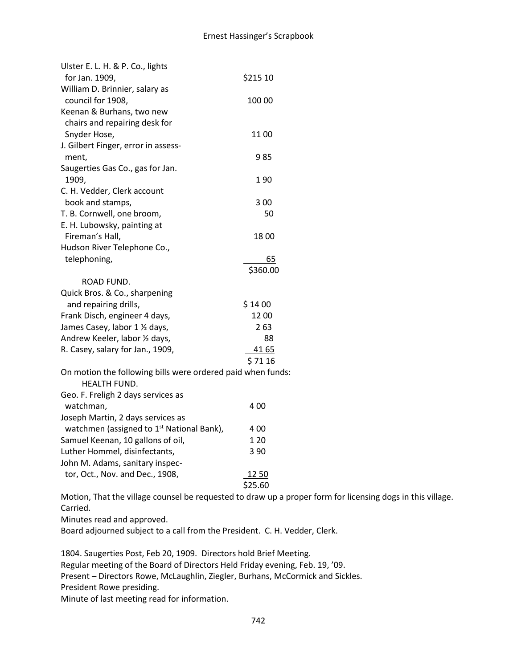| Ulster E. L. H. & P. Co., lights                            |          |
|-------------------------------------------------------------|----------|
| for Jan. 1909,                                              | \$215 10 |
| William D. Brinnier, salary as                              |          |
| council for 1908,                                           | 100 00   |
| Keenan & Burhans, two new                                   |          |
| chairs and repairing desk for                               |          |
| Snyder Hose,                                                | 11 00    |
| J. Gilbert Finger, error in assess-                         |          |
| ment,                                                       | 985      |
| Saugerties Gas Co., gas for Jan.                            |          |
| 1909,                                                       | 190      |
| C. H. Vedder, Clerk account                                 |          |
| book and stamps,                                            | 3 00     |
| T. B. Cornwell, one broom,                                  | 50       |
| E. H. Lubowsky, painting at                                 |          |
| Fireman's Hall,                                             | 1800     |
| Hudson River Telephone Co.,                                 |          |
| telephoning,                                                | 65       |
|                                                             | \$360.00 |
| ROAD FUND.                                                  |          |
| Quick Bros. & Co., sharpening                               |          |
| and repairing drills,                                       | \$1400   |
| Frank Disch, engineer 4 days,                               | 1200     |
| James Casey, labor 1 1/2 days,                              | 2 63     |
| Andrew Keeler, labor 1/2 days,                              | 88       |
| R. Casey, salary for Jan., 1909,                            | 41 65    |
|                                                             | \$7116   |
| On motion the following bills were ordered paid when funds: |          |
| <b>HEALTH FUND.</b>                                         |          |
| Geo. F. Freligh 2 days services as                          |          |
| watchman,                                                   | 4 00     |
| Joseph Martin, 2 days services as                           |          |
| watchmen (assigned to 1 <sup>st</sup> National Bank),       | 4 00     |
| Samuel Keenan, 10 gallons of oil,                           | 1 20     |
| Luther Hommel, disinfectants,                               | 3 9 0    |
| John M. Adams, sanitary inspec-                             |          |
| tor, Oct., Nov. and Dec., 1908,                             | 12 50    |
|                                                             | \$25.60  |

Motion, That the village counsel be requested to draw up a proper form for licensing dogs in this village. Carried.

Minutes read and approved.

Board adjourned subject to a call from the President. C. H. Vedder, Clerk.

1804. Saugerties Post, Feb 20, 1909. Directors hold Brief Meeting. Regular meeting of the Board of Directors Held Friday evening, Feb. 19, '09. Present – Directors Rowe, McLaughlin, Ziegler, Burhans, McCormick and Sickles. President Rowe presiding. Minute of last meeting read for information.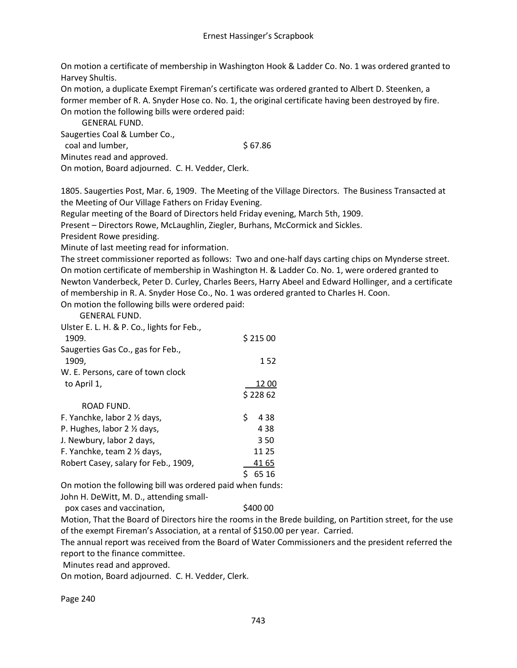On motion a certificate of membership in Washington Hook & Ladder Co. No. 1 was ordered granted to Harvey Shultis.

On motion, a duplicate Exempt Fireman's certificate was ordered granted to Albert D. Steenken, a former member of R. A. Snyder Hose co. No. 1, the original certificate having been destroyed by fire. On motion the following bills were ordered paid:

GENERAL FUND.

Saugerties Coal & Lumber Co.,

coal and lumber, \$ 67.86

Minutes read and approved.

On motion, Board adjourned. C. H. Vedder, Clerk.

1805. Saugerties Post, Mar. 6, 1909. The Meeting of the Village Directors. The Business Transacted at the Meeting of Our Village Fathers on Friday Evening.

Regular meeting of the Board of Directors held Friday evening, March 5th, 1909.

Present – Directors Rowe, McLaughlin, Ziegler, Burhans, McCormick and Sickles.

President Rowe presiding.

Minute of last meeting read for information.

The street commissioner reported as follows: Two and one-half days carting chips on Mynderse street. On motion certificate of membership in Washington H. & Ladder Co. No. 1, were ordered granted to Newton Vanderbeck, Peter D. Curley, Charles Beers, Harry Abeel and Edward Hollinger, and a certificate of membership in R. A. Snyder Hose Co., No. 1 was ordered granted to Charles H. Coon.

On motion the following bills were ordered paid:

GENERAL FUND.

| Ulster E. L. H. & P. Co., lights for Feb., |             |
|--------------------------------------------|-------------|
| 1909.                                      | \$21500     |
| Saugerties Gas Co., gas for Feb.,          |             |
| 1909,                                      | 152         |
| W. E. Persons, care of town clock          |             |
| to April 1,                                | 12 00       |
|                                            | \$22862     |
| ROAD FUND.                                 |             |
| F. Yanchke, labor 2 1/2 days,              | \$<br>4 3 8 |
| P. Hughes, labor $2 \frac{1}{2}$ days,     | 4 3 8       |
| J. Newbury, labor 2 days,                  | 350         |
| F. Yanchke, team 2 1/2 days,               | 11 25       |
| Robert Casey, salary for Feb., 1909,       | 41 65       |
|                                            | 65 16       |

On motion the following bill was ordered paid when funds:

John H. DeWitt, M. D., attending small-

pox cases and vaccination,  $\frac{1}{2}400000$ 

Motion, That the Board of Directors hire the rooms in the Brede building, on Partition street, for the use of the exempt Fireman's Association, at a rental of \$150.00 per year. Carried.

The annual report was received from the Board of Water Commissioners and the president referred the report to the finance committee.

Minutes read and approved.

On motion, Board adjourned. C. H. Vedder, Clerk.

Page 240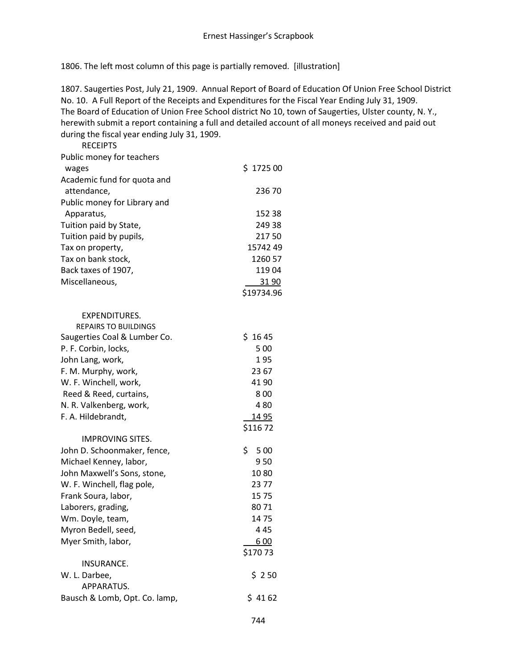1806. The left most column of this page is partially removed. [illustration]

1807. Saugerties Post, July 21, 1909. Annual Report of Board of Education Of Union Free School District No. 10. A Full Report of the Receipts and Expenditures for the Fiscal Year Ending July 31, 1909. The Board of Education of Union Free School district No 10, town of Saugerties, Ulster county, N. Y., herewith submit a report containing a full and detailed account of all moneys received and paid out during the fiscal year ending July 31, 1909.

| <b>RECEIPTS</b>               |             |
|-------------------------------|-------------|
| Public money for teachers     |             |
| wages                         | \$172500    |
| Academic fund for quota and   |             |
| attendance,                   | 236 70      |
| Public money for Library and  |             |
| Apparatus,                    | 152 38      |
| Tuition paid by State,        | 249 38      |
| Tuition paid by pupils,       | 21750       |
| Tax on property,              | 15742 49    |
| Tax on bank stock,            | 1260 57     |
| Back taxes of 1907,           | 11904       |
| Miscellaneous,                | 31 90       |
|                               | \$19734.96  |
| <b>EXPENDITURES.</b>          |             |
| <b>REPAIRS TO BUILDINGS</b>   |             |
| Saugerties Coal & Lumber Co.  | \$1645      |
| P. F. Corbin, locks,          | 5 0 0       |
| John Lang, work,              | 195         |
| F. M. Murphy, work,           | 23 67       |
| W. F. Winchell, work,         | 41 90       |
| Reed & Reed, curtains,        | 800         |
| N. R. Valkenberg, work,       | 480         |
| F. A. Hildebrandt,            | <u>1495</u> |
|                               | \$11672     |
| <b>IMPROVING SITES.</b>       |             |
| John D. Schoonmaker, fence,   | \$<br>5 0 0 |
| Michael Kenney, labor,        | 950         |
| John Maxwell's Sons, stone,   | 1080        |
| W. F. Winchell, flag pole,    | 2377        |
| Frank Soura, labor,           | 1575        |
| Laborers, grading,            | 8071        |
| Wm. Doyle, team,              | 1475        |
| Myron Bedell, seed,           | 445         |
| Myer Smith, labor,            | 600         |
|                               | \$17073     |
| INSURANCE.                    |             |
| W. L. Darbee,                 | \$250       |
| APPARATUS.                    |             |
| Bausch & Lomb, Opt. Co. lamp, | \$4162      |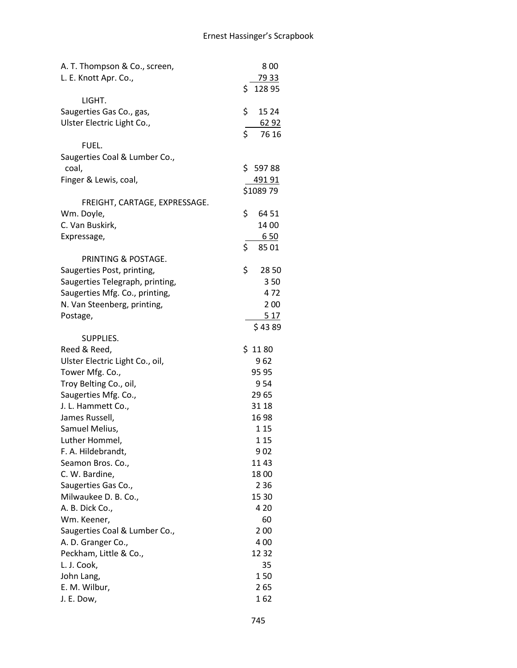| A. T. Thompson & Co., screen,   | 800          |
|---------------------------------|--------------|
| L. E. Knott Apr. Co.,           | 79 33        |
|                                 | \$<br>128 95 |
| LIGHT.                          |              |
| Saugerties Gas Co., gas,        | \$<br>15 24  |
| Ulster Electric Light Co.,      | <u>6292</u>  |
|                                 | \$<br>76 16  |
| FUEL.                           |              |
| Saugerties Coal & Lumber Co.,   |              |
| coal,                           | \$59788      |
| Finger & Lewis, coal,           | 49191        |
|                                 | \$1089 79    |
| FREIGHT, CARTAGE, EXPRESSAGE.   |              |
| Wm. Doyle,                      | \$<br>64 51  |
| C. Van Buskirk,                 | 14 00        |
| Expressage,                     | 650          |
|                                 | \$<br>8501   |
| PRINTING & POSTAGE.             |              |
| Saugerties Post, printing,      | \$<br>2850   |
| Saugerties Telegraph, printing, | 350          |
| Saugerties Mfg. Co., printing,  | 472          |
| N. Van Steenberg, printing,     | 200          |
| Postage,                        | 517          |
|                                 | \$4389       |
| SUPPLIES.                       |              |
| Reed & Reed,                    | \$1180       |
| Ulster Electric Light Co., oil, | 962          |
| Tower Mfg. Co.,                 | 95 95        |
| Troy Belting Co., oil,          | 954          |
| Saugerties Mfg. Co.,            | 2965         |
| J. L. Hammett Co.,              | 31 18        |
| James Russell,                  | 1698         |
| Samuel Melius,                  | 1 1 5        |
| Luther Hommel,                  | 1 1 5        |
| F. A. Hildebrandt,              | 9 02         |
| Seamon Bros. Co.,               | 1143         |
| C. W. Bardine,                  | 1800         |
| Saugerties Gas Co.,             | 2 3 6        |
| Milwaukee D. B. Co.,            | 15 30        |
| A. B. Dick Co.,                 | 4 2 0        |
| Wm. Keener,                     | 60           |
| Saugerties Coal & Lumber Co.,   | 2 00         |
| A. D. Granger Co.,              | 400          |
| Peckham, Little & Co.,          | 1232         |
| L. J. Cook,                     | 35           |
| John Lang,                      | 150          |
| E. M. Wilbur,                   | 265          |
| J. E. Dow,                      | 162          |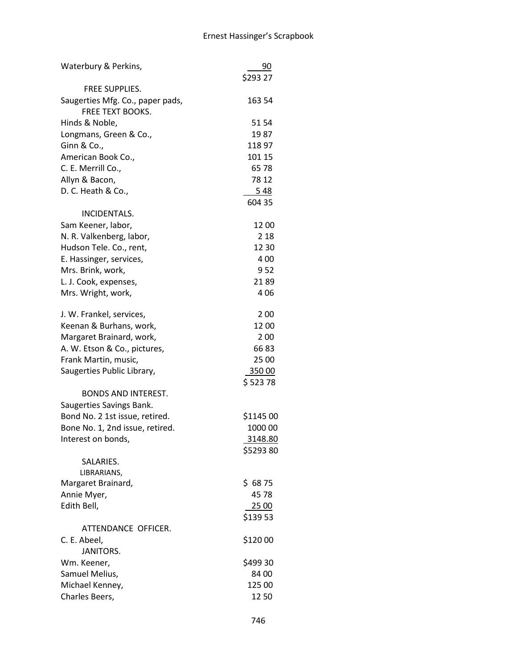| Waterbury & Perkins,             | 90        |
|----------------------------------|-----------|
|                                  | \$293 27  |
| <b>FREE SUPPLIES.</b>            |           |
| Saugerties Mfg. Co., paper pads, | 163 54    |
| <b>FREE TEXT BOOKS.</b>          |           |
| Hinds & Noble,                   | 51 54     |
| Longmans, Green & Co.,           | 1987      |
| Ginn & Co.,                      | 118 97    |
| American Book Co.,               | 101 15    |
| C. E. Merrill Co.,               | 6578      |
| Allyn & Bacon,                   | 78 12     |
| D. C. Heath & Co.,               | 548       |
|                                  | 604 35    |
| INCIDENTALS.                     |           |
|                                  | 12 00     |
| Sam Keener, labor,               | 2 1 8     |
| N. R. Valkenberg, labor,         |           |
| Hudson Tele. Co., rent,          | 12 30     |
| E. Hassinger, services,          | 400       |
| Mrs. Brink, work,                | 952       |
| L. J. Cook, expenses,            | 2189      |
| Mrs. Wright, work,               | 406       |
| J. W. Frankel, services,         | 200       |
| Keenan & Burhans, work,          | 12 00     |
| Margaret Brainard, work,         | 200       |
| A. W. Etson & Co., pictures,     | 6683      |
| Frank Martin, music,             | 25 00     |
| Saugerties Public Library,       | 35000     |
|                                  | \$52378   |
| <b>BONDS AND INTEREST.</b>       |           |
| Saugerties Savings Bank.         |           |
| Bond No. 2 1st issue, retired.   | \$1145 00 |
| Bone No. 1, 2nd issue, retired.  | 1000 00   |
| Interest on bonds,               | 3148.80   |
|                                  | \$529380  |
| SALARIES.                        |           |
| LIBRARIANS,                      |           |
| Margaret Brainard,               | \$6875    |
| Annie Myer,                      | 4578      |
| Edith Bell,                      | 25 00     |
|                                  | \$13953   |
| ATTENDANCE OFFICER.              |           |
| C. E. Abeel,                     | \$120 00  |
| <b>JANITORS.</b>                 |           |
| Wm. Keener,                      | \$499 30  |
| Samuel Melius,                   | 84 00     |
| Michael Kenney,                  | 125 00    |
|                                  |           |
| Charles Beers,                   | 1250      |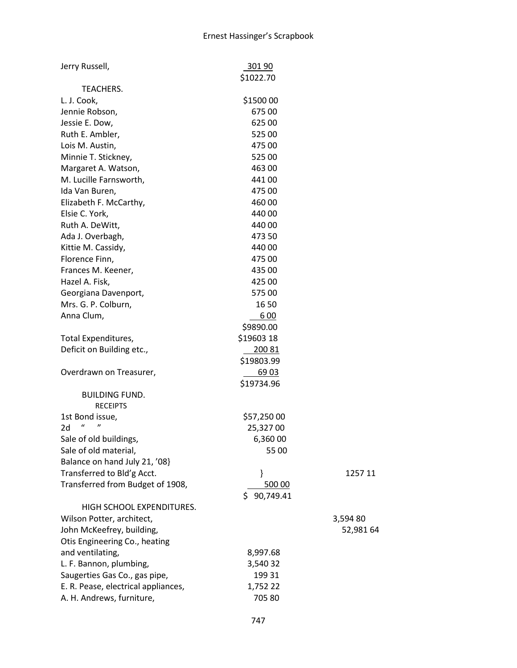| Jerry Russell,                      | 301 90          |           |
|-------------------------------------|-----------------|-----------|
|                                     | \$1022.70       |           |
| TEACHERS.                           |                 |           |
| L. J. Cook,                         | \$1500 00       |           |
| Jennie Robson,                      | 67500           |           |
| Jessie E. Dow,                      | 625 00          |           |
| Ruth E. Ambler,                     | 525 00          |           |
| Lois M. Austin,                     | 475 00          |           |
| Minnie T. Stickney,                 | 525 00          |           |
| Margaret A. Watson,                 | 463 00          |           |
| M. Lucille Farnsworth,              | 441 00          |           |
| Ida Van Buren,                      | 475 00          |           |
| Elizabeth F. McCarthy,              | 460 00          |           |
| Elsie C. York,                      | 440 00          |           |
| Ruth A. DeWitt,                     | 440 00          |           |
| Ada J. Overbagh,                    | 473 50          |           |
| Kittie M. Cassidy,                  | 440 00          |           |
| Florence Finn,                      | 475 00          |           |
| Frances M. Keener,                  | 435 00          |           |
| Hazel A. Fisk,                      | 425 00          |           |
| Georgiana Davenport,                | 57500           |           |
| Mrs. G. P. Colburn,                 | 16 50           |           |
| Anna Clum,                          | 600             |           |
|                                     | \$9890.00       |           |
| Total Expenditures,                 | \$19603 18      |           |
| Deficit on Building etc.,           | 20081           |           |
|                                     | \$19803.99      |           |
| Overdrawn on Treasurer,             | 69 03           |           |
|                                     | \$19734.96      |           |
| <b>BUILDING FUND.</b>               |                 |           |
| <b>RECEIPTS</b>                     |                 |           |
| 1st Bond issue,                     | \$57,250 00     |           |
| 2d                                  | 25,32700        |           |
| Sale of old buildings,              | 6,360 00        |           |
| Sale of old material,               | 55 00           |           |
| Balance on hand July 21, '08}       |                 |           |
| Transferred to Bld'g Acct.          | }               | 1257 11   |
| Transferred from Budget of 1908,    | 500 00          |           |
|                                     | 90,749.41<br>S. |           |
| HIGH SCHOOL EXPENDITURES.           |                 |           |
| Wilson Potter, architect,           |                 | 3,594 80  |
| John McKeefrey, building,           |                 | 52,981 64 |
| Otis Engineering Co., heating       |                 |           |
| and ventilating,                    | 8,997.68        |           |
| L. F. Bannon, plumbing,             | 3,540 32        |           |
| Saugerties Gas Co., gas pipe,       | 199 31          |           |
| E. R. Pease, electrical appliances, | 1,752 22        |           |
| A. H. Andrews, furniture,           | 705 80          |           |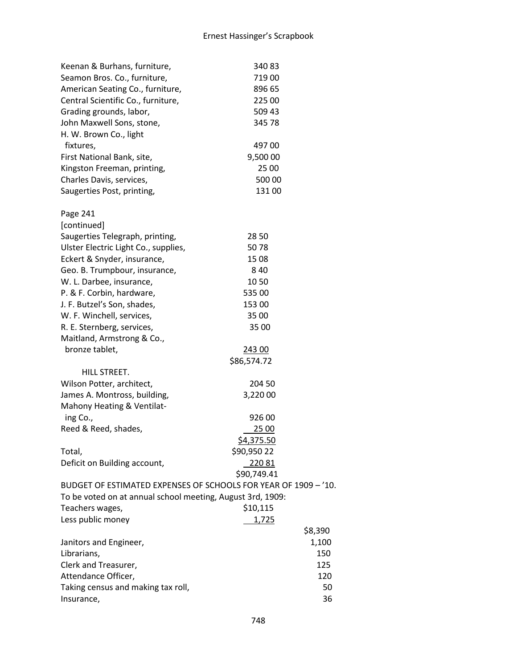| Keenan & Burhans, furniture,                                    | 34083       |  |
|-----------------------------------------------------------------|-------------|--|
| Seamon Bros. Co., furniture,                                    | 71900       |  |
| American Seating Co., furniture,                                | 896 65      |  |
| Central Scientific Co., furniture,                              | 225 00      |  |
| Grading grounds, labor,                                         | 509 43      |  |
| John Maxwell Sons, stone,                                       | 345 78      |  |
| H. W. Brown Co., light                                          |             |  |
| fixtures,                                                       | 49700       |  |
| First National Bank, site,                                      | 9,500 00    |  |
| Kingston Freeman, printing,                                     | 25 00       |  |
| Charles Davis, services,                                        | 500 00      |  |
| Saugerties Post, printing,                                      | 131 00      |  |
|                                                                 |             |  |
| Page 241                                                        |             |  |
| [continued]                                                     |             |  |
| Saugerties Telegraph, printing,                                 | 28 50       |  |
| Ulster Electric Light Co., supplies,                            | 5078        |  |
| Eckert & Snyder, insurance,                                     | 15 08       |  |
| Geo. B. Trumpbour, insurance,                                   | 8 4 0       |  |
| W. L. Darbee, insurance,                                        | 10 50       |  |
| P. & F. Corbin, hardware,                                       | 535 00      |  |
| J. F. Butzel's Son, shades,                                     | 153 00      |  |
| W. F. Winchell, services,                                       | 35 00       |  |
| R. E. Sternberg, services,                                      | 35 00       |  |
| Maitland, Armstrong & Co.,                                      |             |  |
| bronze tablet,                                                  | 243 00      |  |
|                                                                 | \$86,574.72 |  |
| HILL STREET.                                                    |             |  |
| Wilson Potter, architect,                                       | 204 50      |  |
| James A. Montross, building,                                    | 3,220 00    |  |
| Mahony Heating & Ventilat-                                      |             |  |
| ing Co.,                                                        | 926 00      |  |
| Reed & Reed, shades,                                            | 25 00       |  |
|                                                                 | \$4,375.50  |  |
| Total,                                                          | \$90,950 22 |  |
| Deficit on Building account,                                    | 22081       |  |
|                                                                 | \$90,749.41 |  |
| BUDGET OF ESTIMATED EXPENSES OF SCHOOLS FOR YEAR OF 1909 - '10. |             |  |
| To be voted on at annual school meeting, August 3rd, 1909:      |             |  |
| Teachers wages,                                                 | \$10,115    |  |
| Less public money                                               | 1,725       |  |
|                                                                 | \$8,390     |  |
| Janitors and Engineer,                                          | 1,100       |  |
| Librarians,                                                     | 150         |  |
| Clerk and Treasurer,                                            | 125         |  |
| Attendance Officer,                                             | 120         |  |
| Taking census and making tax roll,                              | 50          |  |
| Insurance,                                                      | 36          |  |
|                                                                 |             |  |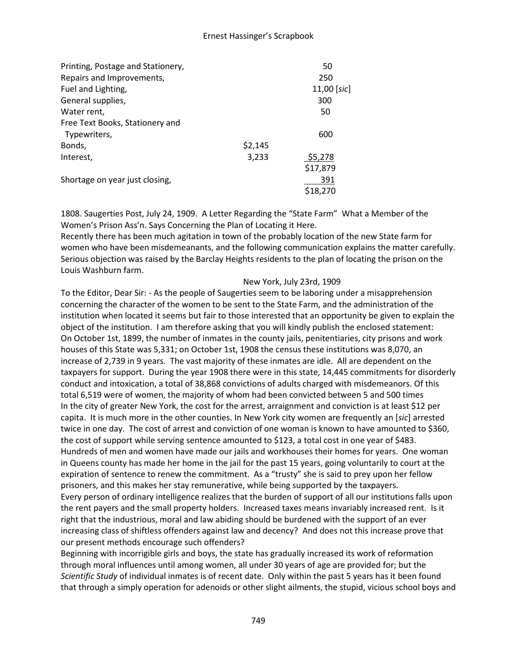| Printing, Postage and Stationery, |         | 50            |
|-----------------------------------|---------|---------------|
| Repairs and Improvements,         |         | 250           |
| Fuel and Lighting,                |         | $11,00$ [sic] |
| General supplies,                 |         | 300           |
| Water rent,                       |         | 50            |
| Free Text Books, Stationery and   |         |               |
| Typewriters,                      |         | 600           |
| Bonds,                            | \$2,145 |               |
| Interest,                         | 3,233   | \$5,278       |
|                                   |         | \$17,879      |
| Shortage on year just closing,    |         | 391           |
|                                   |         | \$18.270      |

1808. Saugerties Post, July 24, 1909. A Letter Regarding the "State Farm" What a Member of the Women's Prison Ass'n. Says Concerning the Plan of Locating it Here.

Recently there has been much agitation in town of the probably location of the new State farm for women who have been misdemeanants, and the following communication explains the matter carefully. Serious objection was raised by the Barclay Heights residents to the plan of locating the prison on the Louis Washburn farm.

#### New York, July 23rd, 1909

To the Editor, Dear Sir: - As the people of Saugerties seem to be laboring under a misapprehension concerning the character of the women to be sent to the State Farm, and the administration of the institution when located it seems but fair to those interested that an opportunity be given to explain the object of the institution. I am therefore asking that you will kindly publish the enclosed statement: On October 1st, 1899, the number of inmates in the county jails, penitentiaries, city prisons and work houses of this State was 5,331; on October 1st, 1908 the census these institutions was 8,070, an increase of 2,739 in 9 years. The vast majority of these inmates are idle. All are dependent on the taxpayers for support. During the year 1908 there were in this state, 14,445 commitments for disorderly conduct and intoxication, a total of 38,868 convictions of adults charged with misdemeanors. Of this total 6,519 were of women, the majority of whom had been convicted between 5 and 500 times In the city of greater New York, the cost for the arrest, arraignment and conviction is at least \$12 per capita. It is much more in the other counties. In New York city women are frequently an [*sic*] arrested twice in one day. The cost of arrest and conviction of one woman is known to have amounted to \$360, the cost of support while serving sentence amounted to \$123, a total cost in one year of \$483. Hundreds of men and women have made our jails and workhouses their homes for years. One woman in Queens county has made her home in the jail for the past 15 years, going voluntarily to court at the expiration of sentence to renew the commitment. As a "trusty" she is said to prey upon her fellow prisoners, and this makes her stay remunerative, while being supported by the taxpayers. Every person of ordinary intelligence realizes that the burden of support of all our institutions falls upon the rent payers and the small property holders. Increased taxes means invariably increased rent. Is it right that the industrious, moral and law abiding should be burdened with the support of an ever increasing class of shiftless offenders against law and decency? And does not this increase prove that our present methods encourage such offenders?

Beginning with incorrigible girls and boys, the state has gradually increased its work of reformation through moral influences until among women, all under 30 years of age are provided for; but the *Scientific Study* of individual inmates is of recent date. Only within the past 5 years has it been found that through a simply operation for adenoids or other slight ailments, the stupid, vicious school boys and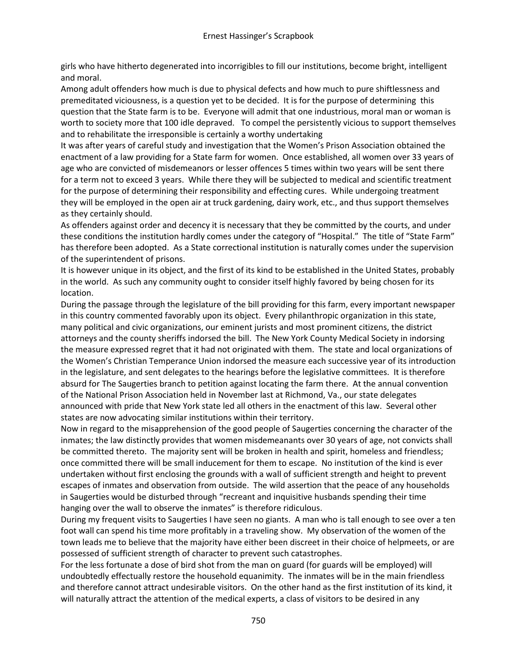girls who have hitherto degenerated into incorrigibles to fill our institutions, become bright, intelligent and moral.

Among adult offenders how much is due to physical defects and how much to pure shiftlessness and premeditated viciousness, is a question yet to be decided. It is for the purpose of determining this question that the State farm is to be. Everyone will admit that one industrious, moral man or woman is worth to society more that 100 idle depraved. To compel the persistently vicious to support themselves and to rehabilitate the irresponsible is certainly a worthy undertaking

It was after years of careful study and investigation that the Women's Prison Association obtained the enactment of a law providing for a State farm for women. Once established, all women over 33 years of age who are convicted of misdemeanors or lesser offences 5 times within two years will be sent there for a term not to exceed 3 years. While there they will be subjected to medical and scientific treatment for the purpose of determining their responsibility and effecting cures. While undergoing treatment they will be employed in the open air at truck gardening, dairy work, etc., and thus support themselves as they certainly should.

As offenders against order and decency it is necessary that they be committed by the courts, and under these conditions the institution hardly comes under the category of "Hospital." The title of "State Farm" has therefore been adopted. As a State correctional institution is naturally comes under the supervision of the superintendent of prisons.

It is however unique in its object, and the first of its kind to be established in the United States, probably in the world. As such any community ought to consider itself highly favored by being chosen for its location.

During the passage through the legislature of the bill providing for this farm, every important newspaper in this country commented favorably upon its object. Every philanthropic organization in this state, many political and civic organizations, our eminent jurists and most prominent citizens, the district attorneys and the county sheriffs indorsed the bill. The New York County Medical Society in indorsing the measure expressed regret that it had not originated with them. The state and local organizations of the Women's Christian Temperance Union indorsed the measure each successive year of its introduction in the legislature, and sent delegates to the hearings before the legislative committees. It is therefore absurd for The Saugerties branch to petition against locating the farm there. At the annual convention of the National Prison Association held in November last at Richmond, Va., our state delegates announced with pride that New York state led all others in the enactment of this law. Several other states are now advocating similar institutions within their territory.

Now in regard to the misapprehension of the good people of Saugerties concerning the character of the inmates; the law distinctly provides that women misdemeanants over 30 years of age, not convicts shall be committed thereto. The majority sent will be broken in health and spirit, homeless and friendless; once committed there will be small inducement for them to escape. No institution of the kind is ever undertaken without first enclosing the grounds with a wall of sufficient strength and height to prevent escapes of inmates and observation from outside. The wild assertion that the peace of any households in Saugerties would be disturbed through "recreant and inquisitive husbands spending their time hanging over the wall to observe the inmates" is therefore ridiculous.

During my frequent visits to Saugerties I have seen no giants. A man who is tall enough to see over a ten foot wall can spend his time more profitably in a traveling show. My observation of the women of the town leads me to believe that the majority have either been discreet in their choice of helpmeets, or are possessed of sufficient strength of character to prevent such catastrophes.

For the less fortunate a dose of bird shot from the man on guard (for guards will be employed) will undoubtedly effectually restore the household equanimity. The inmates will be in the main friendless and therefore cannot attract undesirable visitors. On the other hand as the first institution of its kind, it will naturally attract the attention of the medical experts, a class of visitors to be desired in any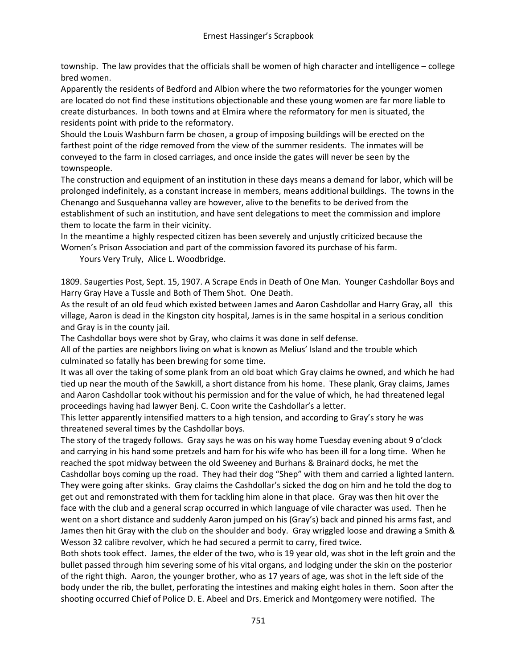township. The law provides that the officials shall be women of high character and intelligence – college bred women.

Apparently the residents of Bedford and Albion where the two reformatories for the younger women are located do not find these institutions objectionable and these young women are far more liable to create disturbances. In both towns and at Elmira where the reformatory for men is situated, the residents point with pride to the reformatory.

Should the Louis Washburn farm be chosen, a group of imposing buildings will be erected on the farthest point of the ridge removed from the view of the summer residents. The inmates will be conveyed to the farm in closed carriages, and once inside the gates will never be seen by the townspeople.

The construction and equipment of an institution in these days means a demand for labor, which will be prolonged indefinitely, as a constant increase in members, means additional buildings. The towns in the Chenango and Susquehanna valley are however, alive to the benefits to be derived from the establishment of such an institution, and have sent delegations to meet the commission and implore them to locate the farm in their vicinity.

In the meantime a highly respected citizen has been severely and unjustly criticized because the Women's Prison Association and part of the commission favored its purchase of his farm.

Yours Very Truly, Alice L. Woodbridge.

1809. Saugerties Post, Sept. 15, 1907. A Scrape Ends in Death of One Man. Younger Cashdollar Boys and Harry Gray Have a Tussle and Both of Them Shot. One Death.

As the result of an old feud which existed between James and Aaron Cashdollar and Harry Gray, all this village, Aaron is dead in the Kingston city hospital, James is in the same hospital in a serious condition and Gray is in the county jail.

The Cashdollar boys were shot by Gray, who claims it was done in self defense.

All of the parties are neighbors living on what is known as Melius' Island and the trouble which culminated so fatally has been brewing for some time.

It was all over the taking of some plank from an old boat which Gray claims he owned, and which he had tied up near the mouth of the Sawkill, a short distance from his home. These plank, Gray claims, James and Aaron Cashdollar took without his permission and for the value of which, he had threatened legal proceedings having had lawyer Benj. C. Coon write the Cashdollar's a letter.

This letter apparently intensified matters to a high tension, and according to Gray's story he was threatened several times by the Cashdollar boys.

The story of the tragedy follows. Gray says he was on his way home Tuesday evening about 9 o'clock and carrying in his hand some pretzels and ham for his wife who has been ill for a long time. When he reached the spot midway between the old Sweeney and Burhans & Brainard docks, he met the Cashdollar boys coming up the road. They had their dog "Shep" with them and carried a lighted lantern. They were going after skinks. Gray claims the Cashdollar's sicked the dog on him and he told the dog to get out and remonstrated with them for tackling him alone in that place. Gray was then hit over the face with the club and a general scrap occurred in which language of vile character was used. Then he went on a short distance and suddenly Aaron jumped on his (Gray's) back and pinned his arms fast, and James then hit Gray with the club on the shoulder and body. Gray wriggled loose and drawing a Smith & Wesson 32 calibre revolver, which he had secured a permit to carry, fired twice.

Both shots took effect. James, the elder of the two, who is 19 year old, was shot in the left groin and the bullet passed through him severing some of his vital organs, and lodging under the skin on the posterior of the right thigh. Aaron, the younger brother, who as 17 years of age, was shot in the left side of the body under the rib, the bullet, perforating the intestines and making eight holes in them. Soon after the shooting occurred Chief of Police D. E. Abeel and Drs. Emerick and Montgomery were notified. The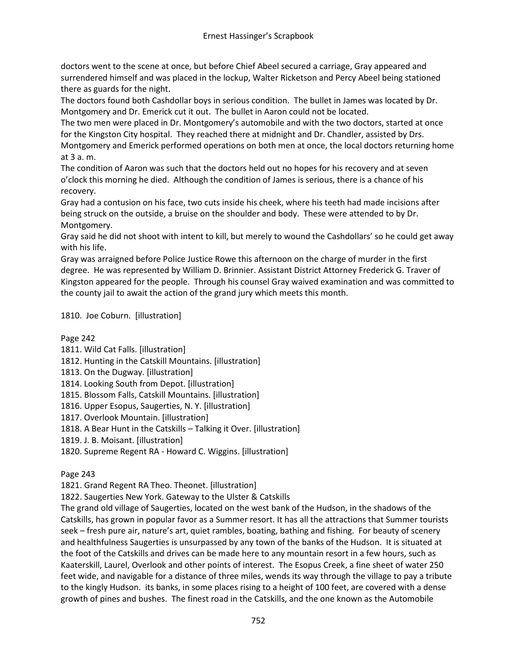doctors went to the scene at once, but before Chief Abeel secured a carriage, Gray appeared and surrendered himself and was placed in the lockup, Walter Ricketson and Percy Abeel being stationed there as guards for the night.

The doctors found both Cashdollar boys in serious condition. The bullet in James was located by Dr. Montgomery and Dr. Emerick cut it out. The bullet in Aaron could not be located.

The two men were placed in Dr. Montgomery's automobile and with the two doctors, started at once for the Kingston City hospital. They reached there at midnight and Dr. Chandler, assisted by Drs. Montgomery and Emerick performed operations on both men at once, the local doctors returning home at 3 a. m.

The condition of Aaron was such that the doctors held out no hopes for his recovery and at seven o'clock this morning he died. Although the condition of James is serious, there is a chance of his recovery.

Gray had a contusion on his face, two cuts inside his cheek, where his teeth had made incisions after being struck on the outside, a bruise on the shoulder and body. These were attended to by Dr. Montgomery.

Gray said he did not shoot with intent to kill, but merely to wound the Cashdollars' so he could get away with his life.

Gray was arraigned before Police Justice Rowe this afternoon on the charge of murder in the first degree. He was represented by William D. Brinnier. Assistant District Attorney Frederick G. Traver of Kingston appeared for the people. Through his counsel Gray waived examination and was committed to the county jail to await the action of the grand jury which meets this month.

1810. Joe Coburn. [illustration]

# Page 242

- 1811. Wild Cat Falls. [illustration]
- 1812. Hunting in the Catskill Mountains. [illustration]
- 1813. On the Dugway. [illustration]
- 1814. Looking South from Depot. [illustration]
- 1815. Blossom Falls, Catskill Mountains. [illustration]
- 1816. Upper Esopus, Saugerties, N. Y. [illustration]
- 1817. Overlook Mountain. [illustration]
- 1818. A Bear Hunt in the Catskills Talking it Over. [illustration]
- 1819. J. B. Moisant. [illustration]
- 1820. Supreme Regent RA Howard C. Wiggins. [illustration]

# Page 243

1821. Grand Regent RA Theo. Theonet. [illustration]

1822. Saugerties New York. Gateway to the Ulster & Catskills

The grand old village of Saugerties, located on the west bank of the Hudson, in the shadows of the Catskills, has grown in popular favor as a Summer resort. It has all the attractions that Summer tourists seek – fresh pure air, nature's art, quiet rambles, boating, bathing and fishing. For beauty of scenery and healthfulness Saugerties is unsurpassed by any town of the banks of the Hudson. It is situated at the foot of the Catskills and drives can be made here to any mountain resort in a few hours, such as Kaaterskill, Laurel, Overlook and other points of interest. The Esopus Creek, a fine sheet of water 250 feet wide, and navigable for a distance of three miles, wends its way through the village to pay a tribute to the kingly Hudson. its banks, in some places rising to a height of 100 feet, are covered with a dense growth of pines and bushes. The finest road in the Catskills, and the one known as the Automobile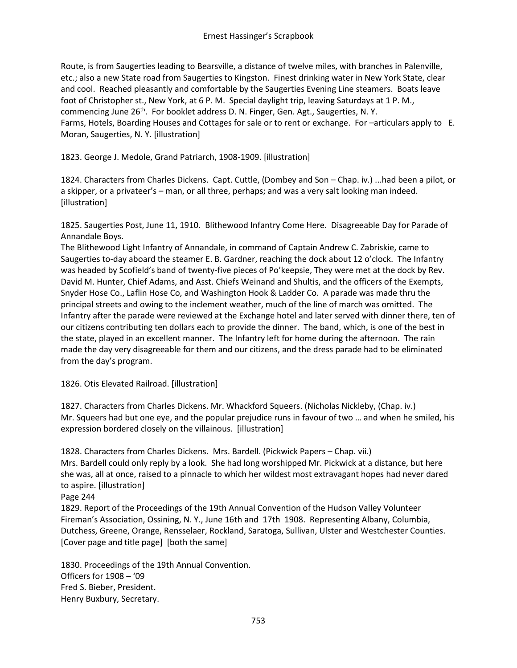Route, is from Saugerties leading to Bearsville, a distance of twelve miles, with branches in Palenville, etc.; also a new State road from Saugerties to Kingston. Finest drinking water in New York State, clear and cool. Reached pleasantly and comfortable by the Saugerties Evening Line steamers. Boats leave foot of Christopher st., New York, at 6 P. M. Special daylight trip, leaving Saturdays at 1 P. M., commencing June 26<sup>th</sup>. For booklet address D. N. Finger, Gen. Agt., Saugerties, N. Y. Farms, Hotels, Boarding Houses and Cottages for sale or to rent or exchange. For –articulars apply to E. Moran, Saugerties, N. Y. [illustration]

1823. George J. Medole, Grand Patriarch, 1908-1909. [illustration]

1824. Characters from Charles Dickens. Capt. Cuttle, (Dombey and Son – Chap. iv.) ...had been a pilot, or a skipper, or a privateer's – man, or all three, perhaps; and was a very salt looking man indeed. [illustration]

1825. Saugerties Post, June 11, 1910. Blithewood Infantry Come Here. Disagreeable Day for Parade of Annandale Boys.

The Blithewood Light Infantry of Annandale, in command of Captain Andrew C. Zabriskie, came to Saugerties to-day aboard the steamer E. B. Gardner, reaching the dock about 12 o'clock. The Infantry was headed by Scofield's band of twenty-five pieces of Po'keepsie, They were met at the dock by Rev. David M. Hunter, Chief Adams, and Asst. Chiefs Weinand and Shultis, and the officers of the Exempts, Snyder Hose Co., Laflin Hose Co, and Washington Hook & Ladder Co. A parade was made thru the principal streets and owing to the inclement weather, much of the line of march was omitted. The Infantry after the parade were reviewed at the Exchange hotel and later served with dinner there, ten of our citizens contributing ten dollars each to provide the dinner. The band, which, is one of the best in the state, played in an excellent manner. The Infantry left for home during the afternoon. The rain made the day very disagreeable for them and our citizens, and the dress parade had to be eliminated from the day's program.

1826. Otis Elevated Railroad. [illustration]

1827. Characters from Charles Dickens. Mr. Whackford Squeers. (Nicholas Nickleby, (Chap. iv.) Mr. Squeers had but one eye, and the popular prejudice runs in favour of two … and when he smiled, his expression bordered closely on the villainous. [illustration]

1828. Characters from Charles Dickens. Mrs. Bardell. (Pickwick Papers – Chap. vii.) Mrs. Bardell could only reply by a look. She had long worshipped Mr. Pickwick at a distance, but here she was, all at once, raised to a pinnacle to which her wildest most extravagant hopes had never dared to aspire. [illustration]

Page 244

1829. Report of the Proceedings of the 19th Annual Convention of the Hudson Valley Volunteer Fireman's Association, Ossining, N. Y., June 16th and 17th 1908. Representing Albany, Columbia, Dutchess, Greene, Orange, Rensselaer, Rockland, Saratoga, Sullivan, Ulster and Westchester Counties. [Cover page and title page] [both the same]

1830. Proceedings of the 19th Annual Convention. Officers for 1908 – '09 Fred S. Bieber, President. Henry Buxbury, Secretary.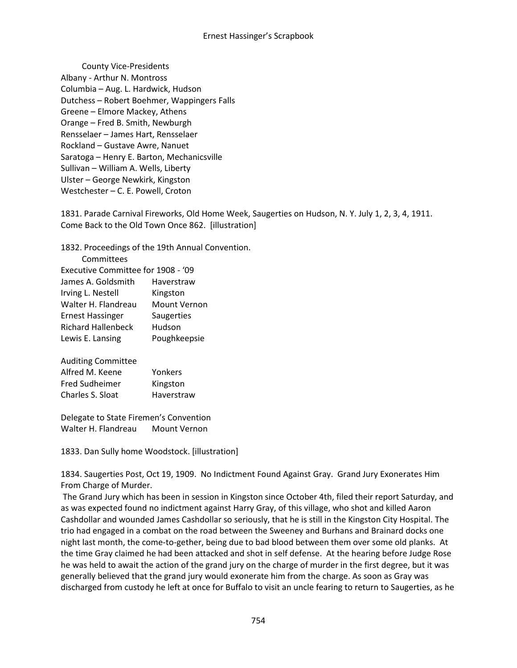County Vice-Presidents Albany - Arthur N. Montross Columbia – Aug. L. Hardwick, Hudson Dutchess – Robert Boehmer, Wappingers Falls Greene – Elmore Mackey, Athens Orange – Fred B. Smith, Newburgh Rensselaer – James Hart, Rensselaer Rockland – Gustave Awre, Nanuet Saratoga – Henry E. Barton, Mechanicsville Sullivan – William A. Wells, Liberty Ulster – George Newkirk, Kingston Westchester – C. E. Powell, Croton

1831. Parade Carnival Fireworks, Old Home Week, Saugerties on Hudson, N. Y. July 1, 2, 3, 4, 1911. Come Back to the Old Town Once 862. [illustration]

1832. Proceedings of the 19th Annual Convention.

| Committees                         |                     |
|------------------------------------|---------------------|
| Executive Committee for 1908 - '09 |                     |
| James A. Goldsmith                 | Haverstraw          |
| Irving L. Nestell                  | Kingston            |
| Walter H. Flandreau                | <b>Mount Vernon</b> |
| <b>Ernest Hassinger</b>            | Saugerties          |
| <b>Richard Hallenbeck</b>          | Hudson              |
| Lewis E. Lansing                   | Poughkeepsie        |
|                                    |                     |

| <b>Auditing Committee</b> |            |
|---------------------------|------------|
| Alfred M. Keene           | Yonkers    |
| <b>Fred Sudheimer</b>     | Kingston   |
| Charles S. Sloat          | Haverstraw |

Delegate to State Firemen's Convention Walter H. Flandreau Mount Vernon

1833. Dan Sully home Woodstock. [illustration]

1834. Saugerties Post, Oct 19, 1909. No Indictment Found Against Gray. Grand Jury Exonerates Him From Charge of Murder.

The Grand Jury which has been in session in Kingston since October 4th, filed their report Saturday, and as was expected found no indictment against Harry Gray, of this village, who shot and killed Aaron Cashdollar and wounded James Cashdollar so seriously, that he is still in the Kingston City Hospital. The trio had engaged in a combat on the road between the Sweeney and Burhans and Brainard docks one night last month, the come-to-gether, being due to bad blood between them over some old planks. At the time Gray claimed he had been attacked and shot in self defense. At the hearing before Judge Rose he was held to await the action of the grand jury on the charge of murder in the first degree, but it was generally believed that the grand jury would exonerate him from the charge. As soon as Gray was discharged from custody he left at once for Buffalo to visit an uncle fearing to return to Saugerties, as he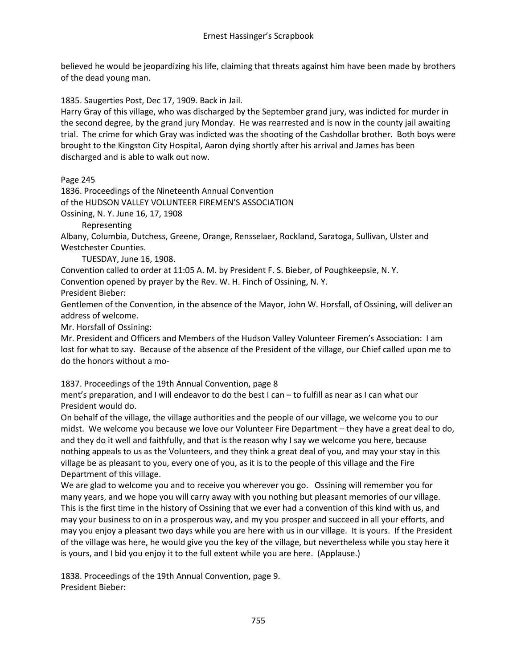believed he would be jeopardizing his life, claiming that threats against him have been made by brothers of the dead young man.

1835. Saugerties Post, Dec 17, 1909. Back in Jail.

Harry Gray of this village, who was discharged by the September grand jury, was indicted for murder in the second degree, by the grand jury Monday. He was rearrested and is now in the county jail awaiting trial. The crime for which Gray was indicted was the shooting of the Cashdollar brother. Both boys were brought to the Kingston City Hospital, Aaron dying shortly after his arrival and James has been discharged and is able to walk out now.

Page 245

1836. Proceedings of the Nineteenth Annual Convention of the HUDSON VALLEY VOLUNTEER FIREMEN'S ASSOCIATION Ossining, N. Y. June 16, 17, 1908

Representing

Albany, Columbia, Dutchess, Greene, Orange, Rensselaer, Rockland, Saratoga, Sullivan, Ulster and Westchester Counties.

TUESDAY, June 16, 1908.

Convention called to order at 11:05 A. M. by President F. S. Bieber, of Poughkeepsie, N. Y.

Convention opened by prayer by the Rev. W. H. Finch of Ossining, N. Y.

President Bieber:

Gentlemen of the Convention, in the absence of the Mayor, John W. Horsfall, of Ossining, will deliver an address of welcome.

Mr. Horsfall of Ossining:

Mr. President and Officers and Members of the Hudson Valley Volunteer Firemen's Association: I am lost for what to say. Because of the absence of the President of the village, our Chief called upon me to do the honors without a mo-

1837. Proceedings of the 19th Annual Convention, page 8

ment's preparation, and I will endeavor to do the best I can – to fulfill as near as I can what our President would do.

On behalf of the village, the village authorities and the people of our village, we welcome you to our midst. We welcome you because we love our Volunteer Fire Department – they have a great deal to do, and they do it well and faithfully, and that is the reason why I say we welcome you here, because nothing appeals to us as the Volunteers, and they think a great deal of you, and may your stay in this village be as pleasant to you, every one of you, as it is to the people of this village and the Fire Department of this village.

We are glad to welcome you and to receive you wherever you go. Ossining will remember you for many years, and we hope you will carry away with you nothing but pleasant memories of our village. This is the first time in the history of Ossining that we ever had a convention of this kind with us, and may your business to on in a prosperous way, and my you prosper and succeed in all your efforts, and may you enjoy a pleasant two days while you are here with us in our village. It is yours. If the President of the village was here, he would give you the key of the village, but nevertheless while you stay here it is yours, and I bid you enjoy it to the full extent while you are here. (Applause.)

1838. Proceedings of the 19th Annual Convention, page 9. President Bieber: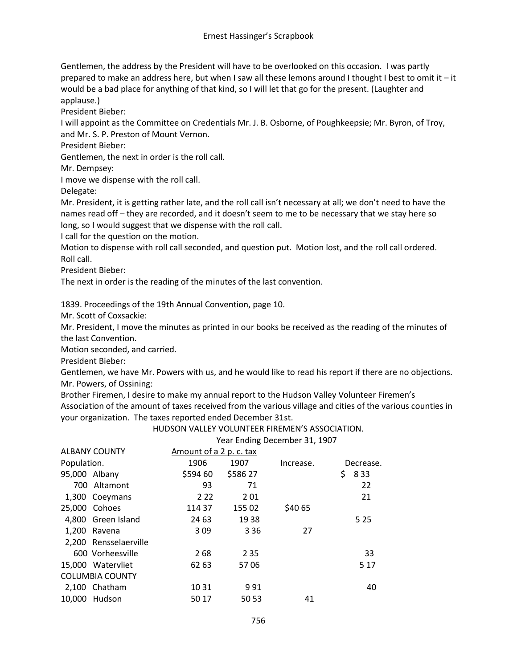Gentlemen, the address by the President will have to be overlooked on this occasion. I was partly prepared to make an address here, but when I saw all these lemons around I thought I best to omit it – it would be a bad place for anything of that kind, so I will let that go for the present. (Laughter and applause.)

President Bieber:

I will appoint as the Committee on Credentials Mr. J. B. Osborne, of Poughkeepsie; Mr. Byron, of Troy, and Mr. S. P. Preston of Mount Vernon.

President Bieber:

Gentlemen, the next in order is the roll call.

Mr. Dempsey:

I move we dispense with the roll call.

Delegate:

Mr. President, it is getting rather late, and the roll call isn't necessary at all; we don't need to have the names read off – they are recorded, and it doesn't seem to me to be necessary that we stay here so long, so I would suggest that we dispense with the roll call.

I call for the question on the motion.

Motion to dispense with roll call seconded, and question put. Motion lost, and the roll call ordered. Roll call.

President Bieber:

The next in order is the reading of the minutes of the last convention.

1839. Proceedings of the 19th Annual Convention, page 10.

Mr. Scott of Coxsackie:

Mr. President, I move the minutes as printed in our books be received as the reading of the minutes of the last Convention.

Motion seconded, and carried.

President Bieber:

Gentlemen, we have Mr. Powers with us, and he would like to read his report if there are no objections. Mr. Powers, of Ossining:

Brother Firemen, I desire to make my annual report to the Hudson Valley Volunteer Firemen's Association of the amount of taxes received from the various village and cities of the various counties in your organization. The taxes reported ended December 31st.

HUDSON VALLEY VOLUNTEER FIREMEN'S ASSOCIATION.

Year Ending December 31, 1907

| <b>ALBANY COUNTY</b>   | Amount of a 2 p. c. tax |          |           |             |
|------------------------|-------------------------|----------|-----------|-------------|
| Population.            | 1906                    | 1907     | Increase. | Decrease.   |
| 95,000 Albany          | \$594 60                | \$586 27 |           | \$<br>8 3 3 |
| 700 Altamont           | 93                      | 71       |           | 22          |
| 1,300 Coeymans         | 2 2 2                   | 201      |           | 21          |
| 25,000 Cohoes          | 114 37                  | 155 02   | \$40 65   |             |
| 4,800 Green Island     | 24 63                   | 1938     |           | 5 2 5       |
| 1.200 Ravena           | 309                     | 3 3 6    | 27        |             |
| 2,200 Rensselaerville  |                         |          |           |             |
| 600 Vorheesville       | 268                     | 2 3 5    |           | 33          |
| 15,000 Watervliet      | 62 63                   | 5706     |           | 5 1 7       |
| <b>COLUMBIA COUNTY</b> |                         |          |           |             |
| 2,100 Chatham          | 10 31                   | 991      |           | 40          |
| 10,000 Hudson          | 50 17                   | 50 53    | 41        |             |
|                        |                         |          |           |             |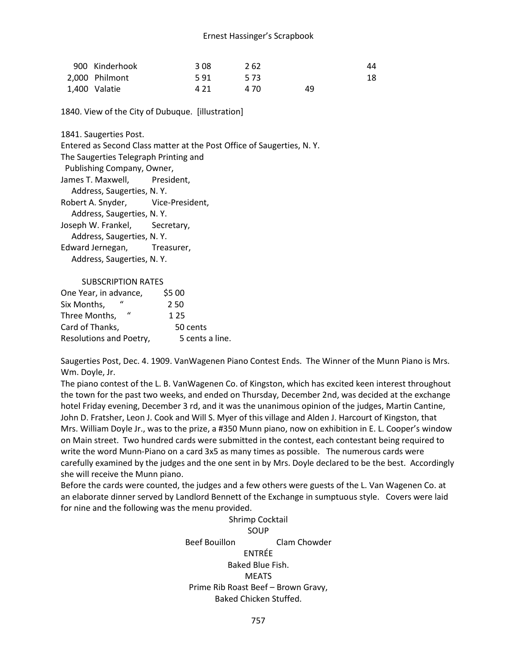| 900 Kinderhook | 308  | 262  |    | 44 |
|----------------|------|------|----|----|
| 2.000 Philmont | 591  | 5.73 |    | 18 |
| 1,400 Valatie  | 4 21 | 4 70 | 49 |    |

1840. View of the City of Dubuque. [illustration]

1841. Saugerties Post.

Entered as Second Class matter at the Post Office of Saugerties, N. Y.

The Saugerties Telegraph Printing and

Publishing Company, Owner,

James T. Maxwell, President,

Address, Saugerties, N. Y.

Robert A. Snyder, Vice-President,

Address, Saugerties, N. Y.

Joseph W. Frankel, Secretary,

Address, Saugerties, N. Y.

Edward Jernegan, Treasurer, Address, Saugerties, N. Y.

#### SUBSCRIPTION RATES

| One Year, in advance,     | \$5 00          |
|---------------------------|-----------------|
| Six Months,               | 2.50            |
| $\bf{u}$<br>Three Months, | 1 2 5           |
| Card of Thanks,           | 50 cents        |
| Resolutions and Poetry,   | 5 cents a line. |

Saugerties Post, Dec. 4. 1909. VanWagenen Piano Contest Ends. The Winner of the Munn Piano is Mrs. Wm. Doyle, Jr.

The piano contest of the L. B. VanWagenen Co. of Kingston, which has excited keen interest throughout the town for the past two weeks, and ended on Thursday, December 2nd, was decided at the exchange hotel Friday evening, December 3 rd, and it was the unanimous opinion of the judges, Martin Cantine, John D. Fratsher, Leon J. Cook and Will S. Myer of this village and Alden J. Harcourt of Kingston, that Mrs. William Doyle Jr., was to the prize, a #350 Munn piano, now on exhibition in E. L. Cooper's window on Main street. Two hundred cards were submitted in the contest, each contestant being required to write the word Munn-Piano on a card 3x5 as many times as possible. The numerous cards were carefully examined by the judges and the one sent in by Mrs. Doyle declared to be the best. Accordingly she will receive the Munn piano.

Before the cards were counted, the judges and a few others were guests of the L. Van Wagenen Co. at an elaborate dinner served by Landlord Bennett of the Exchange in sumptuous style. Covers were laid for nine and the following was the menu provided.

> Shrimp Cocktail SOUP Beef Bouillon Clam Chowder ENTRÉE Baked Blue Fish. MEATS Prime Rib Roast Beef – Brown Gravy, Baked Chicken Stuffed.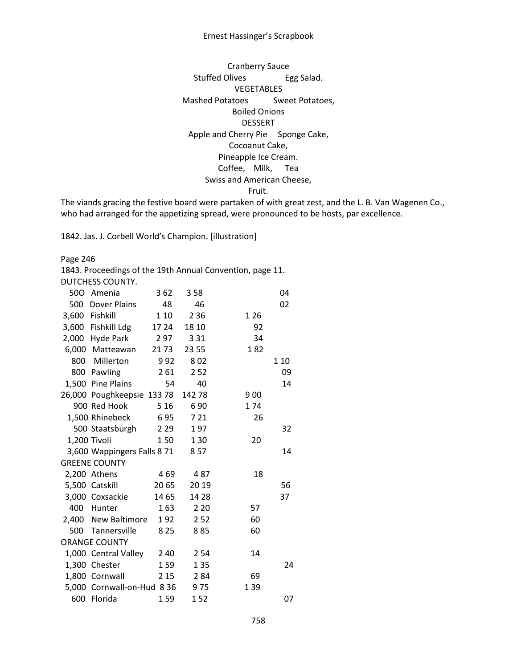#### Ernest Hassinger's Scrapbook

Cranberry Sauce Stuffed Olives Egg Salad. VEGETABLES Mashed Potatoes Sweet Potatoes, Boiled Onions DESSERT Apple and Cherry Pie Sponge Cake, Cocoanut Cake, Pineapple Ice Cream. Coffee, Milk, Tea Swiss and American Cheese, Fruit.

The viands gracing the festive board were partaken of with great zest, and the L. B. Van Wagenen Co., who had arranged for the appetizing spread, were pronounced to be hosts, par excellence.

1842. Jas. J. Corbell World's Champion. [illustration]

Page 246

1843. Proceedings of the 19th Annual Convention, page 11.

DUTCHESS COUNTY.

| 500 Amenia                  | 362   | 358    |       | 04   |
|-----------------------------|-------|--------|-------|------|
| 500 Dover Plains            | 48    | 46     |       | 02   |
| 3,600 Fishkill              | 1 1 0 | 2 3 6  | 1 2 6 |      |
| 3,600 Fishkill Ldg          | 17 24 | 18 10  | 92    |      |
| 2,000 Hyde Park             | 2 97  | 3 3 1  | 34    |      |
| 6,000 Matteawan             | 21 73 | 23 55  | 182   |      |
| 800 Millerton               | 992   | 802    |       | 1 10 |
| 800 Pawling                 | 261   | 2 5 2  |       | 09   |
| 1,500 Pine Plains           | 54    | 40     |       | 14   |
| 26,000 Poughkeepsie 133 78  |       | 142 78 | 900   |      |
| 900 Red Hook                | 5 1 6 | 690    | 174   |      |
| 1,500 Rhinebeck             | 695   | 7 21   | 26    |      |
| 500 Staatsburgh             | 2 2 9 | 197    |       | 32   |
| 1,200 Tivoli                | 150   | 1 3 0  | 20    |      |
| 3,600 Wappingers Falls 8 71 |       | 857    |       | 14   |
| <b>GREENE COUNTY</b>        |       |        |       |      |
| 2,200 Athens                | 469   | 487    | 18    |      |
| 5,500 Catskill              | 20 65 | 20 19  |       | 56   |
| 3,000 Coxsackie             | 14 65 | 14 28  |       | 37   |
| 400 Hunter                  | 163   | 2 2 0  | 57    |      |
| 2,400 New Baltimore         | 192   | 252    | 60    |      |
| 500 Tannersville            | 8 2 5 | 885    | 60    |      |
| <b>ORANGE COUNTY</b>        |       |        |       |      |
| 1,000 Central Valley        | 240   | 2 5 4  | 14    |      |
| 1,300 Chester               | 159   | 1 3 5  |       | 24   |
| 1,800 Cornwall              | 2 1 5 | 284    | 69    |      |
| 5,000 Cornwall-on-Hud 8 36  |       | 975    | 1 3 9 |      |
| 600 Florida                 | 159   | 152    |       | 07   |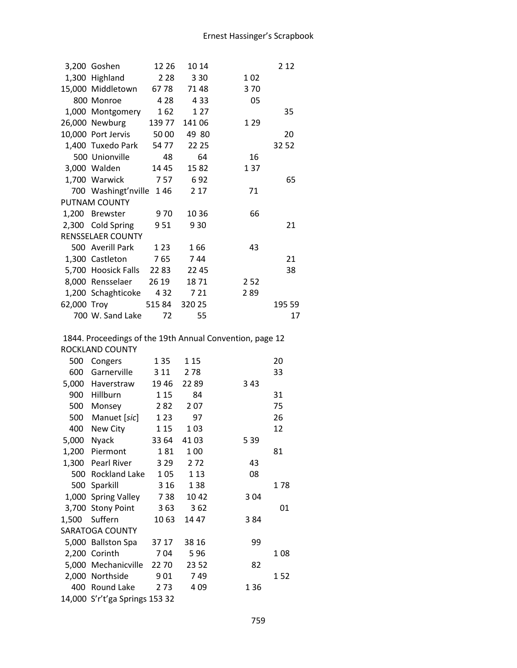| 3,200 Goshen              | 12 26 | 10 14  |       | 2 1 2  |
|---------------------------|-------|--------|-------|--------|
| 1,300 Highland            | 2 2 8 | 3 3 0  | 102   |        |
| 15,000 Middletown         | 67 78 | 7148   | 370   |        |
| 800 Monroe                | 4 2 8 | 4 3 3  | 05    |        |
| 1,000 Montgomery          | 162   | 1 2 7  |       | 35     |
| 26,000 Newburg 139 77     |       | 141 06 | 1 2 9 |        |
| 10,000 Port Jervis 50 00  |       | 49 80  |       | 20     |
| 1,400 Tuxedo Park 54 77   |       | 22 25  |       | 32 52  |
| 500 Unionville            | 48    | 64     | 16    |        |
| 3,000 Walden              | 14 45 | 1582   | 137   |        |
| 1,700 Warwick 757         |       | 692    |       | 65     |
| 700 Washingt'nville 146   |       | 2 1 7  | 71    |        |
| PUTNAM COUNTY             |       |        |       |        |
| 1,200 Brewster            | 9 70  | 10 36  | 66    |        |
| 2,300 Cold Spring 951     |       | 930    |       | 21     |
| <b>RENSSELAER COUNTY</b>  |       |        |       |        |
| 500 Averill Park          | 123   | 166    | 43    |        |
| 1,300 Castleton 765       |       | 744    |       | 21     |
| 5,700 Hoosick Falls 22 83 |       | 22 45  |       | 38     |
| 8,000 Rensselaer 26 19    |       | 1871   | 2 5 2 |        |
| 1,200 Schaghticoke 432    |       | 7 21   | 289   |        |
| 62,000 Troy 515 84 320 25 |       |        |       | 195 59 |
| 700 W. Sand Lake          | 72    | 55     |       | 17     |

### 1844. Proceedings of the 19th Annual Convention, page 12 ROCKLAND COUNTY

| 500   | Congers                        | 1 3 5 | 1 15  |       | 20   |
|-------|--------------------------------|-------|-------|-------|------|
| 600   | Garnerville                    | 3 1 1 | 278   |       | 33   |
| 5,000 | Haverstraw                     | 1946  | 2289  | 3 4 3 |      |
| 900   | Hillburn                       | 1 1 5 | 84    |       | 31   |
| 500   | Monsey                         | 282   | 207   |       | 75   |
| 500   | Manuet [sic]                   | 1 2 3 | 97    |       | 26   |
| 400   | New City                       | 1 15  | 103   |       | 12   |
| 5,000 | <b>Nyack</b>                   | 33 64 | 4103  | 5 3 9 |      |
| 1,200 | Piermont                       | 181   | 100   |       | 81   |
|       | 1,300 Pearl River              | 3 2 9 | 272   | 43    |      |
| 500   | Rockland Lake                  | 105   | 1 1 3 | 08    |      |
|       | 500 Sparkill                   | 3 1 6 | 138   |       | 1 78 |
|       | 1,000 Spring Valley            | 738   | 1042  | 304   |      |
|       | 3,700 Stony Point              | 363   | 362   |       | 01   |
| 1,500 | Suffern                        | 1063  | 14 47 | 384   |      |
|       | <b>SARATOGA COUNTY</b>         |       |       |       |      |
|       | 5,000 Ballston Spa             | 37 17 | 38 16 | 99    |      |
|       | 2,200 Corinth                  | 704   | 596   |       | 108  |
|       | 5,000 Mechanicville            | 22 70 | 23 52 | 82    |      |
| 2,000 | Northside                      | 901   | 749   |       | 152  |
| 400   | Round Lake                     | 2 7 3 | 409   | 136   |      |
|       | 14,000 S'r't'ga Springs 153 32 |       |       |       |      |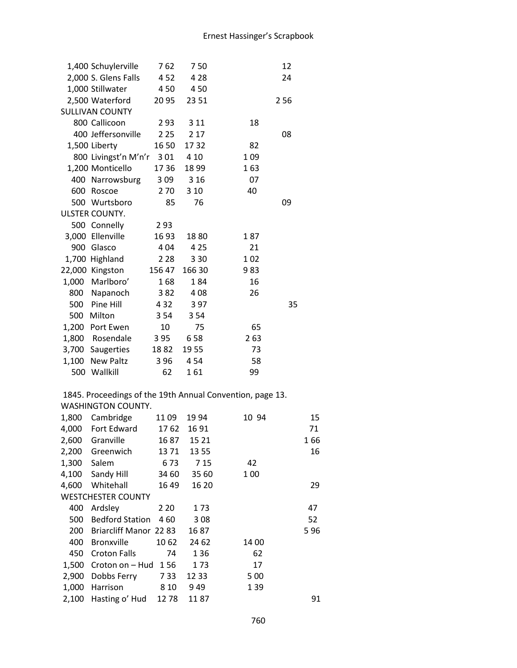|       | 1,400 Schuylerville                                       | 762    | 750    |       | 12  |     |
|-------|-----------------------------------------------------------|--------|--------|-------|-----|-----|
|       | 2,000 S. Glens Falls                                      | 452    | 4 2 8  |       | 24  |     |
|       | 1,000 Stillwater                                          | 450    | 450    |       |     |     |
|       | 2,500 Waterford                                           | 2095   | 23 51  |       | 256 |     |
|       | <b>SULLIVAN COUNTY</b>                                    |        |        |       |     |     |
|       | 800 Callicoon                                             | 293    | 3 1 1  | 18    |     |     |
|       | 400 Jeffersonville                                        | 2 2 5  | 2 1 7  |       | 08  |     |
|       | 1,500 Liberty                                             | 16 50  | 1732   | 82    |     |     |
|       | 800 Livingst'n M'n'r                                      | 301    | 4 10   | 1 0 9 |     |     |
|       | 1,200 Monticello                                          | 1736   | 1899   | 163   |     |     |
|       | 400 Narrowsburg                                           | 309    | 3 1 6  | 07    |     |     |
|       | 600 Roscoe                                                | 270    | 3 1 0  | 40    |     |     |
|       | 500 Wurtsboro                                             | 85     | 76     |       | 09  |     |
|       | ULSTER COUNTY.                                            |        |        |       |     |     |
|       | 500 Connelly                                              | 293    |        |       |     |     |
|       | 3,000 Ellenville                                          | 1693   | 1880   | 187   |     |     |
|       | 900 Glasco                                                | 404    | 4 2 5  | 21    |     |     |
|       | 1,700 Highland                                            | 2 2 8  | 3 3 0  | 102   |     |     |
|       | 22,000 Kingston                                           | 156 47 | 166 30 | 983   |     |     |
|       | 1,000 Marlboro'                                           | 168    | 184    | 16    |     |     |
|       | 800 Napanoch                                              | 382    | 408    | 26    |     |     |
|       | 500 Pine Hill                                             | 4 3 2  | 397    |       | 35  |     |
|       | 500 Milton                                                | 3 5 4  | 3 5 4  |       |     |     |
|       | 1,200 Port Ewen                                           | 10     | 75     | 65    |     |     |
|       | 1,800 Rosendale                                           | 395    | 658    | 263   |     |     |
|       | 3,700 Saugerties                                          | 1882   | 1955   | 73    |     |     |
|       | 1,100 New Paltz                                           | 396    | 454    | 58    |     |     |
|       | 500 Wallkill                                              | 62     | 161    | 99    |     |     |
|       | 1845. Proceedings of the 19th Annual Convention, page 13. |        |        |       |     |     |
|       | WASHINGTON COUNTY.                                        |        |        |       |     |     |
|       | 1,800 Cambridge                                           | 1109   | 19 94  | 10 94 |     | 15  |
| 4,000 | Fort Edward                                               | 1762   | 16 91  |       |     | 71  |
| 2,600 | Granville                                                 | 1687   | 15 21  |       |     | 166 |
| 2,200 | Greenwich                                                 | 1371   | 13 55  |       |     | 16  |
| 1,300 | Salem                                                     | 673    | 7 15   | 42    |     |     |
| 4,100 | Sandy Hill                                                | 34 60  | 35 60  | 1 0 0 |     |     |
| 4,600 | Whitehall                                                 | 16 49  | 16 20  |       |     | 29  |
|       | <b>WESTCHESTER COUNTY</b>                                 |        |        |       |     |     |
| 400   | Ardsley                                                   | 2 2 0  | 173    |       |     | 47  |
| 500   | <b>Bedford Station</b>                                    | 460    | 308    |       |     | 52  |
| 200   | Briarcliff Manor 22 83                                    |        | 1687   |       |     | 596 |
| 400   | <b>Bronxville</b>                                         | 1062   | 24 62  | 14 00 |     |     |
| 450   | <b>Croton Falls</b>                                       | 74     | 136    | 62    |     |     |

1,500 Croton on – Hud 156 173 17<br>2,900 Dobbs Ferry 733 1233 500 2,900 Dobbs Ferry 7 33 12 33 5 00<br>1,000 Harrison 8 10 9 49 1 39

1,000 Harrison 8 10 9 49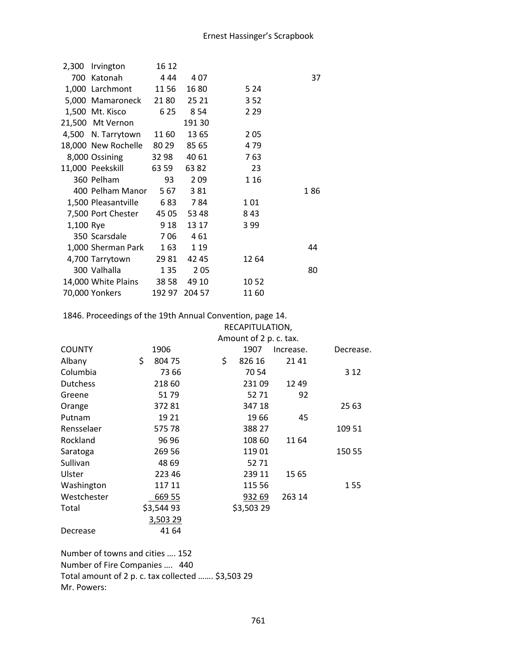|           | 2,300 Irvington             | 16 12 |               |       |     |
|-----------|-----------------------------|-------|---------------|-------|-----|
|           | 700 Katonah                 | 4 44  | 407           |       | 37  |
|           | 1,000 Larchmont             | 11 56 | 16 80         | 5 2 4 |     |
|           | 5,000 Mamaroneck 2180       |       | 25 21         | 352   |     |
|           | 1,500 Mt. Kisco             | 6 2 5 | 8 5 4         | 2 2 9 |     |
|           | 21,500 Mt Vernon            |       | 19130         |       |     |
|           | 4,500 N. Tarrytown          | 11 60 | 1365          | 205   |     |
|           | 18,000 New Rochelle 80 29   |       | 85 65         | 479   |     |
|           | 8,000 Ossining              | 32 98 | 40 61         | 763   |     |
|           | 11,000 Peekskill            | 63 59 | 6382          | 23    |     |
|           | 360 Pelham                  | 93    | 2 0 9         | 1 1 6 |     |
|           | 400 Pelham Manor            | 567   | 381           |       | 186 |
|           | 1,500 Pleasantville 683 784 |       |               | 101   |     |
|           | 7,500 Port Chester          | 45 05 | 53 48         | 843   |     |
| 1,100 Rye |                             | 9 18  | 13 17         | 399   |     |
|           | 350 Scarsdale               | 706   | 461           |       |     |
|           | 1,000 Sherman Park          | 163   | 1 1 9         |       | 44  |
|           | 4,700 Tarrytown             | 29 81 | 42 45         | 12 64 |     |
|           | 300 Valhalla                | 1 3 5 | 205           |       | 80  |
|           | 14,000 White Plains 38 58   |       | 49 10         | 1052  |     |
|           | 70,000 Yonkers              |       | 192 97 204 57 | 1160  |     |

1846. Proceedings of the 19th Annual Convention, page 14.

|                 | RECAPITULATION, |            |  |    |                        |           |    |           |
|-----------------|-----------------|------------|--|----|------------------------|-----------|----|-----------|
|                 |                 |            |  |    | Amount of 2 p. c. tax. |           |    |           |
| <b>COUNTY</b>   |                 | 1906       |  |    | 1907                   | Increase. |    | Decrease. |
| Albany          | \$              | 804 75     |  | \$ | 826 16                 | 2141      |    |           |
| Columbia        |                 | 73 66      |  |    | 7054                   |           |    | 3 1 2     |
| <b>Dutchess</b> |                 | 218 60     |  |    | 23109                  | 1249      |    |           |
| Greene          |                 | 5179       |  |    | 52 71                  |           | 92 |           |
| Orange          |                 | 37281      |  |    | 347 18                 |           |    | 25 63     |
| Putnam          |                 | 19 21      |  |    | 1966                   |           | 45 |           |
| Rensselaer      |                 | 575 78     |  |    | 388 27                 |           |    | 109 51    |
| Rockland        |                 | 96 96      |  |    | 108 60                 | 11 64     |    |           |
| Saratoga        |                 | 269 56     |  |    | 11901                  |           |    | 150 55    |
| Sullivan        |                 | 48 69      |  |    | 52 71                  |           |    |           |
| Ulster          |                 | 223 46     |  |    | 239 11                 | 15 65     |    |           |
| Washington      |                 | 117 11     |  |    | 115 56                 |           |    | 155       |
| Westchester     |                 | 669 55     |  |    | 932 69                 | 263 14    |    |           |
| Total           |                 | \$3,544 93 |  |    | \$3,503 29             |           |    |           |
|                 |                 | 3,503 29   |  |    |                        |           |    |           |
| Decrease        |                 | 41 64      |  |    |                        |           |    |           |

Number of towns and cities …. 152 Number of Fire Companies …. 440 Total amount of 2 p. c. tax collected ……. \$3,503 29 Mr. Powers: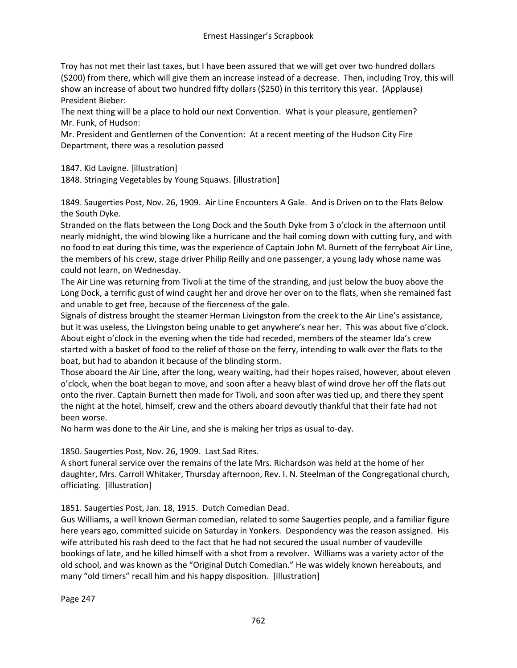Troy has not met their last taxes, but I have been assured that we will get over two hundred dollars (\$200) from there, which will give them an increase instead of a decrease. Then, including Troy, this will show an increase of about two hundred fifty dollars (\$250) in this territory this year. (Applause) President Bieber:

The next thing will be a place to hold our next Convention. What is your pleasure, gentlemen? Mr. Funk, of Hudson:

Mr. President and Gentlemen of the Convention: At a recent meeting of the Hudson City Fire Department, there was a resolution passed

1847. Kid Lavigne. [illustration]

1848. Stringing Vegetables by Young Squaws. [illustration]

1849. Saugerties Post, Nov. 26, 1909. Air Line Encounters A Gale. And is Driven on to the Flats Below the South Dyke.

Stranded on the flats between the Long Dock and the South Dyke from 3 o'clock in the afternoon until nearly midnight, the wind blowing like a hurricane and the hail coming down with cutting fury, and with no food to eat during this time, was the experience of Captain John M. Burnett of the ferryboat Air Line, the members of his crew, stage driver Philip Reilly and one passenger, a young lady whose name was could not learn, on Wednesday.

The Air Line was returning from Tivoli at the time of the stranding, and just below the buoy above the Long Dock, a terrific gust of wind caught her and drove her over on to the flats, when she remained fast and unable to get free, because of the fierceness of the gale.

Signals of distress brought the steamer Herman Livingston from the creek to the Air Line's assistance, but it was useless, the Livingston being unable to get anywhere's near her. This was about five o'clock. About eight o'clock in the evening when the tide had receded, members of the steamer Ida's crew started with a basket of food to the relief of those on the ferry, intending to walk over the flats to the boat, but had to abandon it because of the blinding storm.

Those aboard the Air Line, after the long, weary waiting, had their hopes raised, however, about eleven o'clock, when the boat began to move, and soon after a heavy blast of wind drove her off the flats out onto the river. Captain Burnett then made for Tivoli, and soon after was tied up, and there they spent the night at the hotel, himself, crew and the others aboard devoutly thankful that their fate had not been worse.

No harm was done to the Air Line, and she is making her trips as usual to-day.

# 1850. Saugerties Post, Nov. 26, 1909. Last Sad Rites.

A short funeral service over the remains of the late Mrs. Richardson was held at the home of her daughter, Mrs. Carroll Whitaker, Thursday afternoon, Rev. I. N. Steelman of the Congregational church, officiating. [illustration]

1851. Saugerties Post, Jan. 18, 1915. Dutch Comedian Dead.

Gus Williams, a well known German comedian, related to some Saugerties people, and a familiar figure here years ago, committed suicide on Saturday in Yonkers. Despondency was the reason assigned. His wife attributed his rash deed to the fact that he had not secured the usual number of vaudeville bookings of late, and he killed himself with a shot from a revolver. Williams was a variety actor of the old school, and was known as the "Original Dutch Comedian." He was widely known hereabouts, and many "old timers" recall him and his happy disposition. [illustration]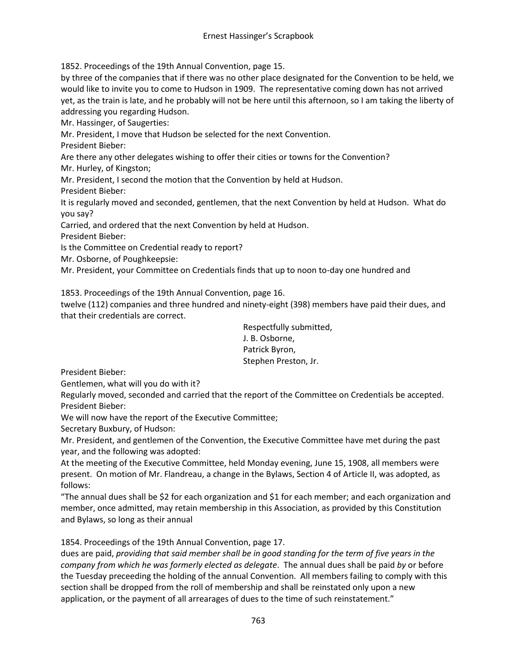1852. Proceedings of the 19th Annual Convention, page 15.

by three of the companies that if there was no other place designated for the Convention to be held, we would like to invite you to come to Hudson in 1909. The representative coming down has not arrived yet, as the train is late, and he probably will not be here until this afternoon, so I am taking the liberty of addressing you regarding Hudson.

Mr. Hassinger, of Saugerties:

Mr. President, I move that Hudson be selected for the next Convention.

President Bieber:

Are there any other delegates wishing to offer their cities or towns for the Convention?

Mr. Hurley, of Kingston;

Mr. President, I second the motion that the Convention by held at Hudson.

President Bieber:

It is regularly moved and seconded, gentlemen, that the next Convention by held at Hudson. What do you say?

Carried, and ordered that the next Convention by held at Hudson.

President Bieber:

Is the Committee on Credential ready to report?

Mr. Osborne, of Poughkeepsie:

Mr. President, your Committee on Credentials finds that up to noon to-day one hundred and

1853. Proceedings of the 19th Annual Convention, page 16.

twelve (112) companies and three hundred and ninety-eight (398) members have paid their dues, and that their credentials are correct.

> Respectfully submitted, J. B. Osborne, Patrick Byron, Stephen Preston, Jr.

President Bieber:

Gentlemen, what will you do with it?

Regularly moved, seconded and carried that the report of the Committee on Credentials be accepted. President Bieber:

We will now have the report of the Executive Committee;

Secretary Buxbury, of Hudson:

Mr. President, and gentlemen of the Convention, the Executive Committee have met during the past year, and the following was adopted:

At the meeting of the Executive Committee, held Monday evening, June 15, 1908, all members were present. On motion of Mr. Flandreau, a change in the Bylaws, Section 4 of Article II, was adopted, as follows:

"The annual dues shall be \$2 for each organization and \$1 for each member; and each organization and member, once admitted, may retain membership in this Association, as provided by this Constitution and Bylaws, so long as their annual

1854. Proceedings of the 19th Annual Convention, page 17.

dues are paid, *providing that said member shall be in good standing for the term of five years in the company from which he was formerly elected as delegate*. The annual dues shall be paid *by* or before the Tuesday preceeding the holding of the annual Convention. All members failing to comply with this section shall be dropped from the roll of membership and shall be reinstated only upon a new application, or the payment of all arrearages of dues to the time of such reinstatement."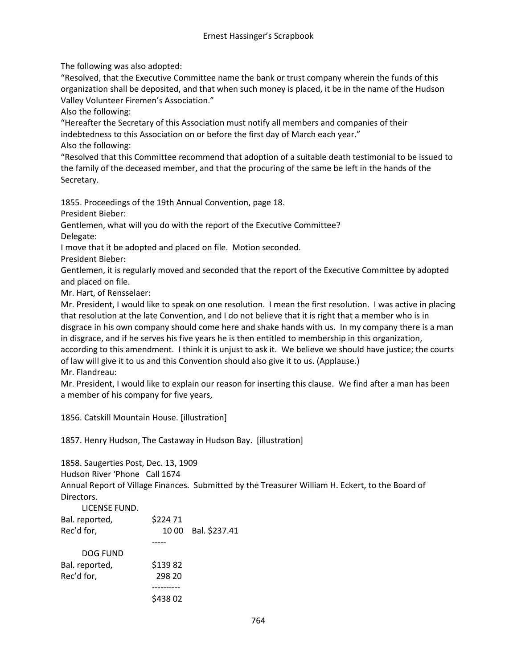The following was also adopted:

"Resolved, that the Executive Committee name the bank or trust company wherein the funds of this organization shall be deposited, and that when such money is placed, it be in the name of the Hudson Valley Volunteer Firemen's Association."

Also the following:

"Hereafter the Secretary of this Association must notify all members and companies of their indebtedness to this Association on or before the first day of March each year." Also the following:

"Resolved that this Committee recommend that adoption of a suitable death testimonial to be issued to the family of the deceased member, and that the procuring of the same be left in the hands of the Secretary.

1855. Proceedings of the 19th Annual Convention, page 18.

President Bieber:

Gentlemen, what will you do with the report of the Executive Committee? Delegate:

I move that it be adopted and placed on file. Motion seconded.

President Bieber:

Gentlemen, it is regularly moved and seconded that the report of the Executive Committee by adopted and placed on file.

Mr. Hart, of Rensselaer:

Mr. President, I would like to speak on one resolution. I mean the first resolution. I was active in placing that resolution at the late Convention, and I do not believe that it is right that a member who is in disgrace in his own company should come here and shake hands with us. In my company there is a man in disgrace, and if he serves his five years he is then entitled to membership in this organization, according to this amendment. I think it is unjust to ask it. We believe we should have justice; the courts of law will give it to us and this Convention should also give it to us. (Applause.)

Mr. Flandreau:

Mr. President, I would like to explain our reason for inserting this clause. We find after a man has been a member of his company for five years,

1856. Catskill Mountain House. [illustration]

1857. Henry Hudson, The Castaway in Hudson Bay. [illustration]

1858. Saugerties Post, Dec. 13, 1909 Hudson River 'Phone Call 1674 Annual Report of Village Finances. Submitted by the Treasurer William H. Eckert, to the Board of Directors.

| LICENSE FUND.  |         |                     |
|----------------|---------|---------------------|
| Bal. reported, | \$22471 |                     |
| Rec'd for,     |         | 10 00 Bal. \$237.41 |
|                |         |                     |
| DOG FUND       |         |                     |
| Bal. reported, | \$13982 |                     |
| Rec'd for,     | 298 20  |                     |
|                |         |                     |
|                | \$43802 |                     |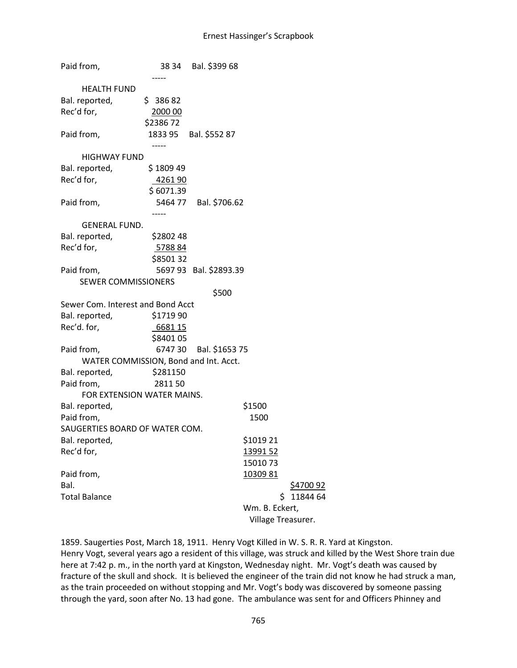Paid from, 38 34 Bal. \$399 68 ----- HEALTH FUND Bal. reported,  $\frac{1}{2}$  386 82 Rec'd for, 2000 00 \$2386 72 Paid from, 1833 95 Bal. \$552 87 ----- HIGHWAY FUND Bal. reported,  $\frac{1}{2}$  \$ 1809 49 Rec'd for, 4261 90 \$ 6071.39 Paid from, 5464 77 Bal. \$706.62 ----- GENERAL FUND. Bal. reported, \$2802 48 Rec'd for, 5788 84 \$8501 32 Paid from, 5697 93 Bal. \$2893.39 SEWER COMMISSIONERS \$500 Sewer Com. Interest and Bond Acct Bal. reported, \$1719 90 Rec'd. for, 6681 15 \$8401 05 Paid from, 6747 30 Bal. \$1653 75 WATER COMMISSION, Bond and Int. Acct. Bal. reported, \$281150 Paid from, 2811 50 FOR EXTENSION WATER MAINS. Bal. reported, https://www.fal.com/statestand-Paid from, 1500 SAUGERTIES BOARD OF WATER COM. Bal. reported,  $$101921$ Rec'd for, 13991 52 15010 73 Paid from, 10309 81 Bal. \$4700 92 Total Balance **120 State 120 State 120 State 120 State 120 State 120 State 120 State 120 State 120 State 120 State 120 State 120 State 120 State 120 State 120 State 120 State 120 State 120 State 120 State 120 State 120 Sta** Wm. B. Eckert, Village Treasurer.

1859. Saugerties Post, March 18, 1911. Henry Vogt Killed in W. S. R. R. Yard at Kingston. Henry Vogt, several years ago a resident of this village, was struck and killed by the West Shore train due here at 7:42 p. m., in the north yard at Kingston, Wednesday night. Mr. Vogt's death was caused by fracture of the skull and shock. It is believed the engineer of the train did not know he had struck a man, as the train proceeded on without stopping and Mr. Vogt's body was discovered by someone passing through the yard, soon after No. 13 had gone. The ambulance was sent for and Officers Phinney and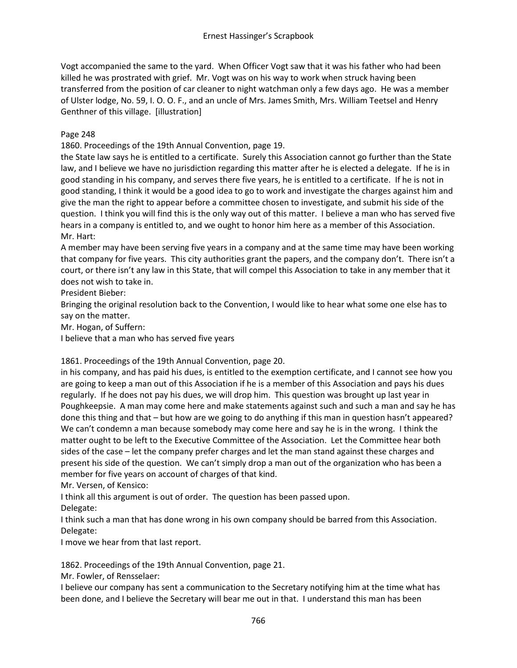Vogt accompanied the same to the yard. When Officer Vogt saw that it was his father who had been killed he was prostrated with grief. Mr. Vogt was on his way to work when struck having been transferred from the position of car cleaner to night watchman only a few days ago. He was a member of Ulster lodge, No. 59, I. O. O. F., and an uncle of Mrs. James Smith, Mrs. William Teetsel and Henry Genthner of this village. [illustration]

### Page 248

1860. Proceedings of the 19th Annual Convention, page 19.

the State law says he is entitled to a certificate. Surely this Association cannot go further than the State law, and I believe we have no jurisdiction regarding this matter after he is elected a delegate. If he is in good standing in his company, and serves there five years, he is entitled to a certificate. If he is not in good standing, I think it would be a good idea to go to work and investigate the charges against him and give the man the right to appear before a committee chosen to investigate, and submit his side of the question. I think you will find this is the only way out of this matter. I believe a man who has served five hears in a company is entitled to, and we ought to honor him here as a member of this Association. Mr. Hart:

A member may have been serving five years in a company and at the same time may have been working that company for five years. This city authorities grant the papers, and the company don't. There isn't a court, or there isn't any law in this State, that will compel this Association to take in any member that it does not wish to take in.

President Bieber:

Bringing the original resolution back to the Convention, I would like to hear what some one else has to say on the matter.

Mr. Hogan, of Suffern:

I believe that a man who has served five years

1861. Proceedings of the 19th Annual Convention, page 20.

in his company, and has paid his dues, is entitled to the exemption certificate, and I cannot see how you are going to keep a man out of this Association if he is a member of this Association and pays his dues regularly. If he does not pay his dues, we will drop him. This question was brought up last year in Poughkeepsie. A man may come here and make statements against such and such a man and say he has done this thing and that – but how are we going to do anything if this man in question hasn't appeared? We can't condemn a man because somebody may come here and say he is in the wrong. I think the matter ought to be left to the Executive Committee of the Association. Let the Committee hear both sides of the case – let the company prefer charges and let the man stand against these charges and present his side of the question. We can't simply drop a man out of the organization who has been a member for five years on account of charges of that kind.

Mr. Versen, of Kensico:

I think all this argument is out of order. The question has been passed upon.

Delegate:

I think such a man that has done wrong in his own company should be barred from this Association. Delegate:

I move we hear from that last report.

1862. Proceedings of the 19th Annual Convention, page 21.

Mr. Fowler, of Rensselaer:

I believe our company has sent a communication to the Secretary notifying him at the time what has been done, and I believe the Secretary will bear me out in that. I understand this man has been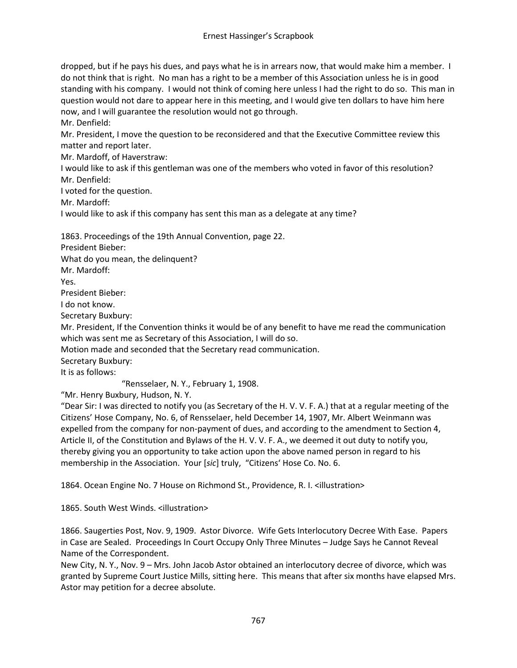dropped, but if he pays his dues, and pays what he is in arrears now, that would make him a member. I do not think that is right. No man has a right to be a member of this Association unless he is in good standing with his company. I would not think of coming here unless I had the right to do so. This man in question would not dare to appear here in this meeting, and I would give ten dollars to have him here now, and I will guarantee the resolution would not go through.

Mr. Denfield:

Mr. President, I move the question to be reconsidered and that the Executive Committee review this matter and report later.

Mr. Mardoff, of Haverstraw:

I would like to ask if this gentleman was one of the members who voted in favor of this resolution? Mr. Denfield:

I voted for the question.

Mr. Mardoff:

I would like to ask if this company has sent this man as a delegate at any time?

1863. Proceedings of the 19th Annual Convention, page 22.

President Bieber:

What do you mean, the delinquent?

Mr. Mardoff:

Yes.

President Bieber:

I do not know.

Secretary Buxbury:

Mr. President, If the Convention thinks it would be of any benefit to have me read the communication which was sent me as Secretary of this Association, I will do so.

Motion made and seconded that the Secretary read communication.

Secretary Buxbury:

It is as follows:

"Rensselaer, N. Y., February 1, 1908.

"Mr. Henry Buxbury, Hudson, N. Y.

"Dear Sir: I was directed to notify you (as Secretary of the H. V. V. F. A.) that at a regular meeting of the Citizens' Hose Company, No. 6, of Rensselaer, held December 14, 1907, Mr. Albert Weinmann was expelled from the company for non-payment of dues, and according to the amendment to Section 4, Article II, of the Constitution and Bylaws of the H. V. V. F. A., we deemed it out duty to notify you, thereby giving you an opportunity to take action upon the above named person in regard to his membership in the Association. Your [*sic*] truly, "Citizens' Hose Co. No. 6.

1864. Ocean Engine No. 7 House on Richmond St., Providence, R. I. <illustration>

1865. South West Winds. <illustration>

1866. Saugerties Post, Nov. 9, 1909. Astor Divorce. Wife Gets Interlocutory Decree With Ease. Papers in Case are Sealed. Proceedings In Court Occupy Only Three Minutes – Judge Says he Cannot Reveal Name of the Correspondent.

New City, N. Y., Nov. 9 – Mrs. John Jacob Astor obtained an interlocutory decree of divorce, which was granted by Supreme Court Justice Mills, sitting here. This means that after six months have elapsed Mrs. Astor may petition for a decree absolute.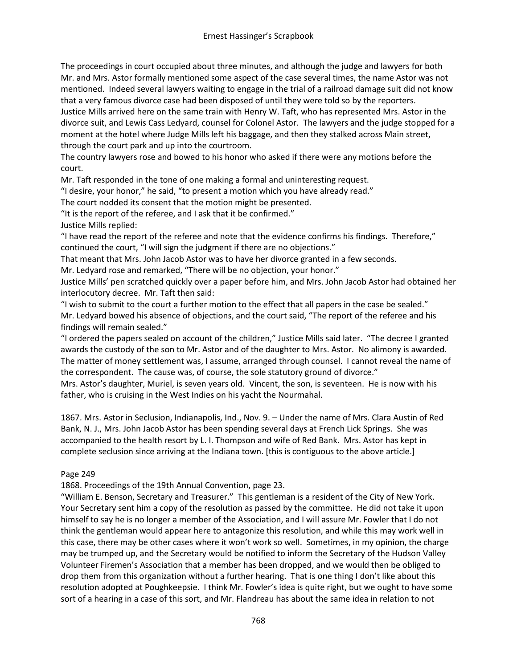The proceedings in court occupied about three minutes, and although the judge and lawyers for both Mr. and Mrs. Astor formally mentioned some aspect of the case several times, the name Astor was not mentioned. Indeed several lawyers waiting to engage in the trial of a railroad damage suit did not know that a very famous divorce case had been disposed of until they were told so by the reporters. Justice Mills arrived here on the same train with Henry W. Taft, who has represented Mrs. Astor in the divorce suit, and Lewis Cass Ledyard, counsel for Colonel Astor. The lawyers and the judge stopped for a

moment at the hotel where Judge Mills left his baggage, and then they stalked across Main street, through the court park and up into the courtroom.

The country lawyers rose and bowed to his honor who asked if there were any motions before the court.

Mr. Taft responded in the tone of one making a formal and uninteresting request.

"I desire, your honor," he said, "to present a motion which you have already read."

The court nodded its consent that the motion might be presented.

"It is the report of the referee, and I ask that it be confirmed."

Justice Mills replied:

"I have read the report of the referee and note that the evidence confirms his findings. Therefore," continued the court, "I will sign the judgment if there are no objections."

That meant that Mrs. John Jacob Astor was to have her divorce granted in a few seconds.

Mr. Ledyard rose and remarked, "There will be no objection, your honor."

Justice Mills' pen scratched quickly over a paper before him, and Mrs. John Jacob Astor had obtained her interlocutory decree. Mr. Taft then said:

"I wish to submit to the court a further motion to the effect that all papers in the case be sealed." Mr. Ledyard bowed his absence of objections, and the court said, "The report of the referee and his findings will remain sealed."

"I ordered the papers sealed on account of the children," Justice Mills said later. "The decree I granted awards the custody of the son to Mr. Astor and of the daughter to Mrs. Astor. No alimony is awarded. The matter of money settlement was, I assume, arranged through counsel. I cannot reveal the name of the correspondent. The cause was, of course, the sole statutory ground of divorce."

Mrs. Astor's daughter, Muriel, is seven years old. Vincent, the son, is seventeen. He is now with his father, who is cruising in the West Indies on his yacht the Nourmahal.

1867. Mrs. Astor in Seclusion, Indianapolis, Ind., Nov. 9. – Under the name of Mrs. Clara Austin of Red Bank, N. J., Mrs. John Jacob Astor has been spending several days at French Lick Springs. She was accompanied to the health resort by L. I. Thompson and wife of Red Bank. Mrs. Astor has kept in complete seclusion since arriving at the Indiana town. [this is contiguous to the above article.]

# Page 249

1868. Proceedings of the 19th Annual Convention, page 23.

"William E. Benson, Secretary and Treasurer." This gentleman is a resident of the City of New York. Your Secretary sent him a copy of the resolution as passed by the committee. He did not take it upon himself to say he is no longer a member of the Association, and I will assure Mr. Fowler that I do not think the gentleman would appear here to antagonize this resolution, and while this may work well in this case, there may be other cases where it won't work so well. Sometimes, in my opinion, the charge may be trumped up, and the Secretary would be notified to inform the Secretary of the Hudson Valley Volunteer Firemen's Association that a member has been dropped, and we would then be obliged to drop them from this organization without a further hearing. That is one thing I don't like about this resolution adopted at Poughkeepsie. I think Mr. Fowler's idea is quite right, but we ought to have some sort of a hearing in a case of this sort, and Mr. Flandreau has about the same idea in relation to not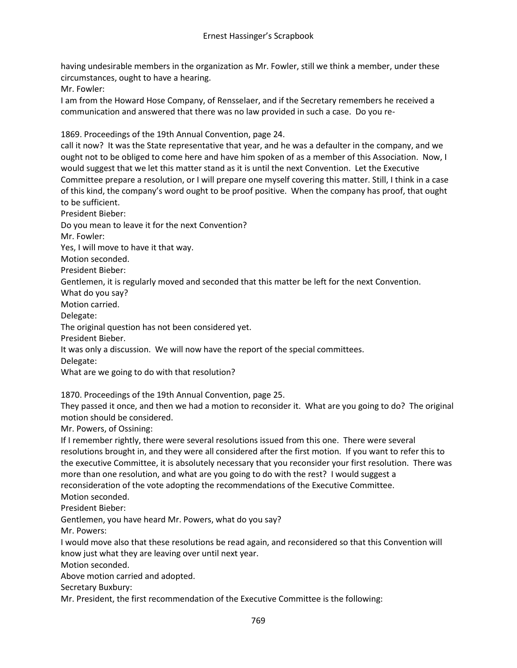having undesirable members in the organization as Mr. Fowler, still we think a member, under these circumstances, ought to have a hearing.

Mr. Fowler:

I am from the Howard Hose Company, of Rensselaer, and if the Secretary remembers he received a communication and answered that there was no law provided in such a case. Do you re-

1869. Proceedings of the 19th Annual Convention, page 24.

call it now? It was the State representative that year, and he was a defaulter in the company, and we ought not to be obliged to come here and have him spoken of as a member of this Association. Now, I would suggest that we let this matter stand as it is until the next Convention. Let the Executive Committee prepare a resolution, or I will prepare one myself covering this matter. Still, I think in a case of this kind, the company's word ought to be proof positive. When the company has proof, that ought to be sufficient.

President Bieber:

Do you mean to leave it for the next Convention?

Mr. Fowler:

Yes, I will move to have it that way.

Motion seconded.

President Bieber:

Gentlemen, it is regularly moved and seconded that this matter be left for the next Convention.

What do you say?

Motion carried.

Delegate:

The original question has not been considered yet.

President Bieber.

It was only a discussion. We will now have the report of the special committees.

Delegate:

What are we going to do with that resolution?

1870. Proceedings of the 19th Annual Convention, page 25.

They passed it once, and then we had a motion to reconsider it. What are you going to do? The original motion should be considered.

Mr. Powers, of Ossining:

If I remember rightly, there were several resolutions issued from this one. There were several resolutions brought in, and they were all considered after the first motion. If you want to refer this to the executive Committee, it is absolutely necessary that you reconsider your first resolution. There was more than one resolution, and what are you going to do with the rest? I would suggest a reconsideration of the vote adopting the recommendations of the Executive Committee.

Motion seconded.

President Bieber:

Gentlemen, you have heard Mr. Powers, what do you say?

Mr. Powers:

I would move also that these resolutions be read again, and reconsidered so that this Convention will know just what they are leaving over until next year.

Motion seconded.

Above motion carried and adopted.

Secretary Buxbury:

Mr. President, the first recommendation of the Executive Committee is the following: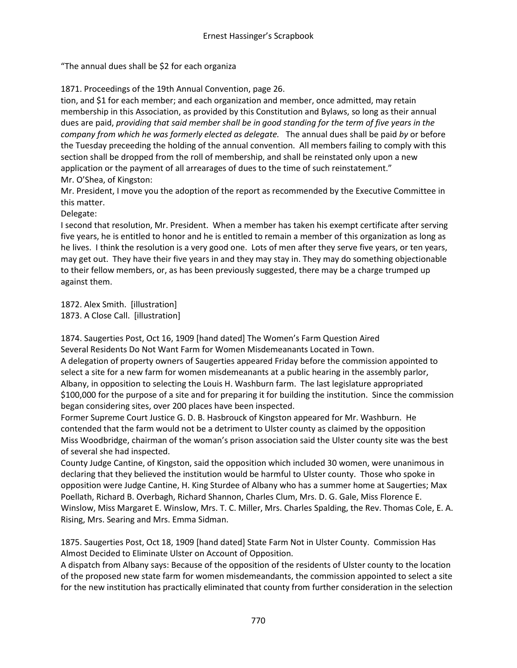"The annual dues shall be \$2 for each organiza

1871. Proceedings of the 19th Annual Convention, page 26.

tion, and \$1 for each member; and each organization and member, once admitted, may retain membership in this Association, as provided by this Constitution and Bylaws, so long as their annual dues are paid, *providing that said member shall be in good standing for the term of five years in the company from which he was formerly elected as delegate.* The annual dues shall be paid *by* or before the Tuesday preceeding the holding of the annual convention. All members failing to comply with this section shall be dropped from the roll of membership, and shall be reinstated only upon a new application or the payment of all arrearages of dues to the time of such reinstatement." Mr. O'Shea, of Kingston:

Mr. President, I move you the adoption of the report as recommended by the Executive Committee in this matter.

Delegate:

I second that resolution, Mr. President. When a member has taken his exempt certificate after serving five years, he is entitled to honor and he is entitled to remain a member of this organization as long as he lives. I think the resolution is a very good one. Lots of men after they serve five years, or ten years, may get out. They have their five years in and they may stay in. They may do something objectionable to their fellow members, or, as has been previously suggested, there may be a charge trumped up against them.

1872. Alex Smith. [illustration] 1873. A Close Call. [illustration]

1874. Saugerties Post, Oct 16, 1909 [hand dated] The Women's Farm Question Aired Several Residents Do Not Want Farm for Women Misdemeanants Located in Town. A delegation of property owners of Saugerties appeared Friday before the commission appointed to select a site for a new farm for women misdemeanants at a public hearing in the assembly parlor, Albany, in opposition to selecting the Louis H. Washburn farm. The last legislature appropriated \$100,000 for the purpose of a site and for preparing it for building the institution. Since the commission began considering sites, over 200 places have been inspected.

Former Supreme Court Justice G. D. B. Hasbrouck of Kingston appeared for Mr. Washburn. He contended that the farm would not be a detriment to Ulster county as claimed by the opposition Miss Woodbridge, chairman of the woman's prison association said the Ulster county site was the best of several she had inspected.

County Judge Cantine, of Kingston, said the opposition which included 30 women, were unanimous in declaring that they believed the institution would be harmful to Ulster county. Those who spoke in opposition were Judge Cantine, H. King Sturdee of Albany who has a summer home at Saugerties; Max Poellath, Richard B. Overbagh, Richard Shannon, Charles Clum, Mrs. D. G. Gale, Miss Florence E. Winslow, Miss Margaret E. Winslow, Mrs. T. C. Miller, Mrs. Charles Spalding, the Rev. Thomas Cole, E. A. Rising, Mrs. Searing and Mrs. Emma Sidman.

1875. Saugerties Post, Oct 18, 1909 [hand dated] State Farm Not in Ulster County. Commission Has Almost Decided to Eliminate Ulster on Account of Opposition.

A dispatch from Albany says: Because of the opposition of the residents of Ulster county to the location of the proposed new state farm for women misdemeandants, the commission appointed to select a site for the new institution has practically eliminated that county from further consideration in the selection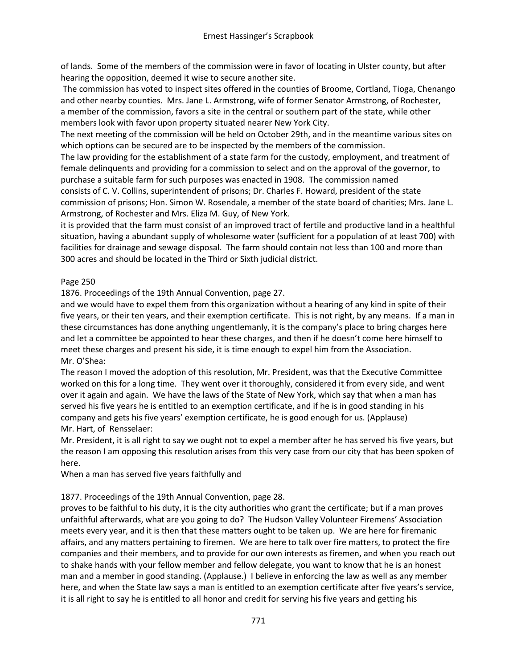of lands. Some of the members of the commission were in favor of locating in Ulster county, but after hearing the opposition, deemed it wise to secure another site.

The commission has voted to inspect sites offered in the counties of Broome, Cortland, Tioga, Chenango and other nearby counties. Mrs. Jane L. Armstrong, wife of former Senator Armstrong, of Rochester, a member of the commission, favors a site in the central or southern part of the state, while other members look with favor upon property situated nearer New York City.

The next meeting of the commission will be held on October 29th, and in the meantime various sites on which options can be secured are to be inspected by the members of the commission.

The law providing for the establishment of a state farm for the custody, employment, and treatment of female delinquents and providing for a commission to select and on the approval of the governor, to purchase a suitable farm for such purposes was enacted in 1908. The commission named consists of C. V. Collins, superintendent of prisons; Dr. Charles F. Howard, president of the state commission of prisons; Hon. Simon W. Rosendale, a member of the state board of charities; Mrs. Jane L. Armstrong, of Rochester and Mrs. Eliza M. Guy, of New York.

it is provided that the farm must consist of an improved tract of fertile and productive land in a healthful situation, having a abundant supply of wholesome water (sufficient for a population of at least 700) with facilities for drainage and sewage disposal. The farm should contain not less than 100 and more than 300 acres and should be located in the Third or Sixth judicial district.

# Page 250

1876. Proceedings of the 19th Annual Convention, page 27.

and we would have to expel them from this organization without a hearing of any kind in spite of their five years, or their ten years, and their exemption certificate. This is not right, by any means. If a man in these circumstances has done anything ungentlemanly, it is the company's place to bring charges here and let a committee be appointed to hear these charges, and then if he doesn't come here himself to meet these charges and present his side, it is time enough to expel him from the Association. Mr. O'Shea:

The reason I moved the adoption of this resolution, Mr. President, was that the Executive Committee worked on this for a long time. They went over it thoroughly, considered it from every side, and went over it again and again. We have the laws of the State of New York, which say that when a man has served his five years he is entitled to an exemption certificate, and if he is in good standing in his company and gets his five years' exemption certificate, he is good enough for us. (Applause) Mr. Hart, of Rensselaer:

Mr. President, it is all right to say we ought not to expel a member after he has served his five years, but the reason I am opposing this resolution arises from this very case from our city that has been spoken of here.

When a man has served five years faithfully and

# 1877. Proceedings of the 19th Annual Convention, page 28.

proves to be faithful to his duty, it is the city authorities who grant the certificate; but if a man proves unfaithful afterwards, what are you going to do? The Hudson Valley Volunteer Firemens' Association meets every year, and it is then that these matters ought to be taken up. We are here for firemanic affairs, and any matters pertaining to firemen. We are here to talk over fire matters, to protect the fire companies and their members, and to provide for our own interests as firemen, and when you reach out to shake hands with your fellow member and fellow delegate, you want to know that he is an honest man and a member in good standing. (Applause.) I believe in enforcing the law as well as any member here, and when the State law says a man is entitled to an exemption certificate after five years's service, it is all right to say he is entitled to all honor and credit for serving his five years and getting his